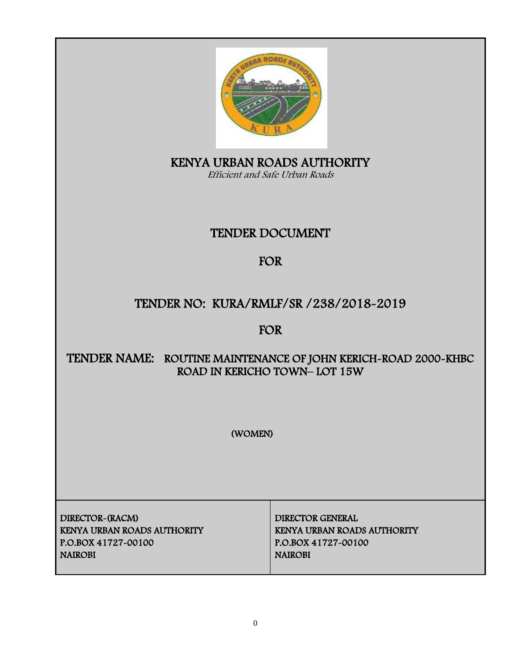

KENYA URBAN ROADS AUTHORITY Efficient and Safe Urban Roads

# TENDER DOCUMENT

# FOR

# TENDER NO: KURA/RMLF/SR /238/2018-2019

# FOR

# TENDER NAME: ROUTINE MAINTENANCE OF JOHN KERICH-ROAD 2000-KHBC ROAD IN KERICHO TOWN– LOT 15W

(WOMEN)

DIRECTOR-(RACM) DIRECTOR GENERAL KENYA URBAN ROADS AUTHORITY KENYA URBAN ROADS AUTHORITY P.O.BOX 41727-00100 P.O.BOX 41727-00100 NAIROBI NAIROBI NAIROBI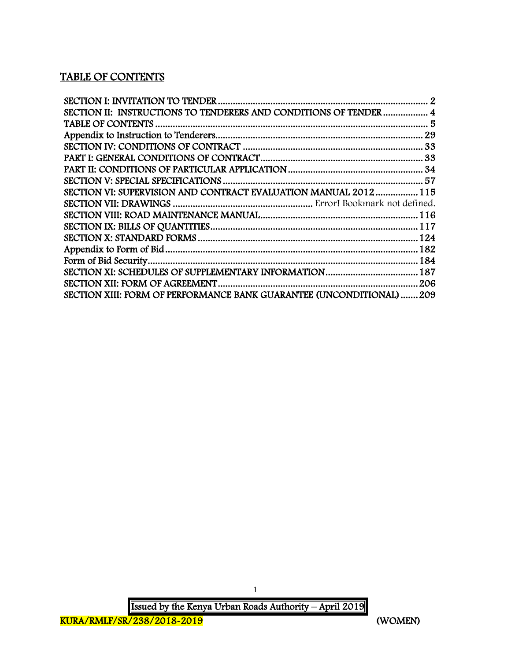# TABLE OF CONTENTS

| <b>SECTION I: INVITATION TO TENDER</b>                          |      |
|-----------------------------------------------------------------|------|
| SECTION II: INSTRUCTIONS TO TENDERERS AND CONDITIONS OF TENDER  |      |
|                                                                 | 5    |
|                                                                 | 29   |
|                                                                 |      |
|                                                                 |      |
|                                                                 |      |
| <b>SECTION V: SPECIAL SPECIFICATIONS.</b>                       |      |
| SECTION VI: SUPERVISION AND CONTRACT EVALUATION MANUAL 2012 115 |      |
|                                                                 |      |
|                                                                 |      |
|                                                                 |      |
|                                                                 |      |
|                                                                 | .182 |
|                                                                 | 184  |
|                                                                 |      |
| SECTION XII: FORM OF AGREEMENT.                                 |      |
|                                                                 | .206 |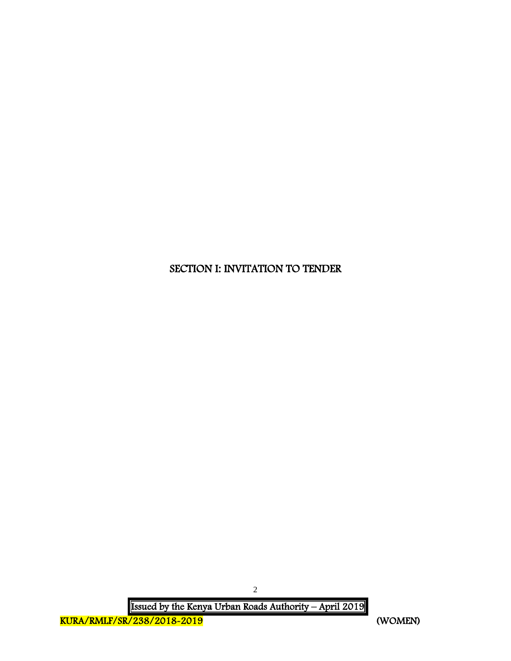# <span id="page-2-0"></span>SECTION I: INVITATION TO TENDER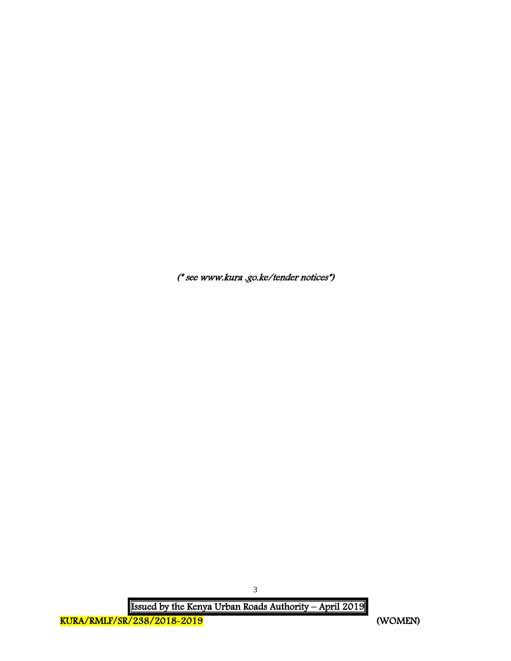(\* see www.kura .go.ke/tender notices\*)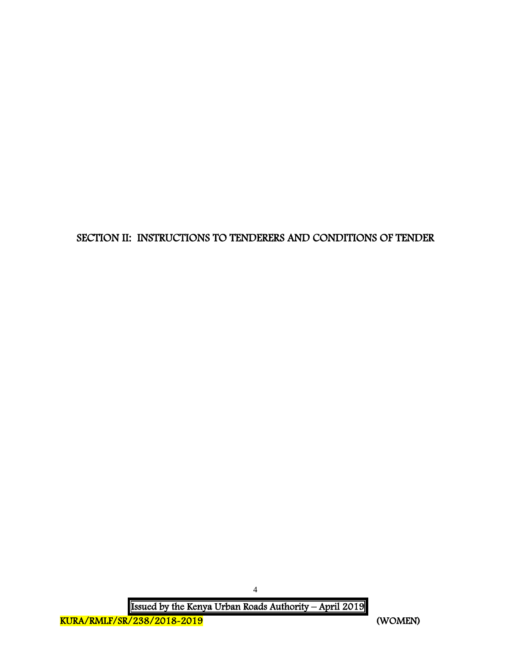<span id="page-4-0"></span>SECTION II: INSTRUCTIONS TO TENDERERS AND CONDITIONS OF TENDER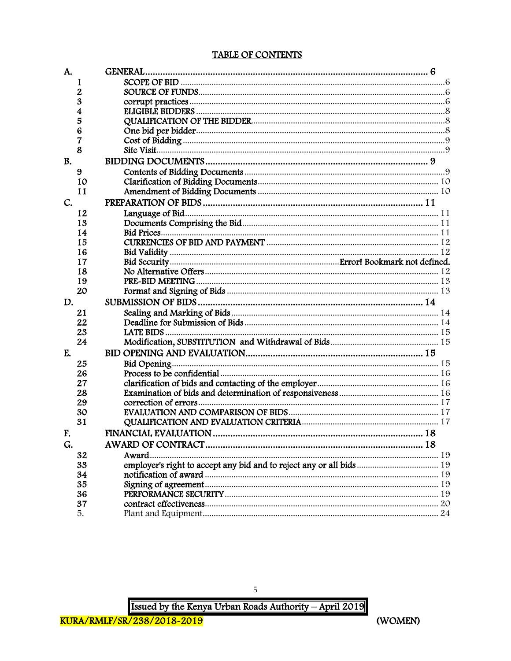### TABLE OF CONTENTS

<span id="page-5-0"></span>

| A.        |    | <b>GENERAL</b>                                                       |  |
|-----------|----|----------------------------------------------------------------------|--|
|           | 1  |                                                                      |  |
|           | 2  |                                                                      |  |
|           | 3  |                                                                      |  |
|           | 4  |                                                                      |  |
|           | 5  |                                                                      |  |
|           | 6  |                                                                      |  |
|           | 7  |                                                                      |  |
|           | 8  |                                                                      |  |
| <b>B.</b> |    |                                                                      |  |
|           | 9  |                                                                      |  |
|           | 10 |                                                                      |  |
|           | 11 |                                                                      |  |
| C.        |    |                                                                      |  |
|           | 12 |                                                                      |  |
|           | 13 |                                                                      |  |
|           | 14 |                                                                      |  |
|           | 15 |                                                                      |  |
|           | 16 |                                                                      |  |
|           | 17 |                                                                      |  |
|           | 18 |                                                                      |  |
|           | 19 |                                                                      |  |
|           | 20 |                                                                      |  |
| D.        |    |                                                                      |  |
|           | 21 |                                                                      |  |
|           | 22 |                                                                      |  |
|           | 23 |                                                                      |  |
|           | 24 |                                                                      |  |
| E.        |    |                                                                      |  |
|           | 25 |                                                                      |  |
|           | 26 |                                                                      |  |
|           | 27 |                                                                      |  |
|           | 28 |                                                                      |  |
|           | 29 |                                                                      |  |
|           | 30 |                                                                      |  |
|           | 31 |                                                                      |  |
| F.        |    |                                                                      |  |
| G.        |    |                                                                      |  |
|           | 32 | Award.                                                               |  |
|           | 33 | employer's right to accept any bid and to reject any or all bids  19 |  |
|           | 34 |                                                                      |  |
|           | 35 |                                                                      |  |
|           | 36 |                                                                      |  |
|           | 37 |                                                                      |  |
|           | 5. |                                                                      |  |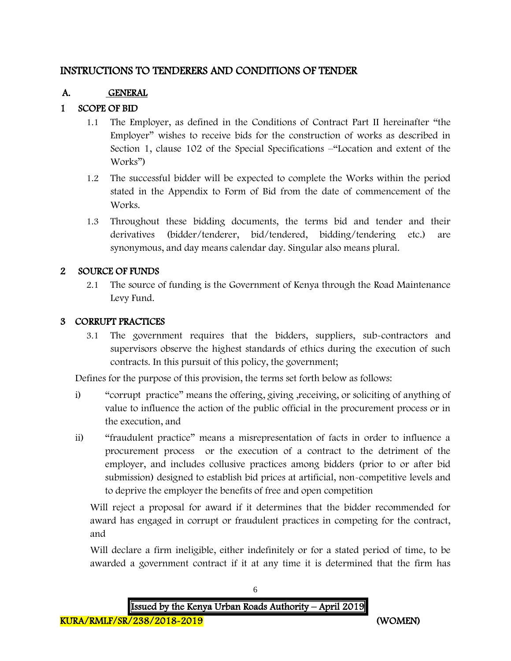## INSTRUCTIONS TO TENDERERS AND CONDITIONS OF TENDER

## A. GENERAL

## 1 SCOPE OF BID

- 1.1 The Employer, as defined in the Conditions of Contract Part II hereinafter "the Employer" wishes to receive bids for the construction of works as described in Section 1, clause 102 of the Special Specifications –"Location and extent of the Works")
- 1.2 The successful bidder will be expected to complete the Works within the period stated in the Appendix to Form of Bid from the date of commencement of the Works.
- 1.3 Throughout these bidding documents, the terms bid and tender and their derivatives (bidder/tenderer, bid/tendered, bidding/tendering etc.) are synonymous, and day means calendar day. Singular also means plural.

## 2 SOURCE OF FUNDS

2.1 The source of funding is the Government of Kenya through the Road Maintenance Levy Fund.

## 3 CORRUPT PRACTICES

3.1 The government requires that the bidders, suppliers, sub-contractors and supervisors observe the highest standards of ethics during the execution of such contracts. In this pursuit of this policy, the government;

Defines for the purpose of this provision, the terms set forth below as follows:

- i) "corrupt practice" means the offering, giving ,receiving, or soliciting of anything of value to influence the action of the public official in the procurement process or in the execution, and
- ii) "fraudulent practice" means a misrepresentation of facts in order to influence a procurement process or the execution of a contract to the detriment of the employer, and includes collusive practices among bidders (prior to or after bid submission) designed to establish bid prices at artificial, non-competitive levels and to deprive the employer the benefits of free and open competition

Will reject a proposal for award if it determines that the bidder recommended for award has engaged in corrupt or fraudulent practices in competing for the contract, and

Will declare a firm ineligible, either indefinitely or for a stated period of time, to be awarded a government contract if it at any time it is determined that the firm has

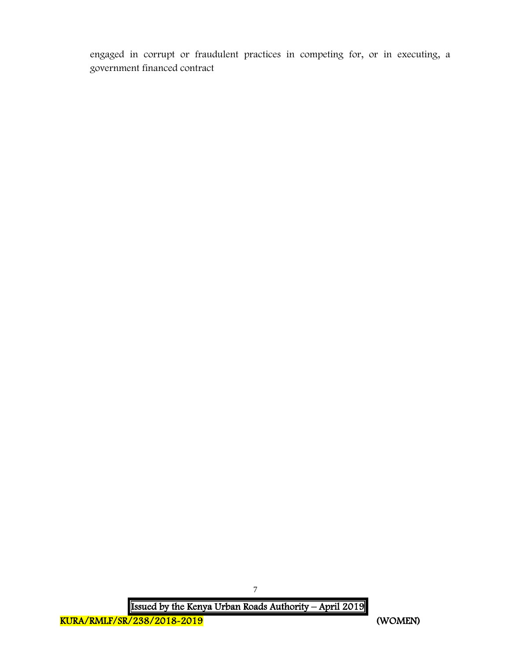engaged in corrupt or fraudulent practices in competing for, or in executing, a government financed contract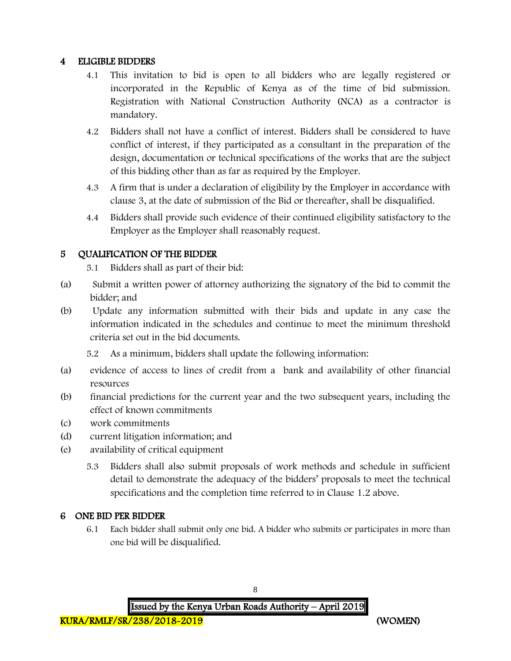#### 4 ELIGIBLE BIDDERS

- 4.1 This invitation to bid is open to all bidders who are legally registered or incorporated in the Republic of Kenya as of the time of bid submission. Registration with National Construction Authority (NCA) as a contractor is mandatory.
- 4.2 Bidders shall not have a conflict of interest. Bidders shall be considered to have conflict of interest, if they participated as a consultant in the preparation of the design, documentation or technical specifications of the works that are the subject of this bidding other than as far as required by the Employer.
- 4.3 A firm that is under a declaration of eligibility by the Employer in accordance with clause 3, at the date of submission of the Bid or thereafter, shall be disqualified.
- 4.4 Bidders shall provide such evidence of their continued eligibility satisfactory to the Employer as the Employer shall reasonably request.

#### 5 QUALIFICATION OF THE BIDDER

- 5.1 Bidders shall as part of their bid:
- (a) Submit a written power of attorney authorizing the signatory of the bid to commit the bidder; and
- (b) Update any information submitted with their bids and update in any case the information indicated in the schedules and continue to meet the minimum threshold criteria set out in the bid documents.
	- 5.2 As a minimum, bidders shall update the following information:
- (a) evidence of access to lines of credit from a bank and availability of other financial resources
- (b) financial predictions for the current year and the two subsequent years, including the effect of known commitments
- (c) work commitments
- (d) current litigation information; and
- (e) availability of critical equipment
	- 5.3 Bidders shall also submit proposals of work methods and schedule in sufficient detail to demonstrate the adequacy of the bidders' proposals to meet the technical specifications and the completion time referred to in Clause 1.2 above.

#### 6 ONE BID PER BIDDER

6.1 Each bidder shall submit only one bid. A bidder who submits or participates in more than one bid will be disqualified.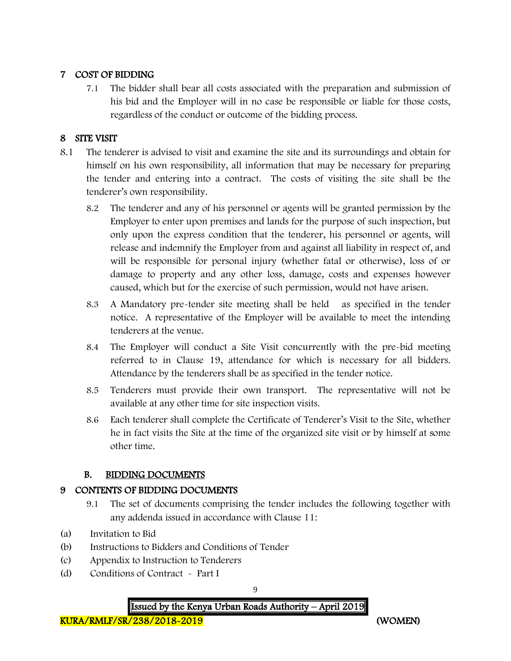## 7 COST OF BIDDING

7.1 The bidder shall bear all costs associated with the preparation and submission of his bid and the Employer will in no case be responsible or liable for those costs, regardless of the conduct or outcome of the bidding process.

## 8 SITE VISIT

- 8.1 The tenderer is advised to visit and examine the site and its surroundings and obtain for himself on his own responsibility, all information that may be necessary for preparing the tender and entering into a contract. The costs of visiting the site shall be the tenderer's own responsibility.
	- 8.2 The tenderer and any of his personnel or agents will be granted permission by the Employer to enter upon premises and lands for the purpose of such inspection, but only upon the express condition that the tenderer, his personnel or agents, will release and indemnify the Employer from and against all liability in respect of, and will be responsible for personal injury (whether fatal or otherwise), loss of or damage to property and any other loss, damage, costs and expenses however caused, which but for the exercise of such permission, would not have arisen.
	- 8.3 A Mandatory pre-tender site meeting shall be held as specified in the tender notice. A representative of the Employer will be available to meet the intending tenderers at the venue.
	- 8.4 The Employer will conduct a Site Visit concurrently with the pre-bid meeting referred to in Clause 19, attendance for which is necessary for all bidders. Attendance by the tenderers shall be as specified in the tender notice.
	- 8.5 Tenderers must provide their own transport. The representative will not be available at any other time for site inspection visits.
	- 8.6 Each tenderer shall complete the Certificate of Tenderer's Visit to the Site, whether he in fact visits the Site at the time of the organized site visit or by himself at some other time.

# B. BIDDING DOCUMENTS

# 9 CONTENTS OF BIDDING DOCUMENTS

- 9.1 The set of documents comprising the tender includes the following together with any addenda issued in accordance with Clause 11:
- (a) Invitation to Bid
- (b) Instructions to Bidders and Conditions of Tender
- (c) Appendix to Instruction to Tenderers
- (d) Conditions of Contract Part I

9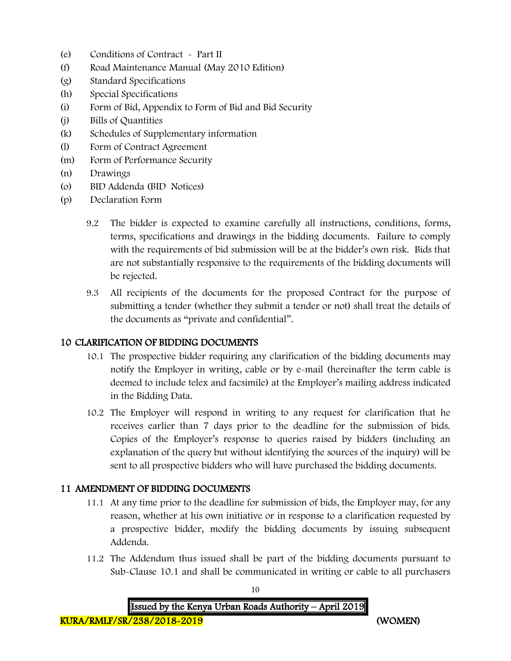- (e) Conditions of Contract Part II
- (f) Road Maintenance Manual (May 2010 Edition)
- (g) Standard Specifications
- (h) Special Specifications
- (i) Form of Bid, Appendix to Form of Bid and Bid Security
- (j) Bills of Quantities
- (k) Schedules of Supplementary information
- (l) Form of Contract Agreement
- (m) Form of Performance Security
- (n) Drawings
- (o) BID Addenda (BID Notices)
- (p) Declaration Form
	- 9.2 The bidder is expected to examine carefully all instructions, conditions, forms, terms, specifications and drawings in the bidding documents. Failure to comply with the requirements of bid submission will be at the bidder's own risk. Bids that are not substantially responsive to the requirements of the bidding documents will be rejected.
	- 9.3 All recipients of the documents for the proposed Contract for the purpose of submitting a tender (whether they submit a tender or not) shall treat the details of the documents as "private and confidential".

# 10 CLARIFICATION OF BIDDING DOCUMENTS

- 10.1 The prospective bidder requiring any clarification of the bidding documents may notify the Employer in writing, cable or by e-mail (hereinafter the term cable is deemed to include telex and facsimile) at the Employer's mailing address indicated in the Bidding Data.
- 10.2 The Employer will respond in writing to any request for clarification that he receives earlier than 7 days prior to the deadline for the submission of bids. Copies of the Employer's response to queries raised by bidders (including an explanation of the query but without identifying the sources of the inquiry) will be sent to all prospective bidders who will have purchased the bidding documents.

# 11 AMENDMENT OF BIDDING DOCUMENTS

- 11.1 At any time prior to the deadline for submission of bids, the Employer may, for any reason, whether at his own initiative or in response to a clarification requested by a prospective bidder, modify the bidding documents by issuing subsequent Addenda.
- 11.2 The Addendum thus issued shall be part of the bidding documents pursuant to Sub-Clause 10.1 and shall be communicated in writing or cable to all purchasers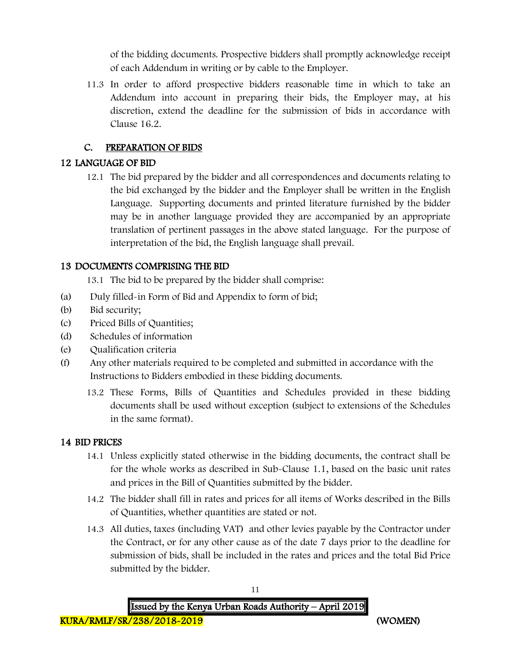of the bidding documents. Prospective bidders shall promptly acknowledge receipt of each Addendum in writing or by cable to the Employer.

11.3 In order to afford prospective bidders reasonable time in which to take an Addendum into account in preparing their bids, the Employer may, at his discretion, extend the deadline for the submission of bids in accordance with Clause 16.2.

# C. PREPARATION OF BIDS

## 12 LANGUAGE OF BID

12.1 The bid prepared by the bidder and all correspondences and documents relating to the bid exchanged by the bidder and the Employer shall be written in the English Language. Supporting documents and printed literature furnished by the bidder may be in another language provided they are accompanied by an appropriate translation of pertinent passages in the above stated language. For the purpose of interpretation of the bid, the English language shall prevail.

## 13 DOCUMENTS COMPRISING THE BID

13.1 The bid to be prepared by the bidder shall comprise:

- (a) Duly filled-in Form of Bid and Appendix to form of bid;
- (b) Bid security;
- (c) Priced Bills of Quantities;
- (d) Schedules of information
- (e) Qualification criteria
- (f) Any other materials required to be completed and submitted in accordance with the Instructions to Bidders embodied in these bidding documents.
	- 13.2 These Forms, Bills of Quantities and Schedules provided in these bidding documents shall be used without exception (subject to extensions of the Schedules in the same format).

## 14 BID PRICES

- 14.1 Unless explicitly stated otherwise in the bidding documents, the contract shall be for the whole works as described in Sub-Clause 1.1, based on the basic unit rates and prices in the Bill of Quantities submitted by the bidder.
- 14.2 The bidder shall fill in rates and prices for all items of Works described in the Bills of Quantities, whether quantities are stated or not.
- 14.3 All duties, taxes (including VAT) and other levies payable by the Contractor under the Contract, or for any other cause as of the date 7 days prior to the deadline for submission of bids, shall be included in the rates and prices and the total Bid Price submitted by the bidder.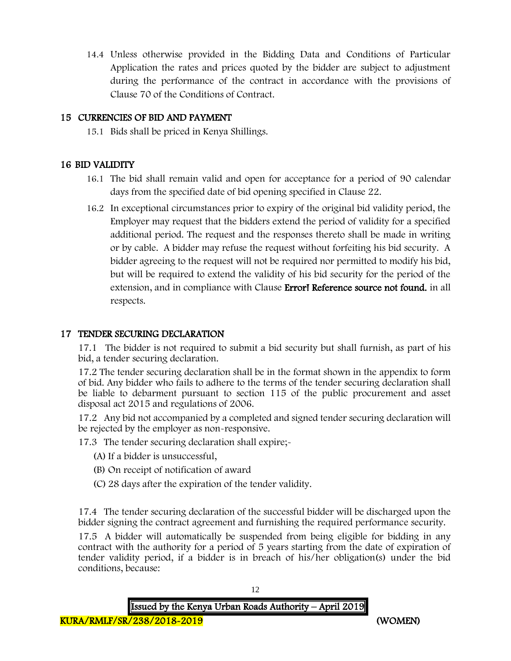14.4 Unless otherwise provided in the Bidding Data and Conditions of Particular Application the rates and prices quoted by the bidder are subject to adjustment during the performance of the contract in accordance with the provisions of Clause 70 of the Conditions of Contract.

## 15 CURRENCIES OF BID AND PAYMENT

15.1 Bids shall be priced in Kenya Shillings.

## 16 BID VALIDITY

- 16.1 The bid shall remain valid and open for acceptance for a period of 90 calendar days from the specified date of bid opening specified in Clause 22.
- 16.2 In exceptional circumstances prior to expiry of the original bid validity period, the Employer may request that the bidders extend the period of validity for a specified additional period. The request and the responses thereto shall be made in writing or by cable. A bidder may refuse the request without forfeiting his bid security. A bidder agreeing to the request will not be required nor permitted to modify his bid, but will be required to extend the validity of his bid security for the period of the extension, and in compliance with Clause Error! Reference source not found. in all respects.

#### 17 TENDER SECURING DECLARATION

17.1 The bidder is not required to submit a bid security but shall furnish, as part of his bid, a tender securing declaration.

17.2 The tender securing declaration shall be in the format shown in the appendix to form of bid. Any bidder who fails to adhere to the terms of the tender securing declaration shall be liable to debarment pursuant to section 115 of the public procurement and asset disposal act 2015 and regulations of 2006.

17.2 Any bid not accompanied by a completed and signed tender securing declaration will be rejected by the employer as non-responsive.

17.3 The tender securing declaration shall expire;-

- (A) If a bidder is unsuccessful,
- (B) On receipt of notification of award
- (C) 28 days after the expiration of the tender validity.

17.4 The tender securing declaration of the successful bidder will be discharged upon the bidder signing the contract agreement and furnishing the required performance security.

17.5 A bidder will automatically be suspended from being eligible for bidding in any contract with the authority for a period of 5 years starting from the date of expiration of tender validity period, if a bidder is in breach of his/her obligation(s) under the bid conditions, because: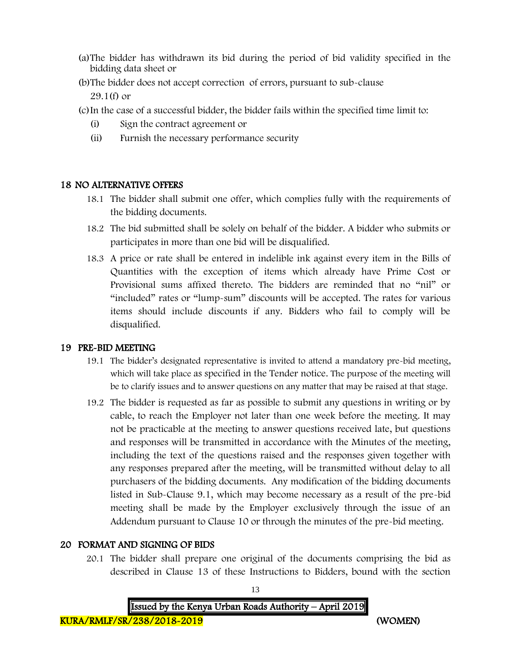- (a)The bidder has withdrawn its bid during the period of bid validity specified in the bidding data sheet or
- (b)The bidder does not accept correction of errors, pursuant to sub-clause 29.1(f) or
- (c)In the case of a successful bidder, the bidder fails within the specified time limit to:
	- (i) Sign the contract agreement or
	- (ii) Furnish the necessary performance security

#### 18 NO ALTERNATIVE OFFERS

- 18.1 The bidder shall submit one offer, which complies fully with the requirements of the bidding documents.
- 18.2 The bid submitted shall be solely on behalf of the bidder. A bidder who submits or participates in more than one bid will be disqualified.
- 18.3 A price or rate shall be entered in indelible ink against every item in the Bills of Quantities with the exception of items which already have Prime Cost or Provisional sums affixed thereto. The bidders are reminded that no "nil" or "included" rates or "lump-sum" discounts will be accepted. The rates for various items should include discounts if any. Bidders who fail to comply will be disqualified.

#### 19 PRE-BID MEETING

- 19.1 The bidder's designated representative is invited to attend a mandatory pre-bid meeting, which will take place as specified in the Tender notice. The purpose of the meeting will be to clarify issues and to answer questions on any matter that may be raised at that stage.
- 19.2 The bidder is requested as far as possible to submit any questions in writing or by cable, to reach the Employer not later than one week before the meeting. It may not be practicable at the meeting to answer questions received late, but questions and responses will be transmitted in accordance with the Minutes of the meeting, including the text of the questions raised and the responses given together with any responses prepared after the meeting, will be transmitted without delay to all purchasers of the bidding documents. Any modification of the bidding documents listed in Sub-Clause 9.1, which may become necessary as a result of the pre-bid meeting shall be made by the Employer exclusively through the issue of an Addendum pursuant to Clause 10 or through the minutes of the pre-bid meeting.

## 20 FORMAT AND SIGNING OF BIDS

20.1 The bidder shall prepare one original of the documents comprising the bid as described in Clause 13 of these Instructions to Bidders, bound with the section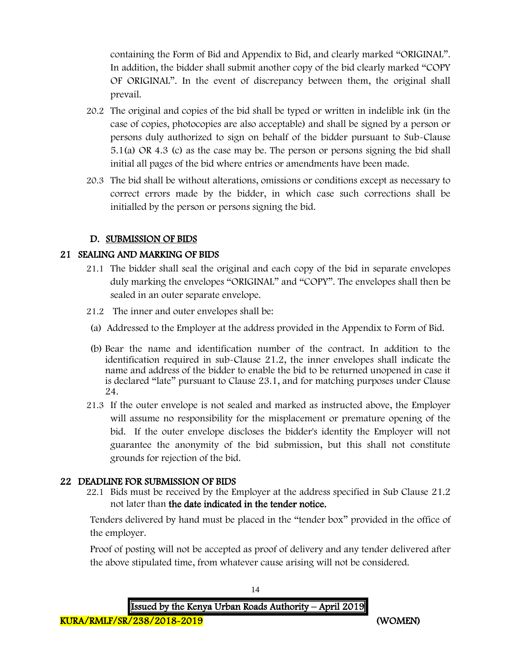containing the Form of Bid and Appendix to Bid, and clearly marked "ORIGINAL". In addition, the bidder shall submit another copy of the bid clearly marked "COPY OF ORIGINAL". In the event of discrepancy between them, the original shall prevail.

- 20.2 The original and copies of the bid shall be typed or written in indelible ink (in the case of copies, photocopies are also acceptable) and shall be signed by a person or persons duly authorized to sign on behalf of the bidder pursuant to Sub-Clause 5.1(a) OR 4.3 (c) as the case may be. The person or persons signing the bid shall initial all pages of the bid where entries or amendments have been made.
- 20.3 The bid shall be without alterations, omissions or conditions except as necessary to correct errors made by the bidder, in which case such corrections shall be initialled by the person or persons signing the bid.

## D. SUBMISSION OF BIDS

#### 21 SEALING AND MARKING OF BIDS

- 21.1 The bidder shall seal the original and each copy of the bid in separate envelopes duly marking the envelopes "ORIGINAL" and "COPY". The envelopes shall then be sealed in an outer separate envelope.
- 21.2 The inner and outer envelopes shall be:
- (a) Addressed to the Employer at the address provided in the Appendix to Form of Bid.
- (b) Bear the name and identification number of the contract. In addition to the identification required in sub-Clause 21.2, the inner envelopes shall indicate the name and address of the bidder to enable the bid to be returned unopened in case it is declared "late" pursuant to Clause 23.1, and for matching purposes under Clause 24.
- 21.3 If the outer envelope is not sealed and marked as instructed above, the Employer will assume no responsibility for the misplacement or premature opening of the bid. If the outer envelope discloses the bidder's identity the Employer will not guarantee the anonymity of the bid submission, but this shall not constitute grounds for rejection of the bid.

#### 22 DEADLINE FOR SUBMISSION OF BIDS

22.1 Bids must be received by the Employer at the address specified in Sub Clause 21.2 not later than the date indicated in the tender notice.

Tenders delivered by hand must be placed in the "tender box" provided in the office of the employer.

Proof of posting will not be accepted as proof of delivery and any tender delivered after the above stipulated time, from whatever cause arising will not be considered.

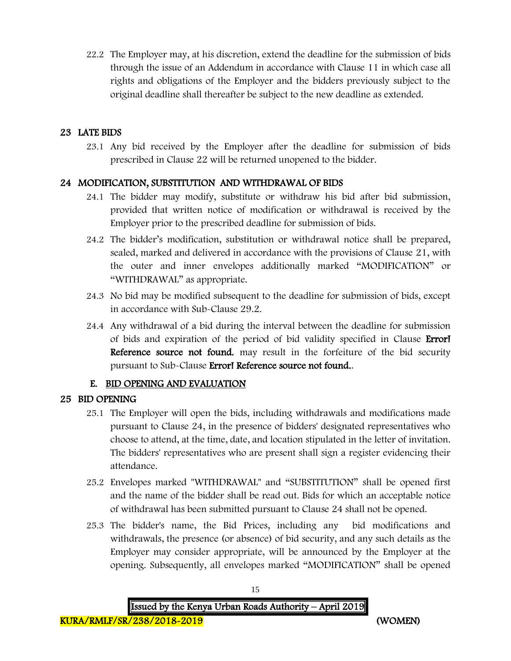22.2 The Employer may, at his discretion, extend the deadline for the submission of bids through the issue of an Addendum in accordance with Clause 11 in which case all rights and obligations of the Employer and the bidders previously subject to the original deadline shall thereafter be subject to the new deadline as extended.

## 23 LATE BIDS

23.1 Any bid received by the Employer after the deadline for submission of bids prescribed in Clause 22 will be returned unopened to the bidder.

#### 24 MODIFICATION, SUBSTITUTION AND WITHDRAWAL OF BIDS

- 24.1 The bidder may modify, substitute or withdraw his bid after bid submission, provided that written notice of modification or withdrawal is received by the Employer prior to the prescribed deadline for submission of bids.
- 24.2 The bidder's modification, substitution or withdrawal notice shall be prepared, sealed, marked and delivered in accordance with the provisions of Clause 21, with the outer and inner envelopes additionally marked "MODIFICATION" or "WITHDRAWAL" as appropriate.
- 24.3 No bid may be modified subsequent to the deadline for submission of bids, except in accordance with Sub-Clause 29.2.
- 24.4 Any withdrawal of a bid during the interval between the deadline for submission of bids and expiration of the period of bid validity specified in Clause Error! Reference source not found. may result in the forfeiture of the bid security pursuant to Sub-Clause Error! Reference source not found..

#### E. BID OPENING AND EVALUATION

#### 25 BID OPENING

- 25.1 The Employer will open the bids, including withdrawals and modifications made pursuant to Clause 24, in the presence of bidders' designated representatives who choose to attend, at the time, date, and location stipulated in the letter of invitation. The bidders' representatives who are present shall sign a register evidencing their attendance.
- 25.2 Envelopes marked "WITHDRAWAL" and "SUBSTITUTION" shall be opened first and the name of the bidder shall be read out. Bids for which an acceptable notice of withdrawal has been submitted pursuant to Clause 24 shall not be opened.
- 25.3 The bidder's name, the Bid Prices, including any bid modifications and withdrawals, the presence (or absence) of bid security, and any such details as the Employer may consider appropriate, will be announced by the Employer at the opening. Subsequently, all envelopes marked "MODIFICATION" shall be opened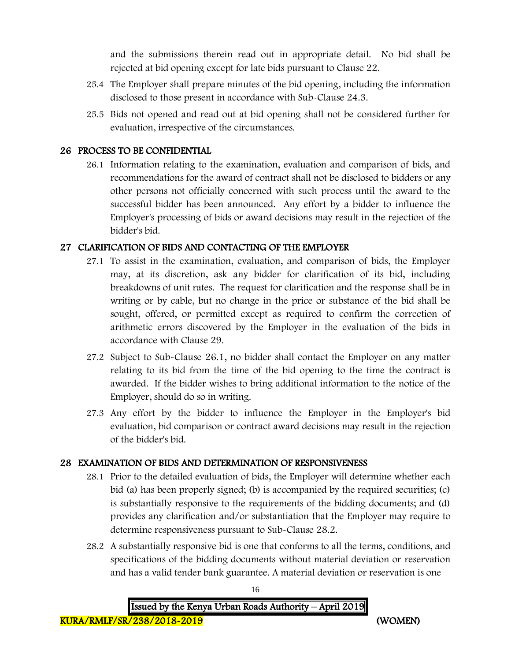and the submissions therein read out in appropriate detail. No bid shall be rejected at bid opening except for late bids pursuant to Clause 22.

- 25.4 The Employer shall prepare minutes of the bid opening, including the information disclosed to those present in accordance with Sub-Clause 24.3.
- 25.5 Bids not opened and read out at bid opening shall not be considered further for evaluation, irrespective of the circumstances.

#### 26 PROCESS TO BE CONFIDENTIAL

26.1 Information relating to the examination, evaluation and comparison of bids, and recommendations for the award of contract shall not be disclosed to bidders or any other persons not officially concerned with such process until the award to the successful bidder has been announced. Any effort by a bidder to influence the Employer's processing of bids or award decisions may result in the rejection of the bidder's bid.

## 27 CLARIFICATION OF BIDS AND CONTACTING OF THE EMPLOYER

- 27.1 To assist in the examination, evaluation, and comparison of bids, the Employer may, at its discretion, ask any bidder for clarification of its bid, including breakdowns of unit rates. The request for clarification and the response shall be in writing or by cable, but no change in the price or substance of the bid shall be sought, offered, or permitted except as required to confirm the correction of arithmetic errors discovered by the Employer in the evaluation of the bids in accordance with Clause 29.
- 27.2 Subject to Sub-Clause 26.1, no bidder shall contact the Employer on any matter relating to its bid from the time of the bid opening to the time the contract is awarded. If the bidder wishes to bring additional information to the notice of the Employer, should do so in writing.
- 27.3 Any effort by the bidder to influence the Employer in the Employer's bid evaluation, bid comparison or contract award decisions may result in the rejection of the bidder's bid.

## 28 EXAMINATION OF BIDS AND DETERMINATION OF RESPONSIVENESS

- 28.1 Prior to the detailed evaluation of bids, the Employer will determine whether each bid (a) has been properly signed; (b) is accompanied by the required securities; (c) is substantially responsive to the requirements of the bidding documents; and (d) provides any clarification and/or substantiation that the Employer may require to determine responsiveness pursuant to Sub-Clause 28.2.
- 28.2 A substantially responsive bid is one that conforms to all the terms, conditions, and specifications of the bidding documents without material deviation or reservation and has a valid tender bank guarantee. A material deviation or reservation is one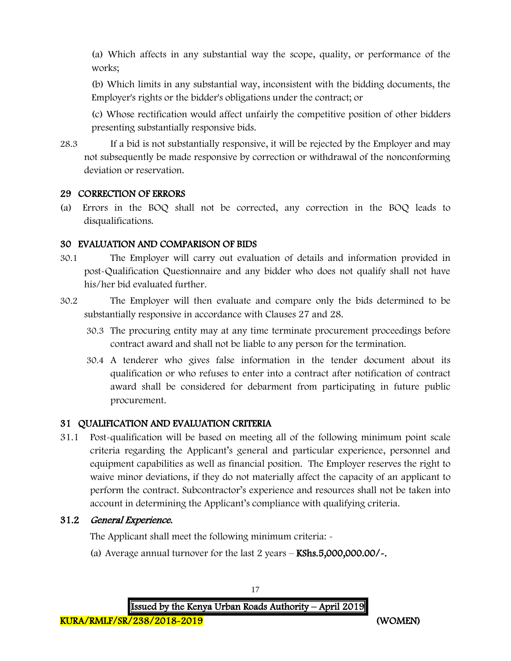(a) Which affects in any substantial way the scope, quality, or performance of the works;

(b) Which limits in any substantial way, inconsistent with the bidding documents, the Employer's rights or the bidder's obligations under the contract; or

(c) Whose rectification would affect unfairly the competitive position of other bidders presenting substantially responsive bids.

28.3 If a bid is not substantially responsive, it will be rejected by the Employer and may not subsequently be made responsive by correction or withdrawal of the nonconforming deviation or reservation.

#### 29 CORRECTION OF ERRORS

(a) Errors in the BOQ shall not be corrected, any correction in the BOQ leads to disqualifications.

#### 30 EVALUATION AND COMPARISON OF BIDS

- 30.1 The Employer will carry out evaluation of details and information provided in post-Qualification Questionnaire and any bidder who does not qualify shall not have his/her bid evaluated further.
- 30.2 The Employer will then evaluate and compare only the bids determined to be substantially responsive in accordance with Clauses 27 and 28.
	- 30.3 The procuring entity may at any time terminate procurement proceedings before contract award and shall not be liable to any person for the termination.
	- 30.4 A tenderer who gives false information in the tender document about its qualification or who refuses to enter into a contract after notification of contract award shall be considered for debarment from participating in future public procurement.

#### 31 QUALIFICATION AND EVALUATION CRITERIA

31.1 Post-qualification will be based on meeting all of the following minimum point scale criteria regarding the Applicant's general and particular experience, personnel and equipment capabilities as well as financial position. The Employer reserves the right to waive minor deviations, if they do not materially affect the capacity of an applicant to perform the contract. Subcontractor's experience and resources shall not be taken into account in determining the Applicant's compliance with qualifying criteria.

#### 31.2 General Experience.

The Applicant shall meet the following minimum criteria: -

(a) Average annual turnover for the last  $2$  years  $-$  KShs.5,000,000.00/ $\sim$ .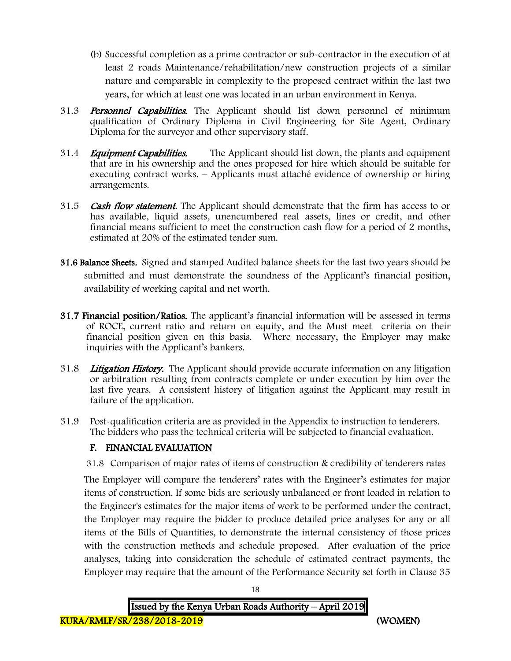- (b) Successful completion as a prime contractor or sub-contractor in the execution of at least 2 roads Maintenance/rehabilitation/new construction projects of a similar nature and comparable in complexity to the proposed contract within the last two years, for which at least one was located in an urban environment in Kenya.
- 31.3 **Personnel Capabilities.** The Applicant should list down personnel of minimum qualification of Ordinary Diploma in Civil Engineering for Site Agent, Ordinary Diploma for the surveyor and other supervisory staff.
- 31.4 **Equipment Capabilities.** The Applicant should list down, the plants and equipment that are in his ownership and the ones proposed for hire which should be suitable for executing contract works. – Applicants must attaché evidence of ownership or hiring arrangements.
- 31.5 Cash flow statement. The Applicant should demonstrate that the firm has access to or has available, liquid assets, unencumbered real assets, lines or credit, and other financial means sufficient to meet the construction cash flow for a period of 2 months, estimated at 20% of the estimated tender sum.
- 31.6 Balance Sheets. Signed and stamped Audited balance sheets for the last two years should be submitted and must demonstrate the soundness of the Applicant's financial position, availability of working capital and net worth.
- 31.7 Financial position/Ratios. The applicant's financial information will be assessed in terms of ROCE, current ratio and return on equity, and the Must meet criteria on their financial position given on this basis. Where necessary, the Employer may make inquiries with the Applicant's bankers.
- 31.8 Litigation History. The Applicant should provide accurate information on any litigation or arbitration resulting from contracts complete or under execution by him over the last five years. A consistent history of litigation against the Applicant may result in failure of the application.
- 31.9 Post-qualification criteria are as provided in the Appendix to instruction to tenderers. The bidders who pass the technical criteria will be subjected to financial evaluation.

## F. FINANCIAL EVALUATION

31.8 Comparison of major rates of items of construction & credibility of tenderers rates

The Employer will compare the tenderers' rates with the Engineer's estimates for major items of construction. If some bids are seriously unbalanced or front loaded in relation to the Engineer's estimates for the major items of work to be performed under the contract, the Employer may require the bidder to produce detailed price analyses for any or all items of the Bills of Quantities, to demonstrate the internal consistency of those prices with the construction methods and schedule proposed. After evaluation of the price analyses, taking into consideration the schedule of estimated contract payments, the Employer may require that the amount of the Performance Security set forth in Clause 35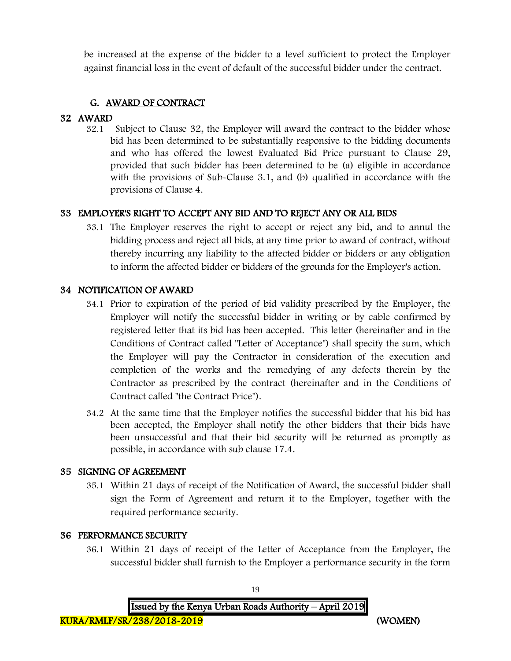be increased at the expense of the bidder to a level sufficient to protect the Employer against financial loss in the event of default of the successful bidder under the contract.

## G. AWARD OF CONTRACT

## 32 AWARD

32.1 Subject to Clause 32, the Employer will award the contract to the bidder whose bid has been determined to be substantially responsive to the bidding documents and who has offered the lowest Evaluated Bid Price pursuant to Clause 29, provided that such bidder has been determined to be (a) eligible in accordance with the provisions of Sub-Clause 3.1, and (b) qualified in accordance with the provisions of Clause 4.

## 33 EMPLOYER'S RIGHT TO ACCEPT ANY BID AND TO REJECT ANY OR ALL BIDS

33.1 The Employer reserves the right to accept or reject any bid, and to annul the bidding process and reject all bids, at any time prior to award of contract, without thereby incurring any liability to the affected bidder or bidders or any obligation to inform the affected bidder or bidders of the grounds for the Employer's action.

## 34 NOTIFICATION OF AWARD

- 34.1 Prior to expiration of the period of bid validity prescribed by the Employer, the Employer will notify the successful bidder in writing or by cable confirmed by registered letter that its bid has been accepted. This letter (hereinafter and in the Conditions of Contract called "Letter of Acceptance") shall specify the sum, which the Employer will pay the Contractor in consideration of the execution and completion of the works and the remedying of any defects therein by the Contractor as prescribed by the contract (hereinafter and in the Conditions of Contract called "the Contract Price").
- 34.2 At the same time that the Employer notifies the successful bidder that his bid has been accepted, the Employer shall notify the other bidders that their bids have been unsuccessful and that their bid security will be returned as promptly as possible, in accordance with sub clause 17.4.

#### 35 SIGNING OF AGREEMENT

35.1 Within 21 days of receipt of the Notification of Award, the successful bidder shall sign the Form of Agreement and return it to the Employer, together with the required performance security.

#### 36 PERFORMANCE SECURITY

36.1 Within 21 days of receipt of the Letter of Acceptance from the Employer, the successful bidder shall furnish to the Employer a performance security in the form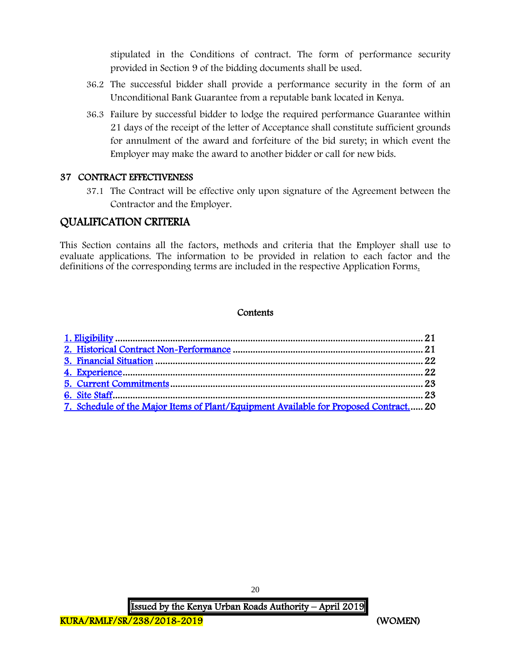stipulated in the Conditions of contract. The form of performance security provided in Section 9 of the bidding documents shall be used.

- 36.2 The successful bidder shall provide a performance security in the form of an Unconditional Bank Guarantee from a reputable bank located in Kenya.
- 36.3 Failure by successful bidder to lodge the required performance Guarantee within 21 days of the receipt of the letter of Acceptance shall constitute sufficient grounds for annulment of the award and forfeiture of the bid surety; in which event the Employer may make the award to another bidder or call for new bids.

#### 37 CONTRACT EFFECTIVENESS

37.1 The Contract will be effective only upon signature of the Agreement between the Contractor and the Employer.

## <span id="page-20-0"></span>QUALIFICATION CRITERIA

This Section contains all the factors, methods and criteria that the Employer shall use to evaluate applications. The information to be provided in relation to each factor and the definitions of the corresponding terms are included in the respective Application Forms.

#### **Contents**

| 7. Schedule of the Major Items of Plant/Equipment Available for Proposed Contract 20 |  |
|--------------------------------------------------------------------------------------|--|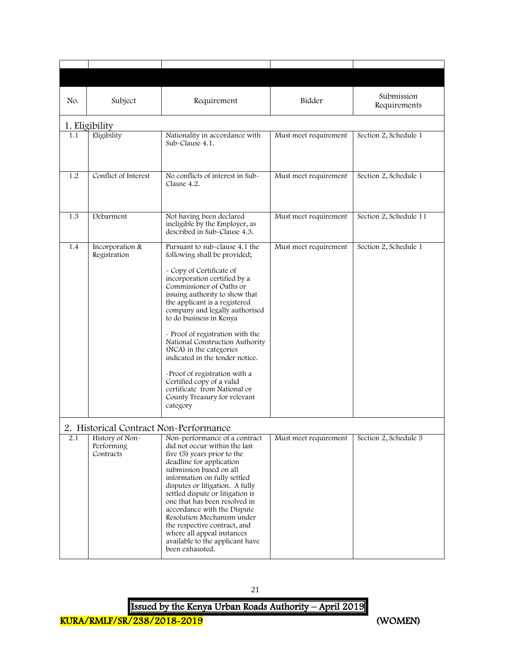<span id="page-21-1"></span><span id="page-21-0"></span>

| No.            | Subject                                    | Requirement                                                                                                                                                                                                                                                                                                                                                                                                                                                                                                                                                           | Bidder                | Submission<br>Requirements |  |
|----------------|--------------------------------------------|-----------------------------------------------------------------------------------------------------------------------------------------------------------------------------------------------------------------------------------------------------------------------------------------------------------------------------------------------------------------------------------------------------------------------------------------------------------------------------------------------------------------------------------------------------------------------|-----------------------|----------------------------|--|
| 1. Eligibility |                                            |                                                                                                                                                                                                                                                                                                                                                                                                                                                                                                                                                                       |                       |                            |  |
| 1.1            | Eligibility                                | Nationality in accordance with<br>Sub-Clause 4.1.                                                                                                                                                                                                                                                                                                                                                                                                                                                                                                                     | Must meet requirement | Section 2, Schedule 1      |  |
| 1.2            | Conflict of Interest                       | No conflicts of interest in Sub-<br>Clause 4.2.                                                                                                                                                                                                                                                                                                                                                                                                                                                                                                                       | Must meet requirement | Section 2, Schedule 1      |  |
| 1.3            | Debarment                                  | Not having been declared<br>ineligible by the Employer, as<br>described in Sub-Clause 4.3.                                                                                                                                                                                                                                                                                                                                                                                                                                                                            | Must meet requirement | Section 2, Schedule 11     |  |
| 1.4            | Incorporation &<br>Registration            | Pursuant to sub-clause 4.1 the<br>following shall be provided;<br>- Copy of Certificate of<br>incorporation certified by a<br>Commissioner of Oaths or<br>issuing authority to show that<br>the applicant is a registered<br>company and legally authorised<br>to do business in Kenya<br>- Proof of registration with the<br>National Construction Authority<br>(NCA) in the categories<br>indicated in the tender notice.<br>-Proof of registration with a<br>Certified copy of a valid<br>certificate from National or<br>County Treasury for relevant<br>category | Must meet requirement | Section 2, Schedule 1      |  |
|                | 2. Historical Contract Non-Performance     |                                                                                                                                                                                                                                                                                                                                                                                                                                                                                                                                                                       |                       |                            |  |
| 2.1            | History of Non-<br>Performing<br>Contracts | Non-performance of a contract<br>did not occur within the last<br>five (5) years prior to the<br>deadline for application<br>submission based on all<br>information on fully settled<br>disputes or litigation. A fully<br>settled dispute or litigation is<br>one that has been resolved in<br>accordance with the Dispute<br>Resolution Mechanism under<br>the respective contract, and<br>where all appeal instances<br>available to the applicant have<br>been exhausted.                                                                                         | Must meet requirement | Section 2, Schedule 5      |  |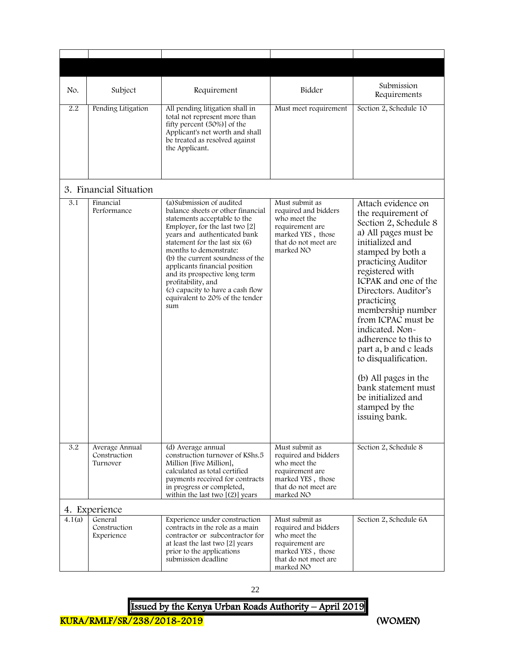<span id="page-22-1"></span><span id="page-22-0"></span>

| No.    | Subject                                    | Requirement                                                                                                                                                                                                                                                                                                                                                                                                                            | Bidder                                                                                                                              | Submission<br>Requirements                                                                                                                                                                                                                                                                                                                                                                                                                                                              |
|--------|--------------------------------------------|----------------------------------------------------------------------------------------------------------------------------------------------------------------------------------------------------------------------------------------------------------------------------------------------------------------------------------------------------------------------------------------------------------------------------------------|-------------------------------------------------------------------------------------------------------------------------------------|-----------------------------------------------------------------------------------------------------------------------------------------------------------------------------------------------------------------------------------------------------------------------------------------------------------------------------------------------------------------------------------------------------------------------------------------------------------------------------------------|
| 2.2    | Pending Litigation                         | All pending litigation shall in<br>total not represent more than<br>fifty percent (50%)] of the<br>Applicant's net worth and shall<br>be treated as resolved against<br>the Applicant.                                                                                                                                                                                                                                                 | Must meet requirement                                                                                                               | Section 2, Schedule 10                                                                                                                                                                                                                                                                                                                                                                                                                                                                  |
|        | 3. Financial Situation                     |                                                                                                                                                                                                                                                                                                                                                                                                                                        |                                                                                                                                     |                                                                                                                                                                                                                                                                                                                                                                                                                                                                                         |
| 3.1    | Financial<br>Performance                   | (a) Submission of audited<br>balance sheets or other financial<br>statements acceptable to the<br>Employer, for the last two [2]<br>years and authenticated bank<br>statement for the last six (6)<br>months to demonstrate:<br>(b) the current soundness of the<br>applicants financial position<br>and its prospective long term<br>profitability, and<br>(c) capacity to have a cash flow<br>equivalent to 20% of the tender<br>sum | Must submit as<br>required and bidders<br>who meet the<br>requirement are<br>marked YES, those<br>that do not meet are<br>marked NO | Attach evidence on<br>the requirement of<br>Section 2, Schedule 8<br>a) All pages must be<br>initialized and<br>stamped by both a<br>practicing Auditor<br>registered with<br>ICPAK and one of the<br>Directors. Auditor's<br>practicing<br>membership number<br>from ICPAC must be<br>indicated. Non-<br>adherence to this to<br>part a, b and c leads<br>to disqualification.<br>(b) All pages in the<br>bank statement must<br>be initialized and<br>stamped by the<br>issuing bank. |
| 3.2    | Average Annual<br>Construction<br>Turnover | (d) Average annual<br>construction turnover of KShs.5<br>Million [Five Million],<br>calculated as total certified<br>payments received for contracts<br>in progress or completed,<br>within the last two $[(2)]$ years                                                                                                                                                                                                                 | Must submit as<br>required and bidders<br>who meet the<br>requirement are<br>marked YES, those<br>that do not meet are<br>marked NO | Section 2, Schedule 8                                                                                                                                                                                                                                                                                                                                                                                                                                                                   |
|        | 4. Experience                              |                                                                                                                                                                                                                                                                                                                                                                                                                                        |                                                                                                                                     |                                                                                                                                                                                                                                                                                                                                                                                                                                                                                         |
| 4.1(a) | General<br>Construction<br>Experience      | Experience under construction<br>contracts in the role as a main<br>contractor or subcontractor for<br>at least the last two [2] years<br>prior to the applications<br>submission deadline                                                                                                                                                                                                                                             | Must submit as<br>required and bidders<br>who meet the<br>requirement are<br>marked YES, those<br>that do not meet are<br>marked NO | Section 2, Schedule 6A                                                                                                                                                                                                                                                                                                                                                                                                                                                                  |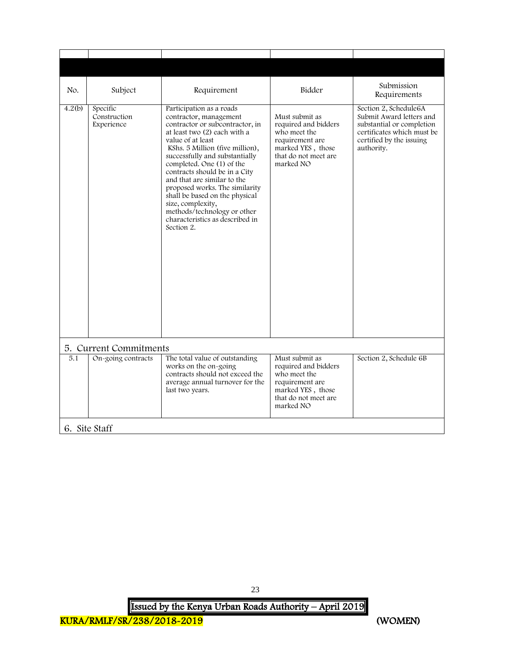<span id="page-23-1"></span><span id="page-23-0"></span>

| No.    | Subject                                | Requirement                                                                                                                                                                                                                                                                                                                                                                                                                                                                           | Bidder                                                                                                                              | Submission<br>Requirements                                                                                                                             |
|--------|----------------------------------------|---------------------------------------------------------------------------------------------------------------------------------------------------------------------------------------------------------------------------------------------------------------------------------------------------------------------------------------------------------------------------------------------------------------------------------------------------------------------------------------|-------------------------------------------------------------------------------------------------------------------------------------|--------------------------------------------------------------------------------------------------------------------------------------------------------|
| 4.2(b) | Specific<br>Construction<br>Experience | Participation as a roads<br>contractor, management<br>contractor or subcontractor, in<br>at least two (2) each with a<br>value of at least<br>KShs. 5 Million (five million),<br>successfully and substantially<br>completed. One (1) of the<br>contracts should be in a City<br>and that are similar to the<br>proposed works. The similarity<br>shall be based on the physical<br>size, complexity,<br>methods/technology or other<br>characteristics as described in<br>Section 2. | Must submit as<br>required and bidders<br>who meet the<br>requirement are<br>marked YES, those<br>that do not meet are<br>marked NO | Section 2, Schedule6A<br>Submit Award letters and<br>substantial or completion<br>certificates which must be<br>certified by the issuing<br>authority. |
|        | 5. Current Commitments                 |                                                                                                                                                                                                                                                                                                                                                                                                                                                                                       |                                                                                                                                     |                                                                                                                                                        |
| 5.1    | On-going contracts                     | The total value of outstanding<br>works on the on-going<br>contracts should not exceed the<br>average annual turnover for the<br>last two years.                                                                                                                                                                                                                                                                                                                                      | Must submit as<br>required and bidders<br>who meet the<br>requirement are<br>marked YES, those<br>that do not meet are<br>marked NO | Section 2, Schedule 6B                                                                                                                                 |
|        | 6. Site Staff                          |                                                                                                                                                                                                                                                                                                                                                                                                                                                                                       |                                                                                                                                     |                                                                                                                                                        |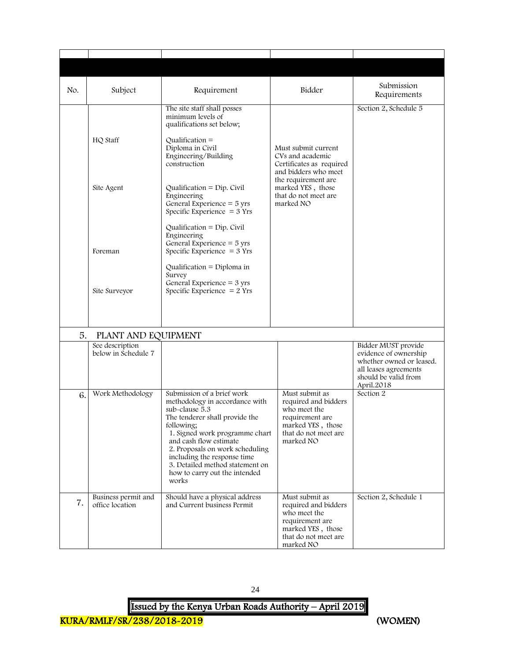| No. | Subject                                | Requirement                                                                                                                                                                                                                                                                                                                               | Bidder                                                                                                                              | Submission<br>Requirements                                                                                                              |
|-----|----------------------------------------|-------------------------------------------------------------------------------------------------------------------------------------------------------------------------------------------------------------------------------------------------------------------------------------------------------------------------------------------|-------------------------------------------------------------------------------------------------------------------------------------|-----------------------------------------------------------------------------------------------------------------------------------------|
|     | HQ Staff                               | The site staff shall posses<br>minimum levels of<br>qualifications set below;<br>Qualification $=$<br>Diploma in Civil<br>Engineering/Building<br>construction                                                                                                                                                                            | Must submit current<br>CVs and academic<br>Certificates as required                                                                 | Section 2, Schedule 5                                                                                                                   |
|     | Site Agent                             | Qualification = Dip. Civil<br>Engineering<br>General Experience $=$ 5 yrs<br>Specific Experience $=$ 3 Yrs                                                                                                                                                                                                                                | and bidders who meet<br>the requirement are<br>marked YES, those<br>that do not meet are<br>marked NO                               |                                                                                                                                         |
|     | Foreman                                | Qualification = $Dip$ . Civil<br>Engineering<br>General Experience = 5 yrs<br>Specific Experience $=$ 3 Yrs                                                                                                                                                                                                                               |                                                                                                                                     |                                                                                                                                         |
|     | Site Surveyor                          | Qualification = Diploma in<br>Survey<br>General Experience = $3$ yrs<br>Specific Experience $= 2$ Yrs                                                                                                                                                                                                                                     |                                                                                                                                     |                                                                                                                                         |
| 5.  | PLANT AND EQUIPMENT                    |                                                                                                                                                                                                                                                                                                                                           |                                                                                                                                     |                                                                                                                                         |
|     | See description<br>below in Schedule 7 |                                                                                                                                                                                                                                                                                                                                           |                                                                                                                                     | Bidder MUST provide<br>evidence of ownership<br>whether owned or leased.<br>all leases agreements<br>should be valid from<br>April.2018 |
| 6.  | Work Methodology                       | Submission of a brief work<br>methodology in accordance with<br>sub-clause 5.3<br>The tenderer shall provide the<br>following;<br>1. Signed work programme chart<br>and cash flow estimate<br>2. Proposals on work scheduling<br>including the response time<br>3. Detailed method statement on<br>how to carry out the intended<br>works | Must submit as<br>required and bidders<br>who meet the<br>requirement are<br>marked YES, those<br>that do not meet are<br>marked NO | Section 2                                                                                                                               |
| 7.  | Business permit and<br>office location | Should have a physical address<br>and Current business Permit                                                                                                                                                                                                                                                                             | Must submit as<br>required and bidders<br>who meet the<br>requirement are<br>marked YES, those<br>that do not meet are<br>marked NO | Section 2, Schedule 1                                                                                                                   |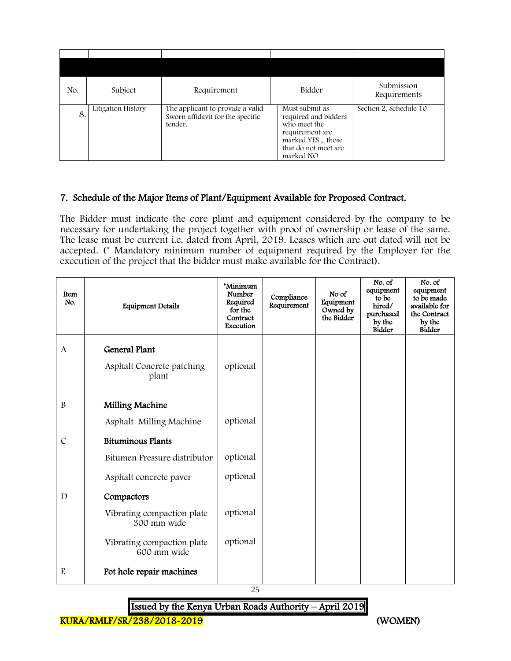| No. | Subject            | Requirement                                                                     | Bidder                                                                                                                              | Submission<br>Requirements |
|-----|--------------------|---------------------------------------------------------------------------------|-------------------------------------------------------------------------------------------------------------------------------------|----------------------------|
| 8.  | Litigation History | The applicant to provide a valid<br>Sworn affidavit for the specific<br>tender. | Must submit as<br>required and bidders<br>who meet the<br>requirement are<br>marked YES, those<br>that do not meet are<br>marked NO | Section 2, Schedule 10     |

## 7. Schedule of the Major Items of Plant/Equipment Available for Proposed Contract.

The Bidder must indicate the core plant and equipment considered by the company to be necessary for undertaking the project together with proof of ownership or lease of the same. The lease must be current i.e. dated from April, 2019. Leases which are out dated will not be accepted. (\* Mandatory minimum number of equipment required by the Employer for the execution of the project that the bidder must make available for the Contract).

| Item<br>No.      | <b>Equipment Details</b>                                                                                                         | *Minimum<br>Number<br>Required<br>for the<br>Contract<br>Execution | Compliance<br>Requirement | No of<br>Equipment<br>Owned by<br>the Bidder | No. of<br>equipment<br>to be<br>hired/<br>purchased<br>by the<br><b>Bidder</b> | No. of<br>equipment<br>to be made<br>available for<br>the Contract<br>by the<br><b>Bidder</b> |
|------------------|----------------------------------------------------------------------------------------------------------------------------------|--------------------------------------------------------------------|---------------------------|----------------------------------------------|--------------------------------------------------------------------------------|-----------------------------------------------------------------------------------------------|
| A                | <b>General Plant</b><br>Asphalt Concrete patching<br>plant                                                                       | optional                                                           |                           |                                              |                                                                                |                                                                                               |
| B                | Milling Machine<br>Asphalt Milling Machine                                                                                       | optional                                                           |                           |                                              |                                                                                |                                                                                               |
| $\mathcal{C}$    | <b>Bituminous Plants</b><br>Bitumen Pressure distributor<br>Asphalt concrete paver                                               | optional<br>optional                                               |                           |                                              |                                                                                |                                                                                               |
| D<br>$\mathbf E$ | Compactors<br>Vibrating compaction plate<br>300 mm wide<br>Vibrating compaction plate<br>600 mm wide<br>Pot hole repair machines | optional<br>optional                                               |                           |                                              |                                                                                |                                                                                               |
|                  |                                                                                                                                  | 25                                                                 |                           |                                              |                                                                                |                                                                                               |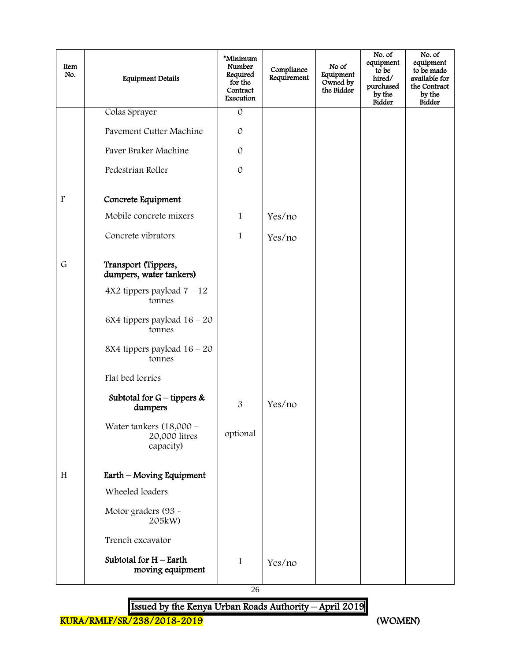| Item<br>No.               | <b>Equipment Details</b>                                | *Minimum<br>Number<br>Required<br>for the<br>Contract<br>Execution | Compliance<br>Requirement | No of<br>Equipment<br>Owned by<br>the Bidder | No. of<br>equipment<br>to be<br>hired/<br>purchased<br>by the<br><b>Bidder</b> | No. of<br>equipment<br>to be made<br>available for<br>the Contract<br>by the<br><b>Bidder</b> |
|---------------------------|---------------------------------------------------------|--------------------------------------------------------------------|---------------------------|----------------------------------------------|--------------------------------------------------------------------------------|-----------------------------------------------------------------------------------------------|
|                           | Colas Sprayer                                           | $\overline{0}$                                                     |                           |                                              |                                                                                |                                                                                               |
|                           | Pavement Cutter Machine                                 | $\circ$                                                            |                           |                                              |                                                                                |                                                                                               |
|                           | Paver Braker Machine                                    | $\mathcal{O}$                                                      |                           |                                              |                                                                                |                                                                                               |
|                           | Pedestrian Roller                                       | $\mathcal{O}$                                                      |                           |                                              |                                                                                |                                                                                               |
| $\boldsymbol{\mathrm{F}}$ | Concrete Equipment                                      |                                                                    |                           |                                              |                                                                                |                                                                                               |
|                           | Mobile concrete mixers                                  | $\mathbf{1}$                                                       | Yes/no                    |                                              |                                                                                |                                                                                               |
|                           | Concrete vibrators                                      | $\mathbf{1}$                                                       | Yes/no                    |                                              |                                                                                |                                                                                               |
| $\mathsf G$               | Transport (Tippers,<br>dumpers, water tankers)          |                                                                    |                           |                                              |                                                                                |                                                                                               |
|                           | $4X2$ tippers payload $7 - 12$<br>tonnes                |                                                                    |                           |                                              |                                                                                |                                                                                               |
|                           | 6X4 tippers payload $16 - 20$<br>tonnes                 |                                                                    |                           |                                              |                                                                                |                                                                                               |
|                           | 8X4 tippers payload $16 - 20$<br>tonnes                 |                                                                    |                           |                                              |                                                                                |                                                                                               |
|                           | Flat bed lorries                                        |                                                                    |                           |                                              |                                                                                |                                                                                               |
|                           | Subtotal for $G$ – tippers &<br>dumpers                 | $\mathfrak{B}$                                                     | Yes/no                    |                                              |                                                                                |                                                                                               |
|                           | Water tankers $(18,000 -$<br>20,000 litres<br>capacity) | optional                                                           |                           |                                              |                                                                                |                                                                                               |
| H                         | Earth - Moving Equipment                                |                                                                    |                           |                                              |                                                                                |                                                                                               |
|                           | Wheeled loaders                                         |                                                                    |                           |                                              |                                                                                |                                                                                               |
|                           | Motor graders (93 -<br>205kW)                           |                                                                    |                           |                                              |                                                                                |                                                                                               |
|                           | Trench excavator                                        |                                                                    |                           |                                              |                                                                                |                                                                                               |
|                           | Subtotal for $H$ – Earth<br>moving equipment            | $\mathbf{1}$                                                       | Yes/no                    |                                              |                                                                                |                                                                                               |
|                           |                                                         | 26                                                                 |                           |                                              |                                                                                |                                                                                               |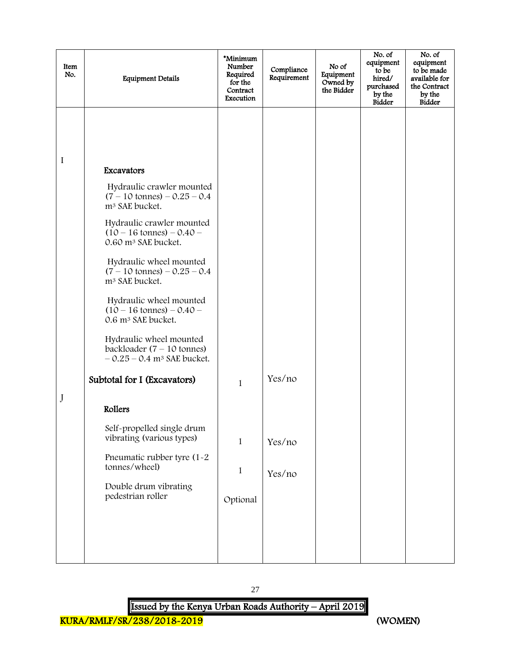| Item<br>No. | <b>Equipment Details</b>                                                                                    | *Minimum<br>Number<br>Required<br>for the<br>Contract<br>Execution | Compliance<br>Requirement | No of<br>Equipment<br>Owned by<br>the Bidder | No. of<br>equipment<br>to be<br>hired/<br>purchased<br>by the<br><b>Bidder</b> | No. of<br>equipment<br>to be made<br>available for<br>the Contract<br>by the<br>Bidder |
|-------------|-------------------------------------------------------------------------------------------------------------|--------------------------------------------------------------------|---------------------------|----------------------------------------------|--------------------------------------------------------------------------------|----------------------------------------------------------------------------------------|
|             |                                                                                                             |                                                                    |                           |                                              |                                                                                |                                                                                        |
|             |                                                                                                             |                                                                    |                           |                                              |                                                                                |                                                                                        |
| $\mathbf I$ | Excavators                                                                                                  |                                                                    |                           |                                              |                                                                                |                                                                                        |
|             | Hydraulic crawler mounted<br>$(7 - 10 \text{ tonnes}) - 0.25 - 0.4$<br>m <sup>3</sup> SAE bucket.           |                                                                    |                           |                                              |                                                                                |                                                                                        |
|             | Hydraulic crawler mounted<br>$(10 - 16 \text{ tonnes}) - 0.40 -$<br>0.60 m <sup>3</sup> SAE bucket.         |                                                                    |                           |                                              |                                                                                |                                                                                        |
|             | Hydraulic wheel mounted<br>$(7 - 10 \text{ tonnes}) - 0.25 - 0.4$<br>m <sup>3</sup> SAE bucket.             |                                                                    |                           |                                              |                                                                                |                                                                                        |
|             | Hydraulic wheel mounted<br>$(10 - 16 \text{ tonnes}) - 0.40 -$<br>0.6 m <sup>3</sup> SAE bucket.            |                                                                    |                           |                                              |                                                                                |                                                                                        |
|             | Hydraulic wheel mounted<br>backloader $(7 - 10 \text{ tonnes})$<br>$-0.25 - 0.4$ m <sup>3</sup> SAE bucket. |                                                                    |                           |                                              |                                                                                |                                                                                        |
|             | Subtotal for I (Excavators)                                                                                 | $\mathbf{1}$                                                       | Yes/no                    |                                              |                                                                                |                                                                                        |
| J           | Rollers                                                                                                     |                                                                    |                           |                                              |                                                                                |                                                                                        |
|             | Self-propelled single drum<br>vibrating (various types)                                                     | $\mathbf{1}$                                                       | Yes/no                    |                                              |                                                                                |                                                                                        |
|             | Pneumatic rubber tyre (1-2<br>tonnes/wheel)                                                                 | $\mathbf{1}$                                                       | Yes/no                    |                                              |                                                                                |                                                                                        |
|             | Double drum vibrating<br>pedestrian roller                                                                  | Optional                                                           |                           |                                              |                                                                                |                                                                                        |
|             |                                                                                                             |                                                                    |                           |                                              |                                                                                |                                                                                        |
|             |                                                                                                             |                                                                    |                           |                                              |                                                                                |                                                                                        |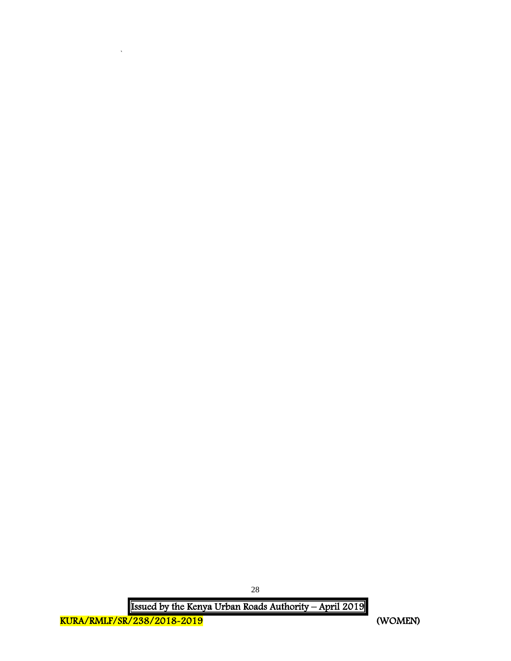<span id="page-28-0"></span> $\bar{\mathbf{v}}$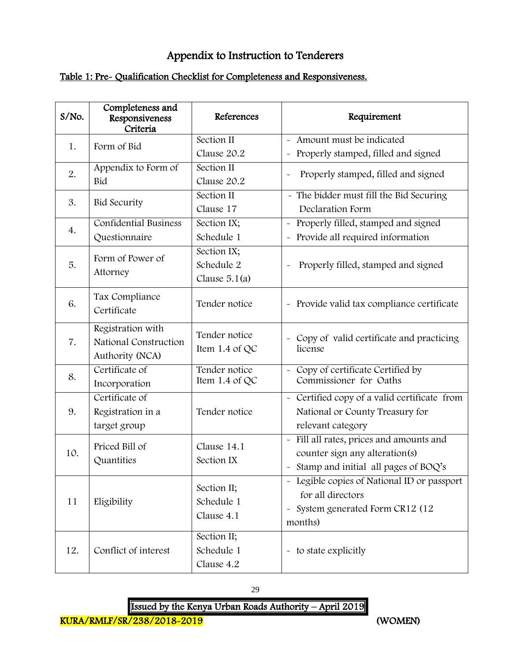# Appendix to Instruction to Tenderers

## Table 1: Pre- Qualification Checklist for Completeness and Responsiveness.

| S/No. | Completeness and<br>Responsiveness<br>Criteria                | References                                   | Requirement                                                                                                                            |
|-------|---------------------------------------------------------------|----------------------------------------------|----------------------------------------------------------------------------------------------------------------------------------------|
| 1.    | Form of Bid                                                   | Section II<br>Clause 20.2                    | - Amount must be indicated<br>- Properly stamped, filled and signed                                                                    |
| 2.    | Appendix to Form of<br>Bid                                    | Section II<br>Clause 20.2                    | Properly stamped, filled and signed<br>$\tilde{}$                                                                                      |
| 3.    | <b>Bid Security</b>                                           | Section II<br>Clause 17                      | - The bidder must fill the Bid Securing<br>Declaration Form                                                                            |
| 4.    | <b>Confidential Business</b><br>Questionnaire                 | Section IX;<br>Schedule 1                    | - Properly filled, stamped and signed<br>Provide all required information                                                              |
| 5.    | Form of Power of<br>Attorney                                  | Section IX;<br>Schedule 2<br>Clause $5.1(a)$ | Properly filled, stamped and signed                                                                                                    |
| 6.    | Tax Compliance<br>Certificate                                 | Tender notice                                | - Provide valid tax compliance certificate                                                                                             |
| 7.    | Registration with<br>National Construction<br>Authority (NCA) | Tender notice<br>Item 1.4 of QC              | Copy of valid certificate and practicing<br>license                                                                                    |
| 8.    | Certificate of<br>Incorporation                               | Tender notice<br>Item 1.4 of QC              | - Copy of certificate Certified by<br>Commissioner for Oaths                                                                           |
| 9.    | Certificate of<br>Registration in a<br>target group           | Tender notice                                | - Certified copy of a valid certificate from<br>National or County Treasury for<br>relevant category                                   |
| 10.   | Priced Bill of<br>Quantities                                  | Clause 14.1<br>Section IX                    | - Fill all rates, prices and amounts and<br>counter sign any alteration(s)<br>- Stamp and initial all pages of BOQ's                   |
| 11    | Eligibility                                                   | Section II;<br>Schedule 1<br>Clause 4.1      | - Legible copies of National ID or passport<br>for all directors<br>System generated Form CR12 (12<br>$\tilde{\phantom{a}}$<br>months) |
| 12.   | Conflict of interest                                          | Section II;<br>Schedule 1<br>Clause 4.2      | - to state explicitly                                                                                                                  |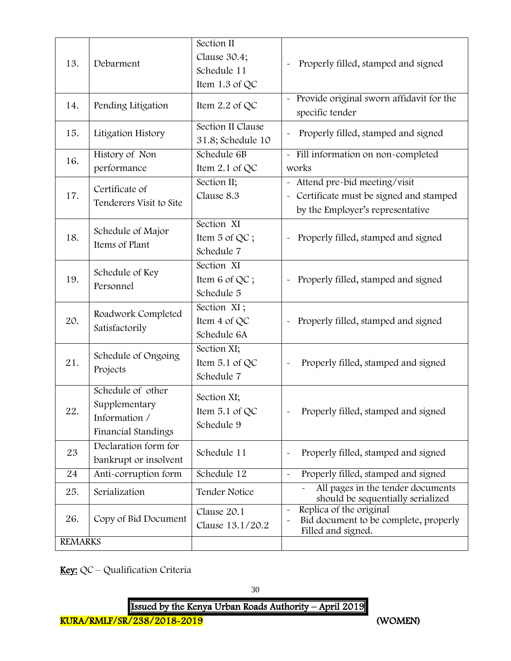| 13.            | Debarment                                                                  | Section II<br>Clause 30.4;<br>Schedule 11<br>Item 1.3 of QC | Properly filled, stamped and signed                                                                                                       |
|----------------|----------------------------------------------------------------------------|-------------------------------------------------------------|-------------------------------------------------------------------------------------------------------------------------------------------|
| 14.            | Pending Litigation                                                         | Item $2.2$ of QC                                            | Provide original sworn affidavit for the<br>specific tender                                                                               |
| 15.            | Litigation History                                                         | Section II Clause<br>31.8; Schedule 10                      | Properly filled, stamped and signed                                                                                                       |
| 16.            | History of Non<br>performance                                              | Schedule 6B<br>Item 2.1 of QC                               | - Fill information on non-completed<br>works                                                                                              |
| 17.            | Certificate of<br>Tenderers Visit to Site                                  | Section II;<br>Clause 8.3                                   | - Attend pre-bid meeting/visit<br>Certificate must be signed and stamped<br>$\widetilde{\phantom{m}}$<br>by the Employer's representative |
| 18.            | Schedule of Major<br>Items of Plant                                        | Section XI<br>Item 5 of QC;<br>Schedule 7                   | Properly filled, stamped and signed<br>$\ddot{\phantom{0}}$                                                                               |
| 19.            | Schedule of Key<br>Personnel                                               | Section XI<br>Item 6 of QC;<br>Schedule 5                   | Properly filled, stamped and signed                                                                                                       |
| 20.            | Roadwork Completed<br>Satisfactorily                                       | Section XI;<br>Item 4 of QC<br>Schedule 6A                  | Properly filled, stamped and signed                                                                                                       |
| 21.            | Schedule of Ongoing<br>Projects                                            | Section XI;<br>Item 5.1 of QC<br>Schedule 7                 | Properly filled, stamped and signed                                                                                                       |
| 22.            | Schedule of other<br>Supplementary<br>Information /<br>Financial Standings | Section XI;<br>Item $5.1$ of QC<br>Schedule 9               | Properly filled, stamped and signed                                                                                                       |
| 23             | Declaration form for<br>bankrupt or insolvent                              | Schedule 11                                                 | Properly filled, stamped and signed<br>$\ddot{\phantom{0}}$                                                                               |
| 24             | Anti-corruption form                                                       | Schedule 12                                                 | Properly filled, stamped and signed<br>$\tilde{}$                                                                                         |
| 25.            | Serialization                                                              | <b>Tender Notice</b>                                        | All pages in the tender documents<br>should be sequentially serialized                                                                    |
| 26.            | Copy of Bid Document                                                       | Clause 20.1<br>Clause 13.1/20.2                             | Replica of the original<br>$\tilde{}$<br>Bid document to be complete, properly<br>$\tilde{}$<br>Filled and signed.                        |
| <b>REMARKS</b> |                                                                            |                                                             |                                                                                                                                           |

Key: QC – Qualification Criteria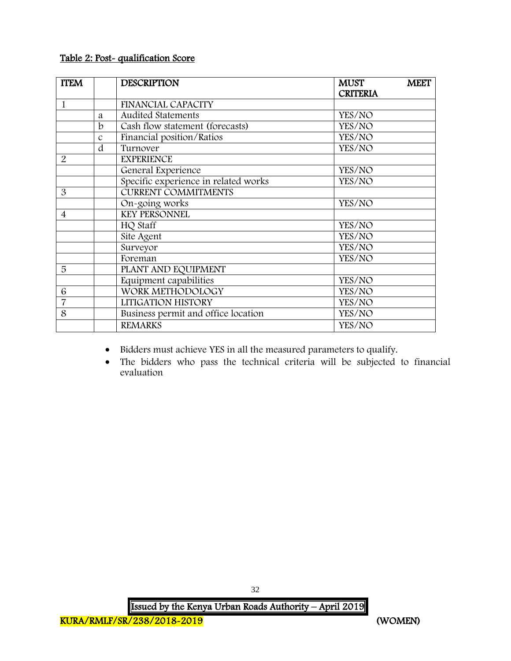#### Table 2: Post- qualification Score

| <b>ITEM</b>    |               | <b>DESCRIPTION</b>                   | <b>MEET</b><br><b>MUST</b><br><b>CRITERIA</b> |
|----------------|---------------|--------------------------------------|-----------------------------------------------|
| 1              |               | FINANCIAL CAPACITY                   |                                               |
|                | a             | <b>Audited Statements</b>            | YES/NO                                        |
|                | b             | Cash flow statement (forecasts)      | YES/NO                                        |
|                | $\mathcal{C}$ | Financial position/Ratios            | YES/NO                                        |
|                | d             | Turnover                             | YES/NO                                        |
| $\overline{2}$ |               | <b>EXPERIENCE</b>                    |                                               |
|                |               | General Experience                   | YES/NO                                        |
|                |               | Specific experience in related works | YES/NO                                        |
| 3              |               | <b>CURRENT COMMITMENTS</b>           |                                               |
|                |               | On-going works                       | YES/NO                                        |
| $\overline{4}$ |               | <b>KEY PERSONNEL</b>                 |                                               |
|                |               | HQ Staff                             | YES/NO                                        |
|                |               | Site Agent                           | YES/NO                                        |
|                |               | Surveyor                             | YES/NO                                        |
|                |               | Foreman                              | YES/NO                                        |
| 5              |               | PLANT AND EQUIPMENT                  |                                               |
|                |               | Equipment capabilities               | YES/NO                                        |
| 6              |               | WORK METHODOLOGY                     | YES/NO                                        |
| $\overline{7}$ |               | LITIGATION HISTORY                   | YES/NO                                        |
| 8              |               | Business permit and office location  | YES/NO                                        |
|                |               | <b>REMARKS</b>                       | YES/NO                                        |

• Bidders must achieve YES in all the measured parameters to qualify.

 The bidders who pass the technical criteria will be subjected to financial evaluation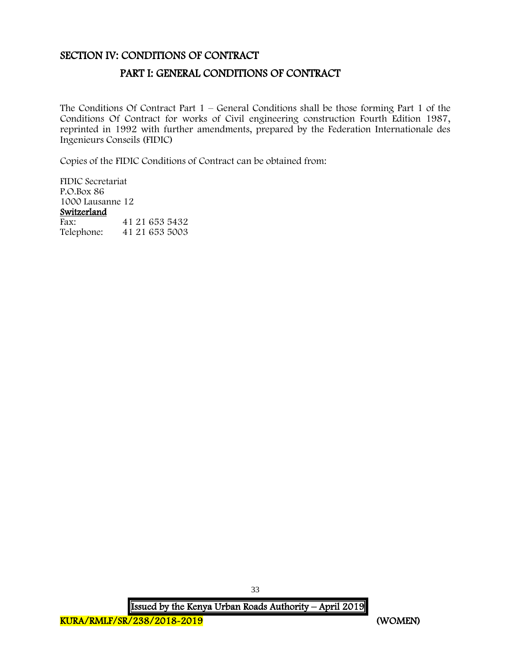### <span id="page-33-1"></span><span id="page-33-0"></span>SECTION IV: CONDITIONS OF CONTRACT

## PART I: GENERAL CONDITIONS OF CONTRACT

The Conditions Of Contract Part  $1$  – General Conditions shall be those forming Part 1 of the Conditions Of Contract for works of Civil engineering construction Fourth Edition 1987, reprinted in 1992 with further amendments, prepared by the Federation Internationale des Ingenieurs Conseils (FIDIC)

Copies of the FIDIC Conditions of Contract can be obtained from:

FIDIC Secretariat P.O.Box 86 1000 Lausanne 12 Switzerland<br>Fax: Fax: 41 21 653 5432 Telephone: 41 21 653 5003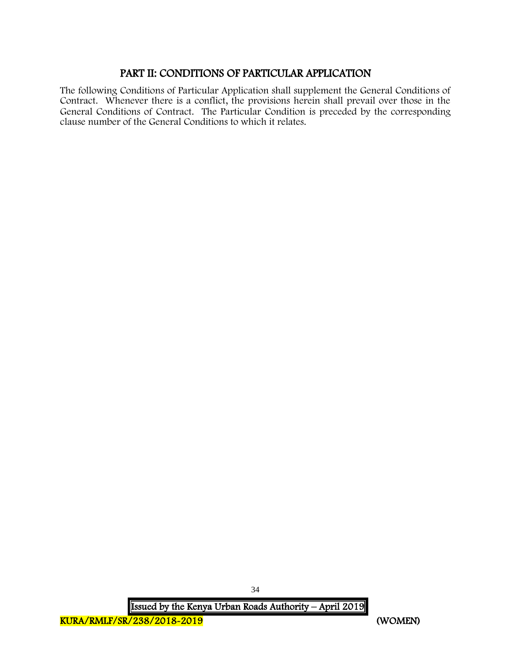## PART II: CONDITIONS OF PARTICULAR APPLICATION

<span id="page-34-0"></span>The following Conditions of Particular Application shall supplement the General Conditions of Contract. Whenever there is a conflict, the provisions herein shall prevail over those in the General Conditions of Contract. The Particular Condition is preceded by the corresponding clause number of the General Conditions to which it relates.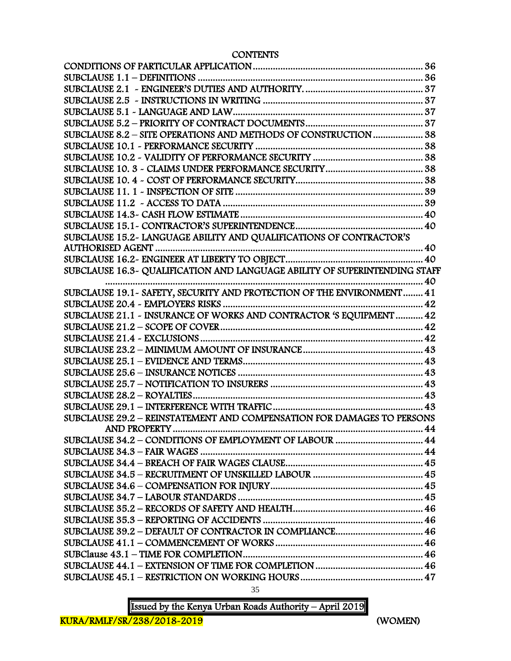#### **CONTENTS**

| SUBCLAUSE 8.2 - SITE OPERATIONS AND METHODS OF CONSTRUCTION  38        |  |
|------------------------------------------------------------------------|--|
|                                                                        |  |
|                                                                        |  |
|                                                                        |  |
|                                                                        |  |
|                                                                        |  |
|                                                                        |  |
|                                                                        |  |
|                                                                        |  |
| SUBCLAUSE 15.2~ LANGUAGE ABILITY AND QUALIFICATIONS OF CONTRACTOR'S    |  |
|                                                                        |  |
|                                                                        |  |
|                                                                        |  |
|                                                                        |  |
| SUBCLAUSE 19.1 - SAFETY, SECURITY AND PROTECTION OF THE ENVIRONMENT 41 |  |
|                                                                        |  |
| SUBCLAUSE 21.1 - INSURANCE OF WORKS AND CONTRACTOR 'S EQUIPMENT  42    |  |
|                                                                        |  |
|                                                                        |  |
|                                                                        |  |
|                                                                        |  |
|                                                                        |  |
|                                                                        |  |
|                                                                        |  |
|                                                                        |  |
| SUBCLAUSE 29.2 - REINSTATEMENT AND COMPENSATION FOR DAMAGES TO PERSONS |  |
|                                                                        |  |
|                                                                        |  |
|                                                                        |  |
|                                                                        |  |
|                                                                        |  |
|                                                                        |  |
|                                                                        |  |
|                                                                        |  |
|                                                                        |  |
| SUBCLAUSE 39.2 - DEFAULT OF CONTRACTOR IN COMPLIANCE 46                |  |
|                                                                        |  |
|                                                                        |  |
|                                                                        |  |
|                                                                        |  |
| 35                                                                     |  |
|                                                                        |  |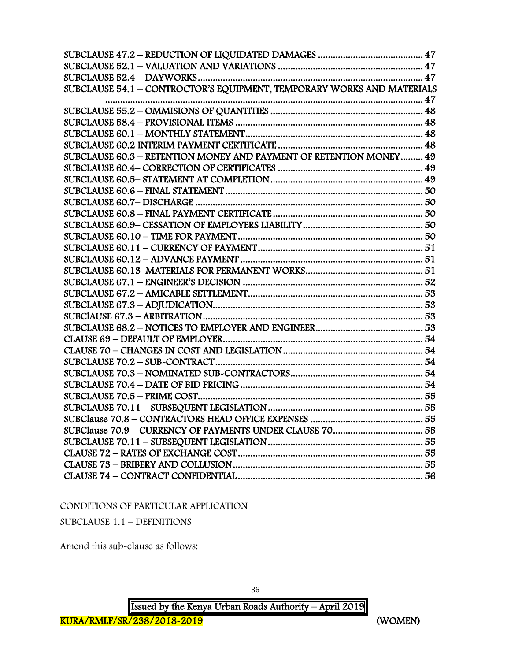| SUBCLAUSE 54.1 - CONTROCTOR'S EQUIPMENT, TEMPORARY WORKS AND MATERIALS |
|------------------------------------------------------------------------|
|                                                                        |
|                                                                        |
|                                                                        |
|                                                                        |
|                                                                        |
| SUBCLAUSE 60.3 - RETENTION MONEY AND PAYMENT OF RETENTION MONEY 49     |
|                                                                        |
|                                                                        |
|                                                                        |
|                                                                        |
|                                                                        |
|                                                                        |
|                                                                        |
|                                                                        |
|                                                                        |
|                                                                        |
|                                                                        |
|                                                                        |
|                                                                        |
|                                                                        |
|                                                                        |
|                                                                        |
|                                                                        |
|                                                                        |
|                                                                        |
|                                                                        |
|                                                                        |
|                                                                        |
|                                                                        |
|                                                                        |
|                                                                        |
|                                                                        |
|                                                                        |
|                                                                        |

CONDITIONS OF PARTICULAR APPLICATION

SUBCLAUSE 1.1 – DEFINITIONS

Amend this sub-clause as follows: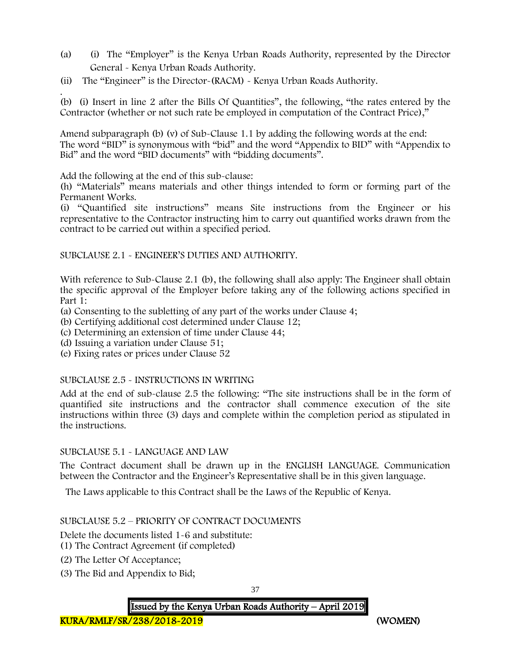- (a) (i) The "Employer" is the Kenya Urban Roads Authority, represented by the Director General - Kenya Urban Roads Authority.
- (ii) The "Engineer" is the Director-(RACM) Kenya Urban Roads Authority.

. (b) (i) Insert in line 2 after the Bills Of Quantities", the following, "the rates entered by the Contractor (whether or not such rate be employed in computation of the Contract Price),"

Amend subparagraph (b) (v) of Sub-Clause 1.1 by adding the following words at the end: The word "BID" is synonymous with "bid" and the word "Appendix to BID" with "Appendix to Bid" and the word "BID documents" with "bidding documents".

Add the following at the end of this sub-clause:

(h) "Materials" means materials and other things intended to form or forming part of the Permanent Works.

(i) "Quantified site instructions" means Site instructions from the Engineer or his representative to the Contractor instructing him to carry out quantified works drawn from the contract to be carried out within a specified period.

# SUBCLAUSE 2.1 - ENGINEER'S DUTIES AND AUTHORITY.

With reference to Sub-Clause 2.1 (b), the following shall also apply: The Engineer shall obtain the specific approval of the Employer before taking any of the following actions specified in Part 1:

(a) Consenting to the subletting of any part of the works under Clause 4;

(b) Certifying additional cost determined under Clause 12;

- (c) Determining an extension of time under Clause 44;
- (d) Issuing a variation under Clause 51;
- (e) Fixing rates or prices under Clause 52

# SUBCLAUSE 2.5 - INSTRUCTIONS IN WRITING

Add at the end of sub-clause 2.5 the following: "The site instructions shall be in the form of quantified site instructions and the contractor shall commence execution of the site instructions within three (3) days and complete within the completion period as stipulated in the instructions.

# SUBCLAUSE 5.1 - LANGUAGE AND LAW

The Contract document shall be drawn up in the ENGLISH LANGUAGE. Communication between the Contractor and the Engineer's Representative shall be in this given language.

The Laws applicable to this Contract shall be the Laws of the Republic of Kenya.

# SUBCLAUSE 5.2 – PRIORITY OF CONTRACT DOCUMENTS

Delete the documents listed 1-6 and substitute:

- (1) The Contract Agreement (if completed)
- (2) The Letter Of Acceptance;
- (3) The Bid and Appendix to Bid;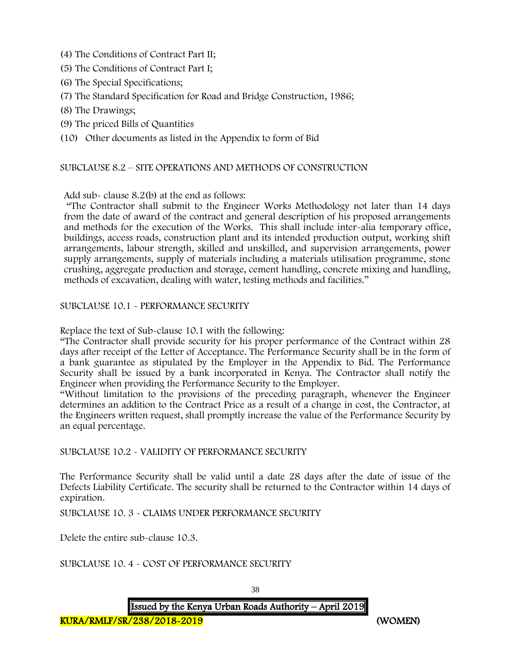- (4) The Conditions of Contract Part II;
- (5) The Conditions of Contract Part I;
- (6) The Special Specifications;
- (7) The Standard Specification for Road and Bridge Construction, 1986;
- (8) The Drawings;
- (9) The priced Bills of Quantities

(10) Other documents as listed in the Appendix to form of Bid

## SUBCLAUSE 8.2 – SITE OPERATIONS AND METHODS OF CONSTRUCTION

Add sub- clause 8.2(b) at the end as follows:

"The Contractor shall submit to the Engineer Works Methodology not later than 14 days from the date of award of the contract and general description of his proposed arrangements and methods for the execution of the Works. This shall include inter-alia temporary office, buildings, access roads, construction plant and its intended production output, working shift arrangements, labour strength, skilled and unskilled, and supervision arrangements, power supply arrangements, supply of materials including a materials utilisation programme, stone crushing, aggregate production and storage, cement handling, concrete mixing and handling, methods of excavation, dealing with water, testing methods and facilities."

#### SUBCLAUSE 10.1 - PERFORMANCE SECURITY

Replace the text of Sub-clause 10.1 with the following:

"The Contractor shall provide security for his proper performance of the Contract within 28 days after receipt of the Letter of Acceptance. The Performance Security shall be in the form of a bank guarantee as stipulated by the Employer in the Appendix to Bid. The Performance Security shall be issued by a bank incorporated in Kenya. The Contractor shall notify the Engineer when providing the Performance Security to the Employer.

"Without limitation to the provisions of the preceding paragraph, whenever the Engineer determines an addition to the Contract Price as a result of a change in cost, the Contractor, at the Engineers written request, shall promptly increase the value of the Performance Security by an equal percentage.

## SUBCLAUSE 10.2 - VALIDITY OF PERFORMANCE SECURITY

The Performance Security shall be valid until a date 28 days after the date of issue of the Defects Liability Certificate. The security shall be returned to the Contractor within 14 days of expiration.

SUBCLAUSE 10. 3 - CLAIMS UNDER PERFORMANCE SECURITY

Delete the entire sub-clause 10.3.

SUBCLAUSE 10. 4 - COST OF PERFORMANCE SECURITY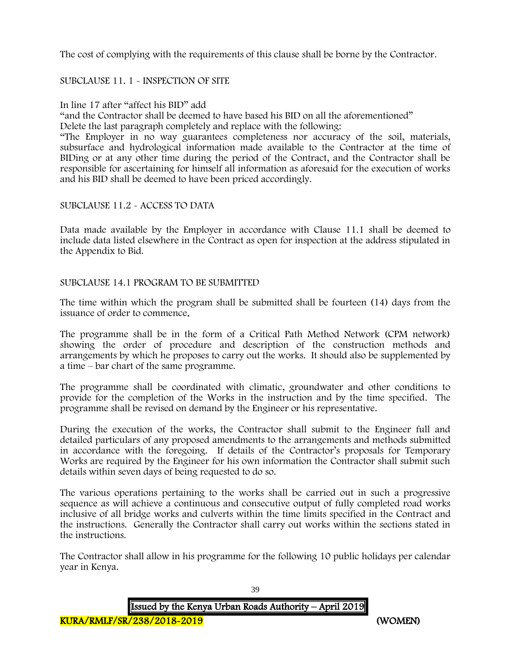The cost of complying with the requirements of this clause shall be borne by the Contractor.

## SUBCLAUSE 11. 1 - INSPECTION OF SITE

#### In line 17 after "affect his BID" add

"and the Contractor shall be deemed to have based his BID on all the aforementioned"

Delete the last paragraph completely and replace with the following:

"The Employer in no way guarantees completeness nor accuracy of the soil, materials, subsurface and hydrological information made available to the Contractor at the time of BIDing or at any other time during the period of the Contract, and the Contractor shall be responsible for ascertaining for himself all information as aforesaid for the execution of works and his BID shall be deemed to have been priced accordingly.

## SUBCLAUSE 11.2 - ACCESS TO DATA

Data made available by the Employer in accordance with Clause 11.1 shall be deemed to include data listed elsewhere in the Contract as open for inspection at the address stipulated in the Appendix to Bid.

#### SUBCLAUSE 14.1 PROGRAM TO BE SUBMITTED

The time within which the program shall be submitted shall be fourteen (14) days from the issuance of order to commence.

The programme shall be in the form of a Critical Path Method Network (CPM network) showing the order of procedure and description of the construction methods and arrangements by which he proposes to carry out the works. It should also be supplemented by a time – bar chart of the same programme.

The programme shall be coordinated with climatic, groundwater and other conditions to provide for the completion of the Works in the instruction and by the time specified. The programme shall be revised on demand by the Engineer or his representative.

During the execution of the works, the Contractor shall submit to the Engineer full and detailed particulars of any proposed amendments to the arrangements and methods submitted in accordance with the foregoing. If details of the Contractor's proposals for Temporary Works are required by the Engineer for his own information the Contractor shall submit such details within seven days of being requested to do so.

The various operations pertaining to the works shall be carried out in such a progressive sequence as will achieve a continuous and consecutive output of fully completed road works inclusive of all bridge works and culverts within the time limits specified in the Contract and the instructions. Generally the Contractor shall carry out works within the sections stated in the instructions.

The Contractor shall allow in his programme for the following 10 public holidays per calendar year in Kenya.

Issued by the Kenya Urban Roads Authority – April 2019

39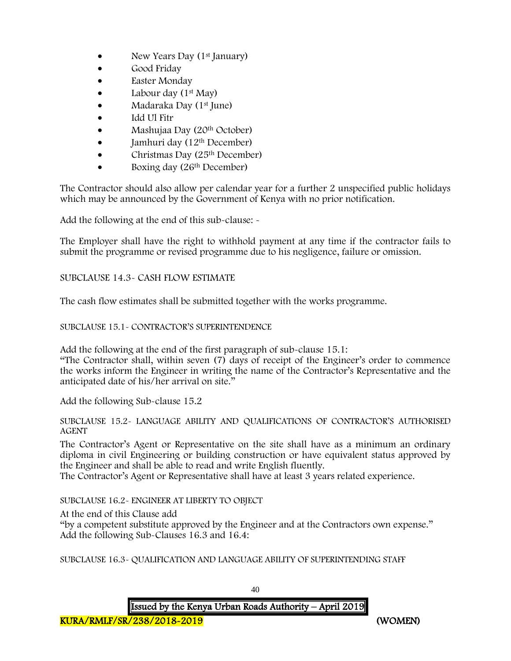- New Years Day (1<sup>st</sup> January)
- Good Friday
- Easter Monday
- Labour day  $(1^{st}$  May)
- Madaraka Day (1st June)
- Idd Ul Fitr
- Mashujaa Day (20th October)
- $\bullet$  Jamhuri day (12<sup>th</sup> December)
- Christmas Day (25<sup>th</sup> December)
- Boxing day (26<sup>th</sup> December)

The Contractor should also allow per calendar year for a further 2 unspecified public holidays which may be announced by the Government of Kenya with no prior notification.

Add the following at the end of this sub-clause: -

The Employer shall have the right to withhold payment at any time if the contractor fails to submit the programme or revised programme due to his negligence, failure or omission.

# SUBCLAUSE 14.3- CASH FLOW ESTIMATE

The cash flow estimates shall be submitted together with the works programme.

## SUBCLAUSE 15.1- CONTRACTOR'S SUPERINTENDENCE

Add the following at the end of the first paragraph of sub-clause 15.1:

"The Contractor shall, within seven (7) days of receipt of the Engineer's order to commence the works inform the Engineer in writing the name of the Contractor's Representative and the anticipated date of his/her arrival on site."

Add the following Sub-clause 15.2

SUBCLAUSE 15.2- LANGUAGE ABILITY AND QUALIFICATIONS OF CONTRACTOR'S AUTHORISED AGENT

The Contractor's Agent or Representative on the site shall have as a minimum an ordinary diploma in civil Engineering or building construction or have equivalent status approved by the Engineer and shall be able to read and write English fluently.

The Contractor's Agent or Representative shall have at least 3 years related experience.

SUBCLAUSE 16.2- ENGINEER AT LIBERTY TO OBJECT

At the end of this Clause add

"by a competent substitute approved by the Engineer and at the Contractors own expense." Add the following Sub-Clauses 16.3 and 16.4:

SUBCLAUSE 16.3- QUALIFICATION AND LANGUAGE ABILITY OF SUPERINTENDING STAFF

40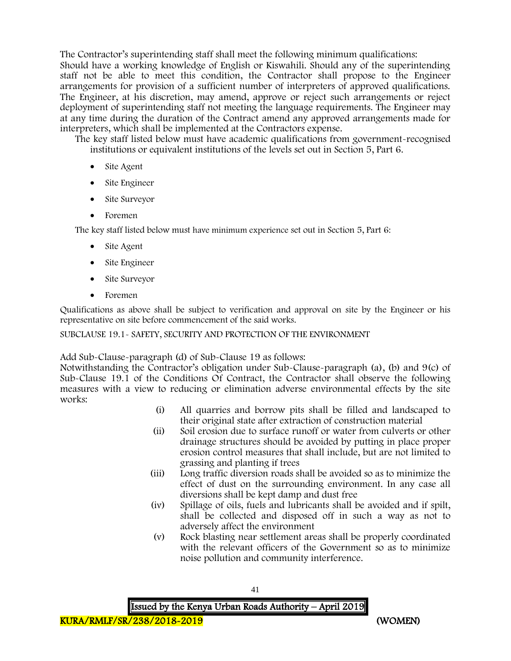The Contractor's superintending staff shall meet the following minimum qualifications:

Should have a working knowledge of English or Kiswahili. Should any of the superintending staff not be able to meet this condition, the Contractor shall propose to the Engineer arrangements for provision of a sufficient number of interpreters of approved qualifications. The Engineer, at his discretion, may amend, approve or reject such arrangements or reject deployment of superintending staff not meeting the language requirements. The Engineer may at any time during the duration of the Contract amend any approved arrangements made for interpreters, which shall be implemented at the Contractors expense.

The key staff listed below must have academic qualifications from government-recognised institutions or equivalent institutions of the levels set out in Section 5, Part 6.

- Site Agent
- Site Engineer
- Site Surveyor
- Foremen

The key staff listed below must have minimum experience set out in Section 5, Part 6:

- Site Agent
- Site Engineer
- Site Surveyor
- Foremen

Qualifications as above shall be subject to verification and approval on site by the Engineer or his representative on site before commencement of the said works.

SUBCLAUSE 19.1- SAFETY, SECURITY AND PROTECTION OF THE ENVIRONMENT

Add Sub-Clause-paragraph (d) of Sub-Clause 19 as follows:

Notwithstanding the Contractor's obligation under Sub-Clause-paragraph (a), (b) and 9(c) of Sub-Clause 19.1 of the Conditions Of Contract, the Contractor shall observe the following measures with a view to reducing or elimination adverse environmental effects by the site works:

- (i) All quarries and borrow pits shall be filled and landscaped to their original state after extraction of construction material
- (ii) Soil erosion due to surface runoff or water from culverts or other drainage structures should be avoided by putting in place proper erosion control measures that shall include, but are not limited to grassing and planting if trees
- (iii) Long traffic diversion roads shall be avoided so as to minimize the effect of dust on the surrounding environment. In any case all diversions shall be kept damp and dust free
- (iv) Spillage of oils, fuels and lubricants shall be avoided and if spilt, shall be collected and disposed off in such a way as not to adversely affect the environment
- (v) Rock blasting near settlement areas shall be properly coordinated with the relevant officers of the Government so as to minimize noise pollution and community interference.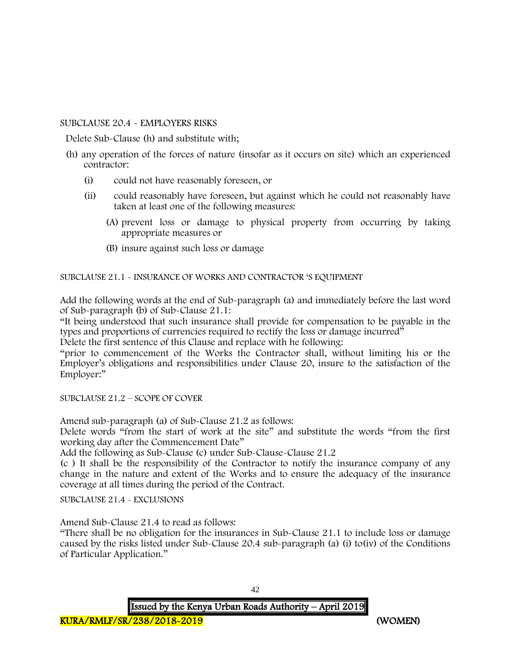SUBCLAUSE 20.4 - EMPLOYERS RISKS

Delete Sub-Clause (h) and substitute with;

- (h) any operation of the forces of nature (insofar as it occurs on site) which an experienced contractor:
	- (i) could not have reasonably foreseen, or
	- (ii) could reasonably have foreseen, but against which he could not reasonably have taken at least one of the following measures:
		- (A) prevent loss or damage to physical property from occurring by taking appropriate measures or
		- (B) insure against such loss or damage

SUBCLAUSE 21.1 - INSURANCE OF WORKS AND CONTRACTOR 'S EQUIPMENT

Add the following words at the end of Sub-paragraph (a) and immediately before the last word of Sub-paragraph (b) of Sub-Clause 21.1:

"It being understood that such insurance shall provide for compensation to be payable in the types and proportions of currencies required to rectify the loss or damage incurred"

Delete the first sentence of this Clause and replace with he following:

"prior to commencement of the Works the Contractor shall, without limiting his or the Employer's obligations and responsibilities under Clause 20, insure to the satisfaction of the Employer:"

SUBCLAUSE 21.2 – SCOPE OF COVER

Amend sub-paragraph (a) of Sub-Clause 21.2 as follows:

Delete words "from the start of work at the site" and substitute the words "from the first working day after the Commencement Date"

Add the following as Sub-Clause (c) under Sub-Clause-Clause 21.2

(c ) It shall be the responsibility of the Contractor to notify the insurance company of any change in the nature and extent of the Works and to ensure the adequacy of the insurance coverage at all times during the period of the Contract.

SUBCLAUSE 21.4 - EXCLUSIONS

Amend Sub-Clause 21.4 to read as follows:

"There shall be no obligation for the insurances in Sub-Clause 21.1 to include loss or damage caused by the risks listed under Sub-Clause 20.4 sub-paragraph (a) (i) to(iv) of the Conditions of Particular Application."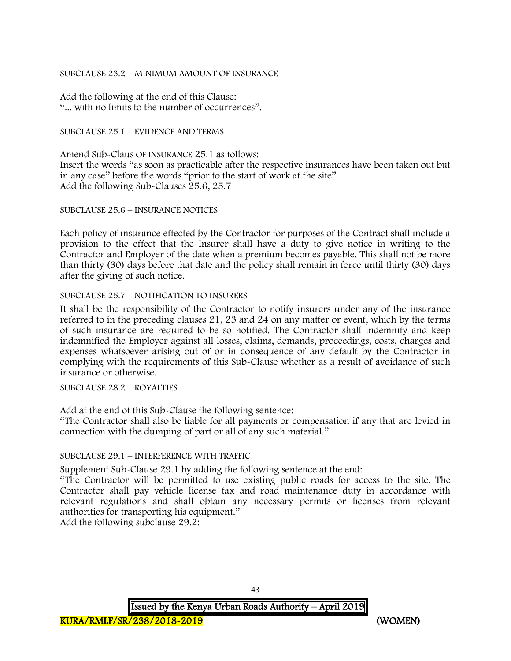#### SUBCLAUSE 23.2 – MINIMUM AMOUNT OF INSURANCE

Add the following at the end of this Clause: "... with no limits to the number of occurrences".

SUBCLAUSE 25.1 – EVIDENCE AND TERMS

Amend Sub-Claus OF INSURANCE 25.1 as follows: Insert the words "as soon as practicable after the respective insurances have been taken out but in any case" before the words "prior to the start of work at the site" Add the following Sub-Clauses 25.6, 25.7

SUBCLAUSE 25.6 – INSURANCE NOTICES

Each policy of insurance effected by the Contractor for purposes of the Contract shall include a provision to the effect that the Insurer shall have a duty to give notice in writing to the Contractor and Employer of the date when a premium becomes payable. This shall not be more than thirty (30) days before that date and the policy shall remain in force until thirty (30) days after the giving of such notice.

#### SUBCLAUSE 25.7 – NOTIFICATION TO INSURERS

It shall be the responsibility of the Contractor to notify insurers under any of the insurance referred to in the preceding clauses 21, 23 and 24 on any matter or event, which by the terms of such insurance are required to be so notified. The Contractor shall indemnify and keep indemnified the Employer against all losses, claims, demands, proceedings, costs, charges and expenses whatsoever arising out of or in consequence of any default by the Contractor in complying with the requirements of this Sub-Clause whether as a result of avoidance of such insurance or otherwise.

SUBCLAUSE 28.2 – ROYALTIES

Add at the end of this Sub-Clause the following sentence:

"The Contractor shall also be liable for all payments or compensation if any that are levied in connection with the dumping of part or all of any such material."

## SUBCLAUSE 29.1 – INTERFERENCE WITH TRAFFIC

Supplement Sub-Clause 29.1 by adding the following sentence at the end:

"The Contractor will be permitted to use existing public roads for access to the site. The Contractor shall pay vehicle license tax and road maintenance duty in accordance with relevant regulations and shall obtain any necessary permits or licenses from relevant authorities for transporting his equipment."

Add the following subclause 29.2: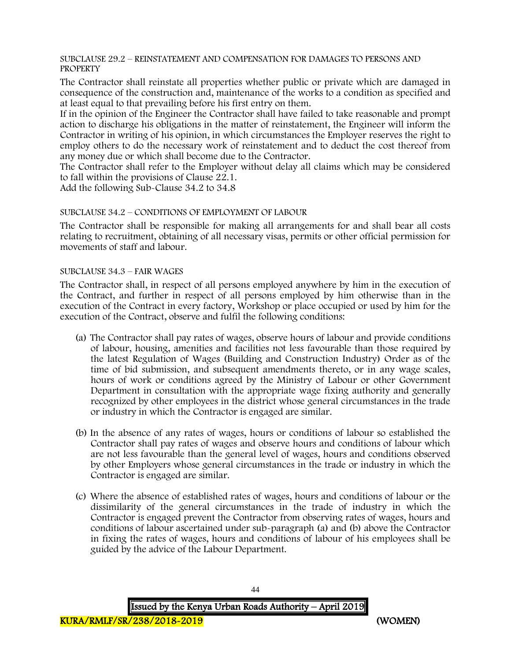#### SUBCLAUSE 29.2 – REINSTATEMENT AND COMPENSATION FOR DAMAGES TO PERSONS AND **PROPERTY**

The Contractor shall reinstate all properties whether public or private which are damaged in consequence of the construction and, maintenance of the works to a condition as specified and at least equal to that prevailing before his first entry on them.

If in the opinion of the Engineer the Contractor shall have failed to take reasonable and prompt action to discharge his obligations in the matter of reinstatement, the Engineer will inform the Contractor in writing of his opinion, in which circumstances the Employer reserves the right to employ others to do the necessary work of reinstatement and to deduct the cost thereof from any money due or which shall become due to the Contractor.

The Contractor shall refer to the Employer without delay all claims which may be considered to fall within the provisions of Clause 22.1.

Add the following Sub-Clause 34.2 to 34.8

#### SUBCLAUSE 34.2 – CONDITIONS OF EMPLOYMENT OF LABOUR

The Contractor shall be responsible for making all arrangements for and shall bear all costs relating to recruitment, obtaining of all necessary visas, permits or other official permission for movements of staff and labour.

#### SUBCLAUSE 34.3 – FAIR WAGES

The Contractor shall, in respect of all persons employed anywhere by him in the execution of the Contract, and further in respect of all persons employed by him otherwise than in the execution of the Contract in every factory, Workshop or place occupied or used by him for the execution of the Contract, observe and fulfil the following conditions:

- (a) The Contractor shall pay rates of wages, observe hours of labour and provide conditions of labour, housing, amenities and facilities not less favourable than those required by the latest Regulation of Wages (Building and Construction Industry) Order as of the time of bid submission, and subsequent amendments thereto, or in any wage scales, hours of work or conditions agreed by the Ministry of Labour or other Government Department in consultation with the appropriate wage fixing authority and generally recognized by other employees in the district whose general circumstances in the trade or industry in which the Contractor is engaged are similar.
- (b) In the absence of any rates of wages, hours or conditions of labour so established the Contractor shall pay rates of wages and observe hours and conditions of labour which are not less favourable than the general level of wages, hours and conditions observed by other Employers whose general circumstances in the trade or industry in which the Contractor is engaged are similar.
- (c) Where the absence of established rates of wages, hours and conditions of labour or the dissimilarity of the general circumstances in the trade of industry in which the Contractor is engaged prevent the Contractor from observing rates of wages, hours and conditions of labour ascertained under sub-paragraph (a) and (b) above the Contractor in fixing the rates of wages, hours and conditions of labour of his employees shall be guided by the advice of the Labour Department.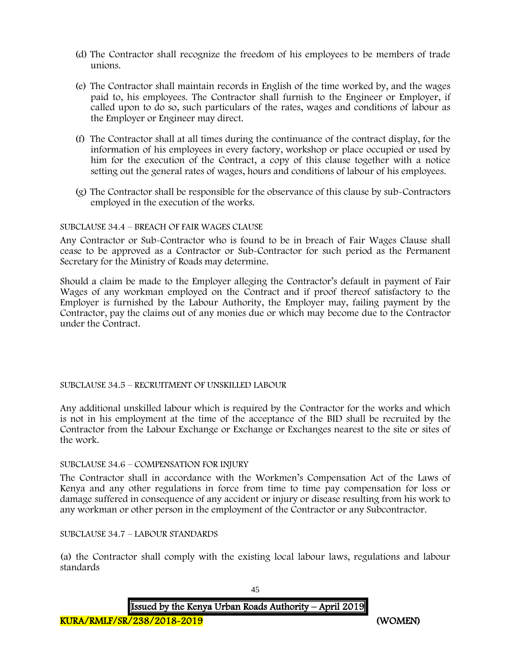- (d) The Contractor shall recognize the freedom of his employees to be members of trade unions.
- (e) The Contractor shall maintain records in English of the time worked by, and the wages paid to, his employees. The Contractor shall furnish to the Engineer or Employer, if called upon to do so, such particulars of the rates, wages and conditions of labour as the Employer or Engineer may direct.
- (f) The Contractor shall at all times during the continuance of the contract display, for the information of his employees in every factory, workshop or place occupied or used by him for the execution of the Contract, a copy of this clause together with a notice setting out the general rates of wages, hours and conditions of labour of his employees.
- (g) The Contractor shall be responsible for the observance of this clause by sub-Contractors employed in the execution of the works.

#### SUBCLAUSE 34.4 – BREACH OF FAIR WAGES CLAUSE

Any Contractor or Sub-Contractor who is found to be in breach of Fair Wages Clause shall cease to be approved as a Contractor or Sub-Contractor for such period as the Permanent Secretary for the Ministry of Roads may determine.

Should a claim be made to the Employer alleging the Contractor's default in payment of Fair Wages of any workman employed on the Contract and if proof thereof satisfactory to the Employer is furnished by the Labour Authority, the Employer may, failing payment by the Contractor, pay the claims out of any monies due or which may become due to the Contractor under the Contract.

#### SUBCLAUSE 34.5 – RECRUITMENT OF UNSKILLED LABOUR

Any additional unskilled labour which is required by the Contractor for the works and which is not in his employment at the time of the acceptance of the BID shall be recruited by the Contractor from the Labour Exchange or Exchange or Exchanges nearest to the site or sites of the work.

#### SUBCLAUSE 34.6 – COMPENSATION FOR INJURY

The Contractor shall in accordance with the Workmen's Compensation Act of the Laws of Kenya and any other regulations in force from time to time pay compensation for loss or damage suffered in consequence of any accident or injury or disease resulting from his work to any workman or other person in the employment of the Contractor or any Subcontractor.

#### SUBCLAUSE 34.7 – LABOUR STANDARDS

(a) the Contractor shall comply with the existing local labour laws, regulations and labour standards

Issued by the Kenya Urban Roads Authority – April 2019

45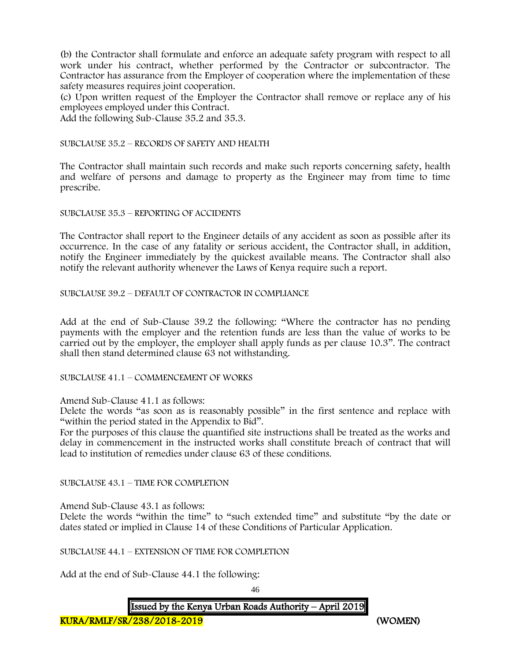(b) the Contractor shall formulate and enforce an adequate safety program with respect to all work under his contract, whether performed by the Contractor or subcontractor. The Contractor has assurance from the Employer of cooperation where the implementation of these safety measures requires joint cooperation.

(c) Upon written request of the Employer the Contractor shall remove or replace any of his employees employed under this Contract.

Add the following Sub-Clause 35.2 and 35.3.

SUBCLAUSE 35.2 – RECORDS OF SAFETY AND HEALTH

The Contractor shall maintain such records and make such reports concerning safety, health and welfare of persons and damage to property as the Engineer may from time to time prescribe.

SUBCLAUSE 35.3 – REPORTING OF ACCIDENTS

The Contractor shall report to the Engineer details of any accident as soon as possible after its occurrence. In the case of any fatality or serious accident, the Contractor shall, in addition, notify the Engineer immediately by the quickest available means. The Contractor shall also notify the relevant authority whenever the Laws of Kenya require such a report.

SUBCLAUSE 39.2 – DEFAULT OF CONTRACTOR IN COMPLIANCE

Add at the end of Sub-Clause 39.2 the following: "Where the contractor has no pending payments with the employer and the retention funds are less than the value of works to be carried out by the employer, the employer shall apply funds as per clause 10.3". The contract shall then stand determined clause 63 not withstanding.

SUBCLAUSE 41.1 – COMMENCEMENT OF WORKS

Amend Sub-Clause 41.1 as follows:

Delete the words "as soon as is reasonably possible" in the first sentence and replace with "within the period stated in the Appendix to Bid".

For the purposes of this clause the quantified site instructions shall be treated as the works and delay in commencement in the instructed works shall constitute breach of contract that will lead to institution of remedies under clause 63 of these conditions.

SUBCLAUSE 43.1 – TIME FOR COMPLETION

Amend Sub-Clause 43.1 as follows:

Delete the words "within the time" to "such extended time" and substitute "by the date or dates stated or implied in Clause 14 of these Conditions of Particular Application.

SUBCLAUSE 44.1 – EXTENSION OF TIME FOR COMPLETION

Add at the end of Sub-Clause 44.1 the following:

46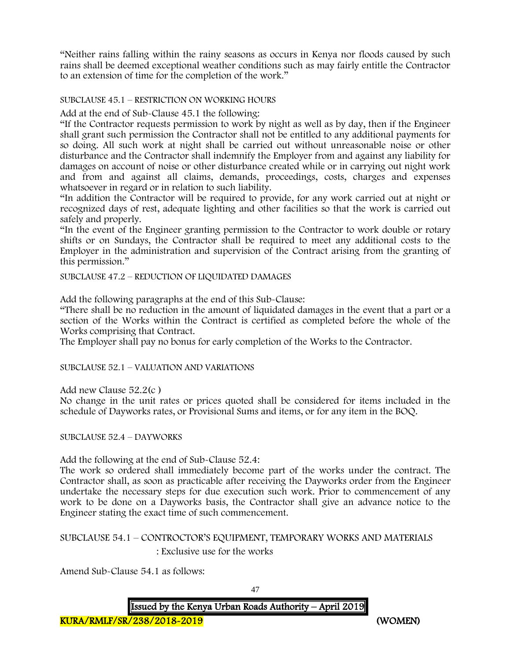"Neither rains falling within the rainy seasons as occurs in Kenya nor floods caused by such rains shall be deemed exceptional weather conditions such as may fairly entitle the Contractor to an extension of time for the completion of the work."

#### SUBCLAUSE 45.1 – RESTRICTION ON WORKING HOURS

Add at the end of Sub-Clause 45.1 the following:

"If the Contractor requests permission to work by night as well as by day, then if the Engineer shall grant such permission the Contractor shall not be entitled to any additional payments for so doing. All such work at night shall be carried out without unreasonable noise or other disturbance and the Contractor shall indemnify the Employer from and against any liability for damages on account of noise or other disturbance created while or in carrying out night work and from and against all claims, demands, proceedings, costs, charges and expenses whatsoever in regard or in relation to such liability.

"In addition the Contractor will be required to provide, for any work carried out at night or recognized days of rest, adequate lighting and other facilities so that the work is carried out safely and properly.

"In the event of the Engineer granting permission to the Contractor to work double or rotary shifts or on Sundays, the Contractor shall be required to meet any additional costs to the Employer in the administration and supervision of the Contract arising from the granting of this permission."

SUBCLAUSE 47.2 – REDUCTION OF LIQUIDATED DAMAGES

Add the following paragraphs at the end of this Sub-Clause:

"There shall be no reduction in the amount of liquidated damages in the event that a part or a section of the Works within the Contract is certified as completed before the whole of the Works comprising that Contract.

The Employer shall pay no bonus for early completion of the Works to the Contractor.

SUBCLAUSE 52.1 – VALUATION AND VARIATIONS

Add new Clause 52.2(c )

No change in the unit rates or prices quoted shall be considered for items included in the schedule of Dayworks rates, or Provisional Sums and items, or for any item in the BOQ.

SUBCLAUSE 52.4 – DAYWORKS

Add the following at the end of Sub-Clause 52.4:

The work so ordered shall immediately become part of the works under the contract. The Contractor shall, as soon as practicable after receiving the Dayworks order from the Engineer undertake the necessary steps for due execution such work. Prior to commencement of any work to be done on a Dayworks basis, the Contractor shall give an advance notice to the Engineer stating the exact time of such commencement.

# SUBCLAUSE 54.1 – CONTROCTOR'S EQUIPMENT, TEMPORARY WORKS AND MATERIALS : Exclusive use for the works

Amend Sub-Clause 54.1 as follows: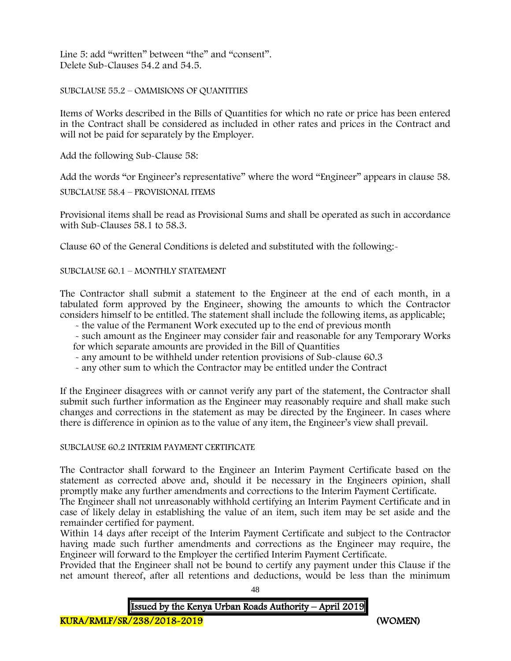Line 5: add "written" between "the" and "consent". Delete Sub-Clauses 54.2 and 54.5.

#### SUBCLAUSE 55.2 – OMMISIONS OF QUANTITIES

Items of Works described in the Bills of Quantities for which no rate or price has been entered in the Contract shall be considered as included in other rates and prices in the Contract and will not be paid for separately by the Employer.

Add the following Sub-Clause 58:

Add the words "or Engineer's representative" where the word "Engineer" appears in clause 58.

SUBCLAUSE 58.4 – PROVISIONAL ITEMS

Provisional items shall be read as Provisional Sums and shall be operated as such in accordance with Sub-Clauses 58.1 to 58.3.

Clause 60 of the General Conditions is deleted and substituted with the following:-

#### SUBCLAUSE 60.1 – MONTHLY STATEMENT

The Contractor shall submit a statement to the Engineer at the end of each month, in a tabulated form approved by the Engineer, showing the amounts to which the Contractor considers himself to be entitled. The statement shall include the following items, as applicable;

- the value of the Permanent Work executed up to the end of previous month
- such amount as the Engineer may consider fair and reasonable for any Temporary Works for which separate amounts are provided in the Bill of Quantities
- any amount to be withheld under retention provisions of Sub-clause 60.3
- any other sum to which the Contractor may be entitled under the Contract

If the Engineer disagrees with or cannot verify any part of the statement, the Contractor shall submit such further information as the Engineer may reasonably require and shall make such changes and corrections in the statement as may be directed by the Engineer. In cases where there is difference in opinion as to the value of any item, the Engineer's view shall prevail.

## SUBCLAUSE 60.2 INTERIM PAYMENT CERTIFICATE

The Contractor shall forward to the Engineer an Interim Payment Certificate based on the statement as corrected above and, should it be necessary in the Engineers opinion, shall promptly make any further amendments and corrections to the Interim Payment Certificate.

The Engineer shall not unreasonably withhold certifying an Interim Payment Certificate and in case of likely delay in establishing the value of an item, such item may be set aside and the remainder certified for payment.

Within 14 days after receipt of the Interim Payment Certificate and subject to the Contractor having made such further amendments and corrections as the Engineer may require, the Engineer will forward to the Employer the certified Interim Payment Certificate.

Provided that the Engineer shall not be bound to certify any payment under this Clause if the net amount thereof, after all retentions and deductions, would be less than the minimum



48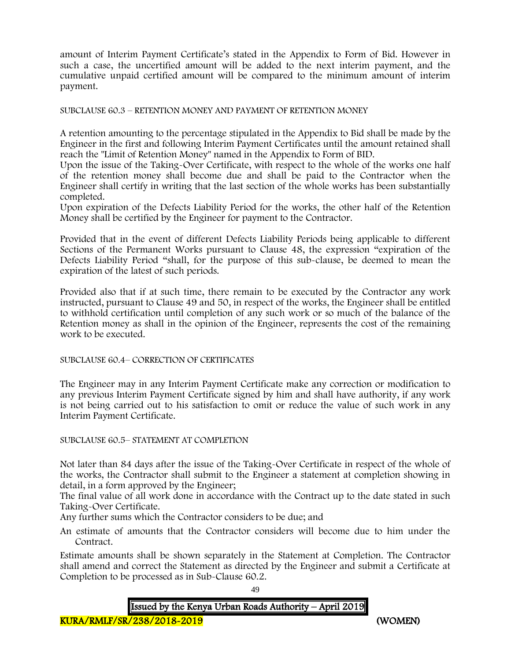amount of Interim Payment Certificate's stated in the Appendix to Form of Bid. However in such a case, the uncertified amount will be added to the next interim payment, and the cumulative unpaid certified amount will be compared to the minimum amount of interim payment.

SUBCLAUSE 60.3 – RETENTION MONEY AND PAYMENT OF RETENTION MONEY

A retention amounting to the percentage stipulated in the Appendix to Bid shall be made by the Engineer in the first and following Interim Payment Certificates until the amount retained shall reach the "Limit of Retention Money" named in the Appendix to Form of BID.

Upon the issue of the Taking-Over Certificate, with respect to the whole of the works one half of the retention money shall become due and shall be paid to the Contractor when the Engineer shall certify in writing that the last section of the whole works has been substantially completed.

Upon expiration of the Defects Liability Period for the works, the other half of the Retention Money shall be certified by the Engineer for payment to the Contractor.

Provided that in the event of different Defects Liability Periods being applicable to different Sections of the Permanent Works pursuant to Clause 48, the expression "expiration of the Defects Liability Period "shall, for the purpose of this sub-clause, be deemed to mean the expiration of the latest of such periods.

Provided also that if at such time, there remain to be executed by the Contractor any work instructed, pursuant to Clause 49 and 50, in respect of the works, the Engineer shall be entitled to withhold certification until completion of any such work or so much of the balance of the Retention money as shall in the opinion of the Engineer, represents the cost of the remaining work to be executed.

SUBCLAUSE 60.4– CORRECTION OF CERTIFICATES

The Engineer may in any Interim Payment Certificate make any correction or modification to any previous Interim Payment Certificate signed by him and shall have authority, if any work is not being carried out to his satisfaction to omit or reduce the value of such work in any Interim Payment Certificate.

## SUBCLAUSE 60.5– STATEMENT AT COMPLETION

Not later than 84 days after the issue of the Taking-Over Certificate in respect of the whole of the works, the Contractor shall submit to the Engineer a statement at completion showing in detail, in a form approved by the Engineer;

The final value of all work done in accordance with the Contract up to the date stated in such Taking-Over Certificate.

Any further sums which the Contractor considers to be due; and

An estimate of amounts that the Contractor considers will become due to him under the Contract.

Estimate amounts shall be shown separately in the Statement at Completion. The Contractor shall amend and correct the Statement as directed by the Engineer and submit a Certificate at Completion to be processed as in Sub-Clause 60.2.

49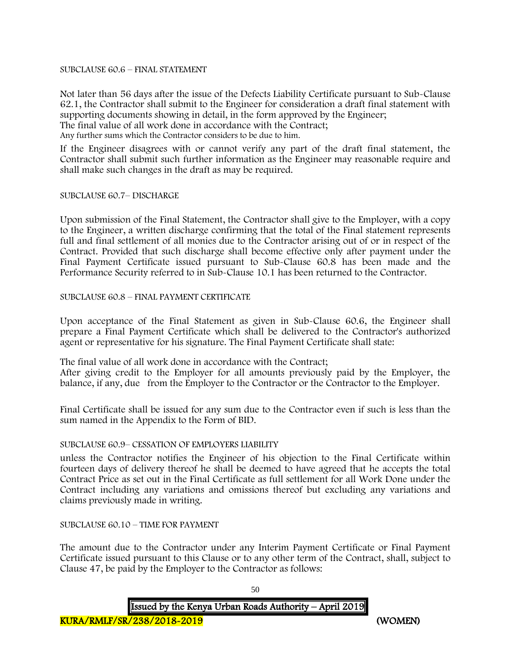#### SUBCLAUSE 60.6 – FINAL STATEMENT

Not later than 56 days after the issue of the Defects Liability Certificate pursuant to Sub-Clause 62.1, the Contractor shall submit to the Engineer for consideration a draft final statement with supporting documents showing in detail, in the form approved by the Engineer; The final value of all work done in accordance with the Contract; Any further sums which the Contractor considers to be due to him.

If the Engineer disagrees with or cannot verify any part of the draft final statement, the Contractor shall submit such further information as the Engineer may reasonable require and shall make such changes in the draft as may be required.

#### SUBCLAUSE 60.7– DISCHARGE

Upon submission of the Final Statement, the Contractor shall give to the Employer, with a copy to the Engineer, a written discharge confirming that the total of the Final statement represents full and final settlement of all monies due to the Contractor arising out of or in respect of the Contract. Provided that such discharge shall become effective only after payment under the Final Payment Certificate issued pursuant to Sub-Clause 60.8 has been made and the Performance Security referred to in Sub-Clause 10.1 has been returned to the Contractor.

SUBCLAUSE 60.8 – FINAL PAYMENT CERTIFICATE

Upon acceptance of the Final Statement as given in Sub-Clause 60.6, the Engineer shall prepare a Final Payment Certificate which shall be delivered to the Contractor's authorized agent or representative for his signature. The Final Payment Certificate shall state:

The final value of all work done in accordance with the Contract;

After giving credit to the Employer for all amounts previously paid by the Employer, the balance, if any, due from the Employer to the Contractor or the Contractor to the Employer.

Final Certificate shall be issued for any sum due to the Contractor even if such is less than the sum named in the Appendix to the Form of BID.

#### SUBCLAUSE 60.9– CESSATION OF EMPLOYERS LIABILITY

unless the Contractor notifies the Engineer of his objection to the Final Certificate within fourteen days of delivery thereof he shall be deemed to have agreed that he accepts the total Contract Price as set out in the Final Certificate as full settlement for all Work Done under the Contract including any variations and omissions thereof but excluding any variations and claims previously made in writing.

SUBCLAUSE 60.10 – TIME FOR PAYMENT

The amount due to the Contractor under any Interim Payment Certificate or Final Payment Certificate issued pursuant to this Clause or to any other term of the Contract, shall, subject to Clause 47, be paid by the Employer to the Contractor as follows: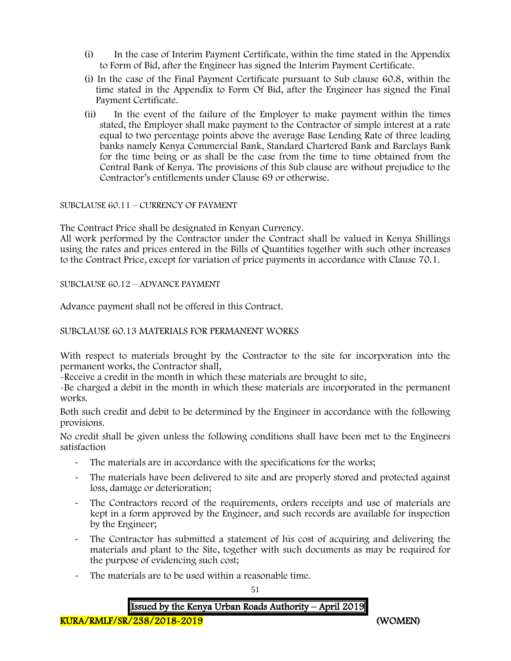- (i) In the case of Interim Payment Certificate, within the time stated in the Appendix to Form of Bid, after the Engineer has signed the Interim Payment Certificate.
- (i) In the case of the Final Payment Certificate pursuant to Sub clause 60.8, within the time stated in the Appendix to Form Of Bid, after the Engineer has signed the Final Payment Certificate.
- (ii) In the event of the failure of the Employer to make payment within the times stated, the Employer shall make payment to the Contractor of simple interest at a rate equal to two percentage points above the average Base Lending Rate of three leading banks namely Kenya Commercial Bank, Standard Chartered Bank and Barclays Bank for the time being or as shall be the case from the time to time obtained from the Central Bank of Kenya. The provisions of this Sub clause are without prejudice to the Contractor's entitlements under Clause 69 or otherwise.

#### SUBCLAUSE 60.11 – CURRENCY OF PAYMENT

The Contract Price shall be designated in Kenyan Currency.

All work performed by the Contractor under the Contract shall be valued in Kenya Shillings using the rates and prices entered in the Bills of Quantities together with such other increases to the Contract Price, except for variation of price payments in accordance with Clause 70.1.

#### SUBCLAUSE 60.12 – ADVANCE PAYMENT

Advance payment shall not be offered in this Contract.

## SUBCLAUSE 60.13 MATERIALS FOR PERMANENT WORKS

With respect to materials brought by the Contractor to the site for incorporation into the permanent works, the Contractor shall,

-Receive a credit in the month in which these materials are brought to site,

-Be charged a debit in the month in which these materials are incorporated in the permanent works.

Both such credit and debit to be determined by the Engineer in accordance with the following provisions.

No credit shall be given unless the following conditions shall have been met to the Engineers satisfaction

- The materials are in accordance with the specifications for the works;
- The materials have been delivered to site and are properly stored and protected against loss, damage or deterioration;
- The Contractors record of the requirements, orders receipts and use of materials are kept in a form approved by the Engineer, and such records are available for inspection by the Engineer;
- The Contractor has submitted a statement of his cost of acquiring and delivering the materials and plant to the Site, together with such documents as may be required for the purpose of evidencing such cost;
- The materials are to be used within a reasonable time.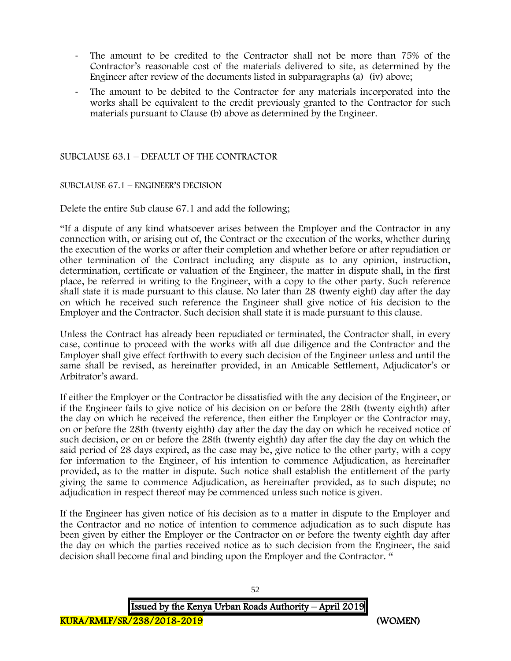- The amount to be credited to the Contractor shall not be more than 75% of the Contractor's reasonable cost of the materials delivered to site, as determined by the Engineer after review of the documents listed in subparagraphs (a) (iv) above;
- The amount to be debited to the Contractor for any materials incorporated into the works shall be equivalent to the credit previously granted to the Contractor for such materials pursuant to Clause (b) above as determined by the Engineer.

## SUBCLAUSE 63.1 – DEFAULT OF THE CONTRACTOR

#### SUBCLAUSE 67.1 – ENGINEER'S DECISION

Delete the entire Sub clause 67.1 and add the following;

"If a dispute of any kind whatsoever arises between the Employer and the Contractor in any connection with, or arising out of, the Contract or the execution of the works, whether during the execution of the works or after their completion and whether before or after repudiation or other termination of the Contract including any dispute as to any opinion, instruction, determination, certificate or valuation of the Engineer, the matter in dispute shall, in the first place, be referred in writing to the Engineer, with a copy to the other party. Such reference shall state it is made pursuant to this clause. No later than 28 (twenty eight) day after the day on which he received such reference the Engineer shall give notice of his decision to the Employer and the Contractor. Such decision shall state it is made pursuant to this clause.

Unless the Contract has already been repudiated or terminated, the Contractor shall, in every case, continue to proceed with the works with all due diligence and the Contractor and the Employer shall give effect forthwith to every such decision of the Engineer unless and until the same shall be revised, as hereinafter provided, in an Amicable Settlement, Adjudicator's or Arbitrator's award.

If either the Employer or the Contractor be dissatisfied with the any decision of the Engineer, or if the Engineer fails to give notice of his decision on or before the 28th (twenty eighth) after the day on which he received the reference, then either the Employer or the Contractor may, on or before the 28th (twenty eighth) day after the day the day on which he received notice of such decision, or on or before the 28th (twenty eighth) day after the day the day on which the said period of 28 days expired, as the case may be, give notice to the other party, with a copy for information to the Engineer, of his intention to commence Adjudication, as hereinafter provided, as to the matter in dispute. Such notice shall establish the entitlement of the party giving the same to commence Adjudication, as hereinafter provided, as to such dispute; no adjudication in respect thereof may be commenced unless such notice is given.

If the Engineer has given notice of his decision as to a matter in dispute to the Employer and the Contractor and no notice of intention to commence adjudication as to such dispute has been given by either the Employer or the Contractor on or before the twenty eighth day after the day on which the parties received notice as to such decision from the Engineer, the said decision shall become final and binding upon the Employer and the Contractor. "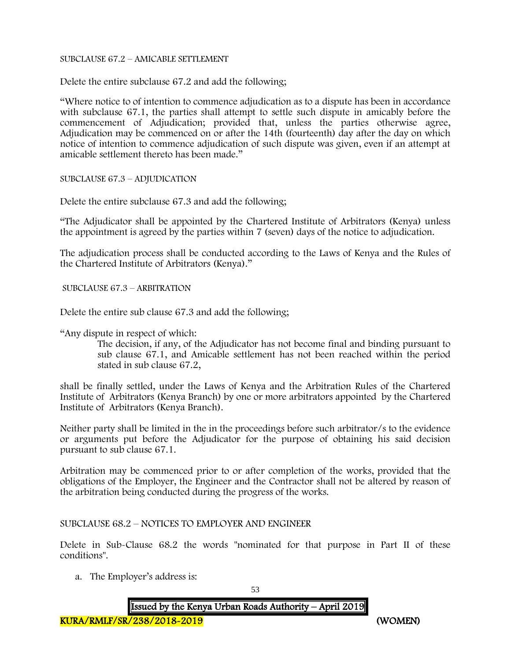#### SUBCLAUSE 67.2 – AMICABLE SETTLEMENT

Delete the entire subclause 67.2 and add the following;

"Where notice to of intention to commence adjudication as to a dispute has been in accordance with subclause 67.1, the parties shall attempt to settle such dispute in amicably before the commencement of Adjudication; provided that, unless the parties otherwise agree, Adjudication may be commenced on or after the 14th (fourteenth) day after the day on which notice of intention to commence adjudication of such dispute was given, even if an attempt at amicable settlement thereto has been made."

SUBCLAUSE 67.3 – ADJUDICATION

Delete the entire subclause 67.3 and add the following;

"The Adjudicator shall be appointed by the Chartered Institute of Arbitrators (Kenya) unless the appointment is agreed by the parties within 7 (seven) days of the notice to adjudication.

The adjudication process shall be conducted according to the Laws of Kenya and the Rules of the Chartered Institute of Arbitrators (Kenya)."

SUBCLAUSE 67.3 – ARBITRATION

Delete the entire sub clause 67.3 and add the following;

"Any dispute in respect of which:

The decision, if any, of the Adjudicator has not become final and binding pursuant to sub clause 67.1, and Amicable settlement has not been reached within the period stated in sub clause 67.2,

shall be finally settled, under the Laws of Kenya and the Arbitration Rules of the Chartered Institute of Arbitrators (Kenya Branch) by one or more arbitrators appointed by the Chartered Institute of Arbitrators (Kenya Branch).

Neither party shall be limited in the in the proceedings before such arbitrator/s to the evidence or arguments put before the Adjudicator for the purpose of obtaining his said decision pursuant to sub clause 67.1.

Arbitration may be commenced prior to or after completion of the works, provided that the obligations of the Employer, the Engineer and the Contractor shall not be altered by reason of the arbitration being conducted during the progress of the works.

SUBCLAUSE 68.2 – NOTICES TO EMPLOYER AND ENGINEER

Delete in Sub-Clause 68.2 the words "nominated for that purpose in Part II of these conditions".

a. The Employer's address is: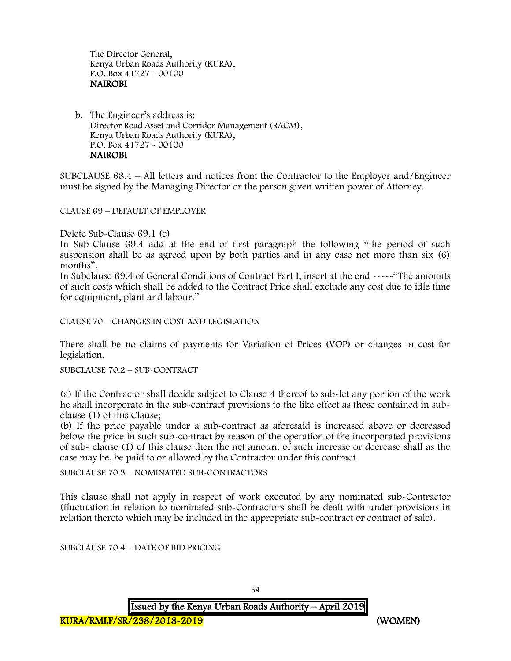The Director General, Kenya Urban Roads Authority (KURA), P.O. Box 41727 - 00100 NAIROBI

b. The Engineer's address is: Director Road Asset and Corridor Management (RACM), Kenya Urban Roads Authority (KURA), P.O. Box 41727 - 00100 NAIROBI

SUBCLAUSE 68.4 – All letters and notices from the Contractor to the Employer and/Engineer must be signed by the Managing Director or the person given written power of Attorney.

CLAUSE 69 – DEFAULT OF EMPLOYER

Delete Sub-Clause 69.1 (c)

In Sub-Clause 69.4 add at the end of first paragraph the following "the period of such suspension shall be as agreed upon by both parties and in any case not more than six (6) months".

In Subclause 69.4 of General Conditions of Contract Part I, insert at the end -----"The amounts of such costs which shall be added to the Contract Price shall exclude any cost due to idle time for equipment, plant and labour."

CLAUSE 70 – CHANGES IN COST AND LEGISLATION

There shall be no claims of payments for Variation of Prices (VOP) or changes in cost for legislation.

SUBCLAUSE 70.2 – SUB-CONTRACT

(a) If the Contractor shall decide subject to Clause 4 thereof to sub-let any portion of the work he shall incorporate in the sub-contract provisions to the like effect as those contained in subclause (1) of this Clause;

(b) If the price payable under a sub-contract as aforesaid is increased above or decreased below the price in such sub-contract by reason of the operation of the incorporated provisions of sub- clause (1) of this clause then the net amount of such increase or decrease shall as the case may be, be paid to or allowed by the Contractor under this contract.

SUBCLAUSE 70.3 – NOMINATED SUB-CONTRACTORS

This clause shall not apply in respect of work executed by any nominated sub-Contractor (fluctuation in relation to nominated sub-Contractors shall be dealt with under provisions in relation thereto which may be included in the appropriate sub-contract or contract of sale).

SUBCLAUSE 70.4 – DATE OF BID PRICING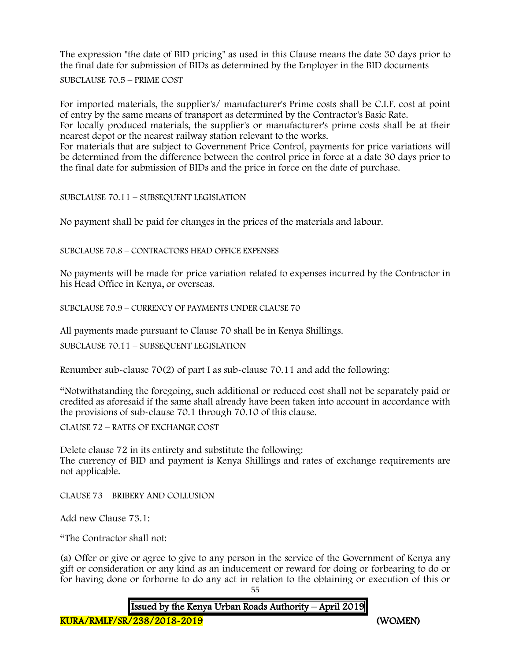The expression "the date of BID pricing" as used in this Clause means the date 30 days prior to the final date for submission of BIDs as determined by the Employer in the BID documents

SUBCLAUSE 70.5 – PRIME COST

For imported materials, the supplier's/ manufacturer's Prime costs shall be C.I.F. cost at point of entry by the same means of transport as determined by the Contractor's Basic Rate. For locally produced materials, the supplier's or manufacturer's prime costs shall be at their nearest depot or the nearest railway station relevant to the works. For materials that are subject to Government Price Control, payments for price variations will be determined from the difference between the control price in force at a date 30 days prior to the final date for submission of BIDs and the price in force on the date of purchase.

SUBCLAUSE 70.11 – SUBSEQUENT LEGISLATION

No payment shall be paid for changes in the prices of the materials and labour.

SUBCLAUSE 70.8 – CONTRACTORS HEAD OFFICE EXPENSES

No payments will be made for price variation related to expenses incurred by the Contractor in his Head Office in Kenya, or overseas.

SUBCLAUSE 70.9 – CURRENCY OF PAYMENTS UNDER CLAUSE 70

All payments made pursuant to Clause 70 shall be in Kenya Shillings.

SUBCLAUSE 70.11 – SUBSEQUENT LEGISLATION

Renumber sub-clause 70(2) of part I as sub-clause 70.11 and add the following:

"Notwithstanding the foregoing, such additional or reduced cost shall not be separately paid or credited as aforesaid if the same shall already have been taken into account in accordance with the provisions of sub-clause 70.1 through 70.10 of this clause.

CLAUSE 72 – RATES OF EXCHANGE COST

Delete clause 72 in its entirety and substitute the following: The currency of BID and payment is Kenya Shillings and rates of exchange requirements are not applicable.

CLAUSE 73 – BRIBERY AND COLLUSION

Add new Clause 73.1:

"The Contractor shall not:

(a) Offer or give or agree to give to any person in the service of the Government of Kenya any gift or consideration or any kind as an inducement or reward for doing or forbearing to do or for having done or forborne to do any act in relation to the obtaining or execution of this or

55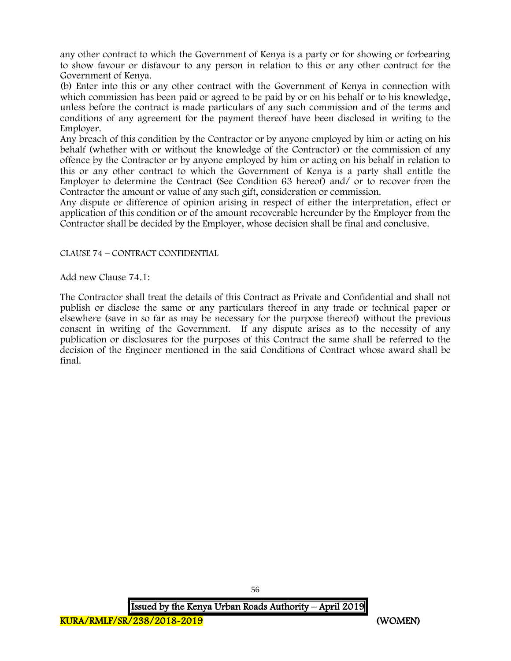any other contract to which the Government of Kenya is a party or for showing or forbearing to show favour or disfavour to any person in relation to this or any other contract for the Government of Kenya.

(b) Enter into this or any other contract with the Government of Kenya in connection with which commission has been paid or agreed to be paid by or on his behalf or to his knowledge, unless before the contract is made particulars of any such commission and of the terms and conditions of any agreement for the payment thereof have been disclosed in writing to the Employer.

Any breach of this condition by the Contractor or by anyone employed by him or acting on his behalf (whether with or without the knowledge of the Contractor) or the commission of any offence by the Contractor or by anyone employed by him or acting on his behalf in relation to this or any other contract to which the Government of Kenya is a party shall entitle the Employer to determine the Contract (See Condition 63 hereof) and/ or to recover from the Contractor the amount or value of any such gift, consideration or commission.

Any dispute or difference of opinion arising in respect of either the interpretation, effect or application of this condition or of the amount recoverable hereunder by the Employer from the Contractor shall be decided by the Employer, whose decision shall be final and conclusive.

#### CLAUSE 74 – CONTRACT CONFIDENTIAL

Add new Clause 74.1:

The Contractor shall treat the details of this Contract as Private and Confidential and shall not publish or disclose the same or any particulars thereof in any trade or technical paper or elsewhere (save in so far as may be necessary for the purpose thereof) without the previous consent in writing of the Government. If any dispute arises as to the necessity of any publication or disclosures for the purposes of this Contract the same shall be referred to the decision of the Engineer mentioned in the said Conditions of Contract whose award shall be final.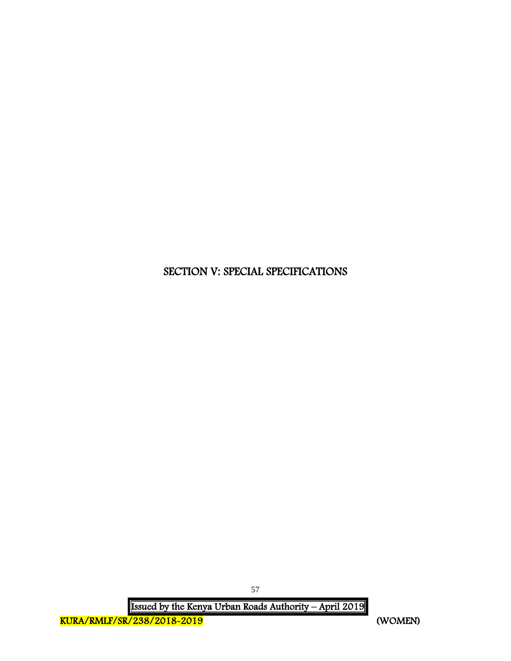# SECTION V: SPECIAL SPECIFICATIONS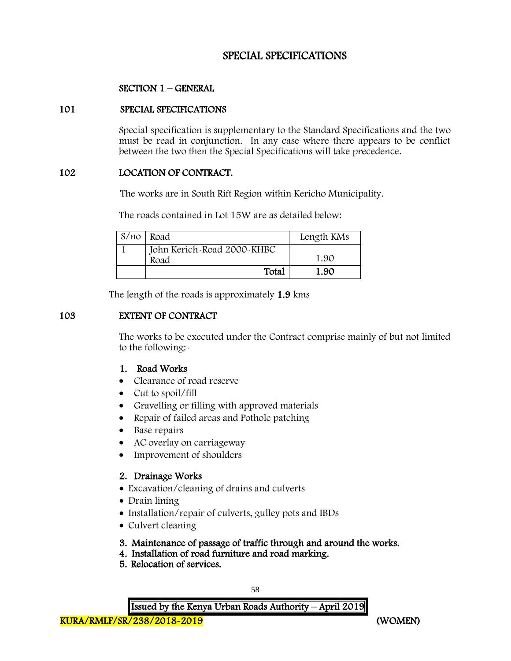# SPECIAL SPECIFICATIONS

## SECTION 1 – GENERAL

## 101 SPECIAL SPECIFICATIONS

Special specification is supplementary to the Standard Specifications and the two must be read in conjunction. In any case where there appears to be conflict between the two then the Special Specifications will take precedence.

#### 102 LOCATION OF CONTRACT.

The works are in South Rift Region within Kericho Municipality.

The roads contained in Lot 15W are as detailed below:

| $S/no$ Road |                                    | Length KMs |
|-------------|------------------------------------|------------|
|             | John Kerich-Road 2000-KHBC<br>Road | 1.90       |
|             | Total                              | 1.90       |

The length of the roads is approximately 1.9 kms

## 103 EXTENT OF CONTRACT

The works to be executed under the Contract comprise mainly of but not limited to the following:-

## 1. Road Works

- Clearance of road reserve
- Cut to spoil/fill
- Gravelling or filling with approved materials
- Repair of failed areas and Pothole patching
- Base repairs
- AC overlay on carriageway
- Improvement of shoulders

## 2. Drainage Works

- Excavation/cleaning of drains and culverts
- Drain lining
- Installation/repair of culverts, gulley pots and IBDs
- Culvert cleaning
- 3. Maintenance of passage of traffic through and around the works.
- 4. Installation of road furniture and road marking.
- 5. Relocation of services.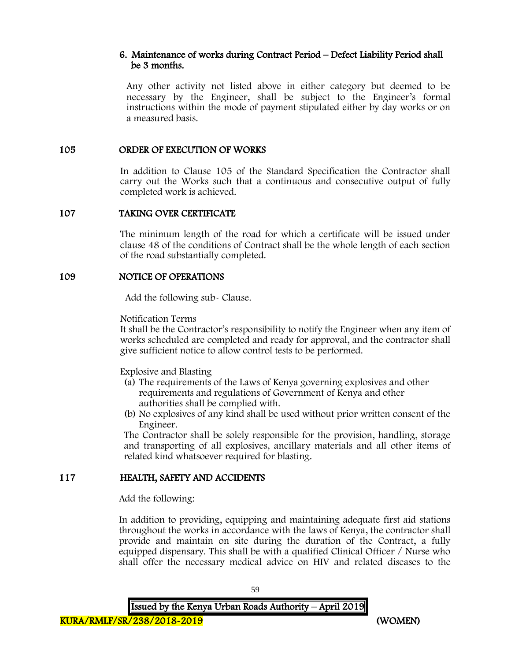## 6. Maintenance of works during Contract Period – Defect Liability Period shall be 3 months.

Any other activity not listed above in either category but deemed to be necessary by the Engineer, shall be subject to the Engineer's formal instructions within the mode of payment stipulated either by day works or on a measured basis.

#### 105 ORDER OF EXECUTION OF WORKS

In addition to Clause 105 of the Standard Specification the Contractor shall carry out the Works such that a continuous and consecutive output of fully completed work is achieved.

#### 107 TAKING OVER CERTIFICATE

The minimum length of the road for which a certificate will be issued under clause 48 of the conditions of Contract shall be the whole length of each section of the road substantially completed.

#### 109 NOTICE OF OPERATIONS

Add the following sub- Clause.

Notification Terms

It shall be the Contractor's responsibility to notify the Engineer when any item of works scheduled are completed and ready for approval, and the contractor shall give sufficient notice to allow control tests to be performed.

Explosive and Blasting

- (a) The requirements of the Laws of Kenya governing explosives and other requirements and regulations of Government of Kenya and other authorities shall be complied with.
- (b) No explosives of any kind shall be used without prior written consent of the Engineer.

The Contractor shall be solely responsible for the provision, handling, storage and transporting of all explosives, ancillary materials and all other items of related kind whatsoever required for blasting.

# 117 HEALTH, SAFETY AND ACCIDENTS

Add the following:

In addition to providing, equipping and maintaining adequate first aid stations throughout the works in accordance with the laws of Kenya, the contractor shall provide and maintain on site during the duration of the Contract, a fully equipped dispensary. This shall be with a qualified Clinical Officer / Nurse who shall offer the necessary medical advice on HIV and related diseases to the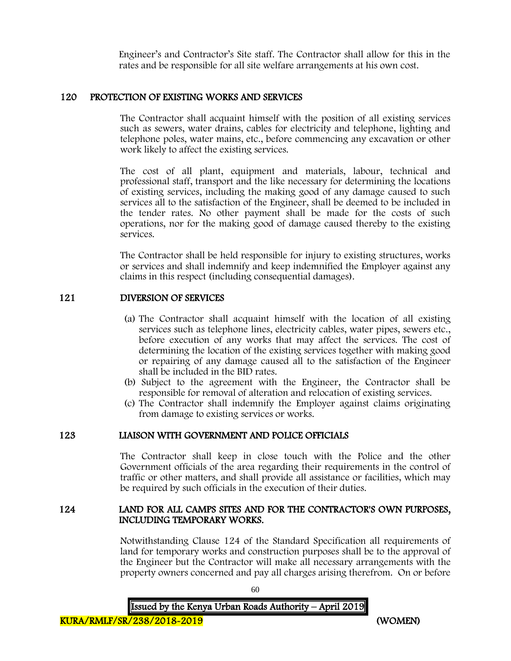Engineer's and Contractor's Site staff. The Contractor shall allow for this in the rates and be responsible for all site welfare arrangements at his own cost.

## 120 PROTECTION OF EXISTING WORKS AND SERVICES

The Contractor shall acquaint himself with the position of all existing services such as sewers, water drains, cables for electricity and telephone, lighting and telephone poles, water mains, etc., before commencing any excavation or other work likely to affect the existing services.

The cost of all plant, equipment and materials, labour, technical and professional staff, transport and the like necessary for determining the locations of existing services, including the making good of any damage caused to such services all to the satisfaction of the Engineer, shall be deemed to be included in the tender rates. No other payment shall be made for the costs of such operations, nor for the making good of damage caused thereby to the existing services.

The Contractor shall be held responsible for injury to existing structures, works or services and shall indemnify and keep indemnified the Employer against any claims in this respect (including consequential damages).

## 121 DIVERSION OF SERVICES

- (a) The Contractor shall acquaint himself with the location of all existing services such as telephone lines, electricity cables, water pipes, sewers etc., before execution of any works that may affect the services. The cost of determining the location of the existing services together with making good or repairing of any damage caused all to the satisfaction of the Engineer shall be included in the BID rates.
- (b) Subject to the agreement with the Engineer, the Contractor shall be responsible for removal of alteration and relocation of existing services.
- (c) The Contractor shall indemnify the Employer against claims originating from damage to existing services or works.

## 123 LIAISON WITH GOVERNMENT AND POLICE OFFICIALS

The Contractor shall keep in close touch with the Police and the other Government officials of the area regarding their requirements in the control of traffic or other matters, and shall provide all assistance or facilities, which may be required by such officials in the execution of their duties.

#### 124 LAND FOR ALL CAMPS SITES AND FOR THE CONTRACTOR'S OWN PURPOSES, INCLUDING TEMPORARY WORKS.

Notwithstanding Clause 124 of the Standard Specification all requirements of land for temporary works and construction purposes shall be to the approval of the Engineer but the Contractor will make all necessary arrangements with the property owners concerned and pay all charges arising therefrom. On or before

60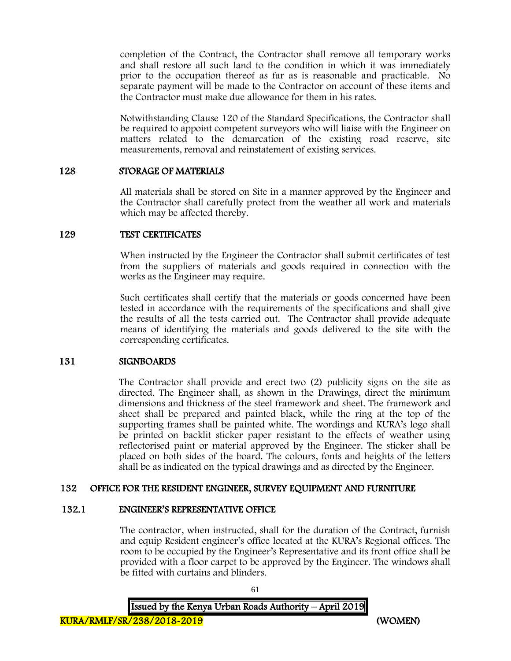completion of the Contract, the Contractor shall remove all temporary works and shall restore all such land to the condition in which it was immediately prior to the occupation thereof as far as is reasonable and practicable. No separate payment will be made to the Contractor on account of these items and the Contractor must make due allowance for them in his rates.

Notwithstanding Clause 120 of the Standard Specifications, the Contractor shall be required to appoint competent surveyors who will liaise with the Engineer on matters related to the demarcation of the existing road reserve, site measurements, removal and reinstatement of existing services.

## 128 STORAGE OF MATERIALS

All materials shall be stored on Site in a manner approved by the Engineer and the Contractor shall carefully protect from the weather all work and materials which may be affected thereby.

#### 129 TEST CERTIFICATES

When instructed by the Engineer the Contractor shall submit certificates of test from the suppliers of materials and goods required in connection with the works as the Engineer may require.

Such certificates shall certify that the materials or goods concerned have been tested in accordance with the requirements of the specifications and shall give the results of all the tests carried out. The Contractor shall provide adequate means of identifying the materials and goods delivered to the site with the corresponding certificates.

## 131 SIGNBOARDS

The Contractor shall provide and erect two (2) publicity signs on the site as directed. The Engineer shall, as shown in the Drawings, direct the minimum dimensions and thickness of the steel framework and sheet. The framework and sheet shall be prepared and painted black, while the ring at the top of the supporting frames shall be painted white. The wordings and KURA's logo shall be printed on backlit sticker paper resistant to the effects of weather using reflectorised paint or material approved by the Engineer. The sticker shall be placed on both sides of the board. The colours, fonts and heights of the letters shall be as indicated on the typical drawings and as directed by the Engineer.

## 132 OFFICE FOR THE RESIDENT ENGINEER, SURVEY EQUIPMENT AND FURNITURE

## 132.1 ENGINEER'S REPRESENTATIVE OFFICE

The contractor, when instructed, shall for the duration of the Contract, furnish and equip Resident engineer's office located at the KURA's Regional offices. The room to be occupied by the Engineer's Representative and its front office shall be provided with a floor carpet to be approved by the Engineer. The windows shall be fitted with curtains and blinders.

61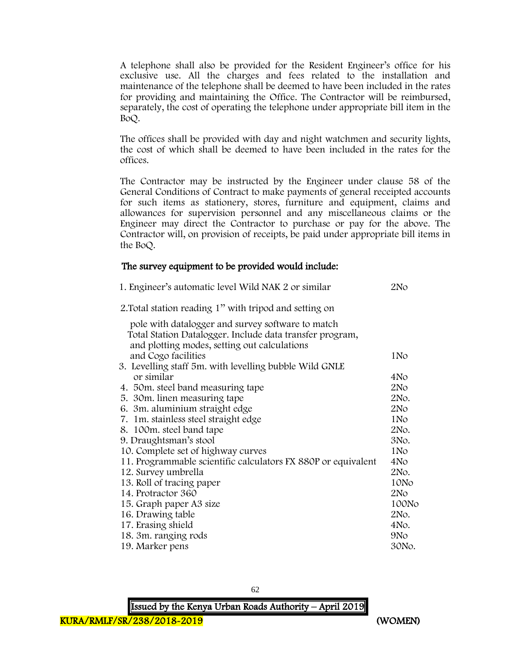A telephone shall also be provided for the Resident Engineer's office for his exclusive use. All the charges and fees related to the installation and maintenance of the telephone shall be deemed to have been included in the rates for providing and maintaining the Office. The Contractor will be reimbursed, separately, the cost of operating the telephone under appropriate bill item in the BoQ.

The offices shall be provided with day and night watchmen and security lights, the cost of which shall be deemed to have been included in the rates for the offices.

The Contractor may be instructed by the Engineer under clause 58 of the General Conditions of Contract to make payments of general receipted accounts for such items as stationery, stores, furniture and equipment, claims and allowances for supervision personnel and any miscellaneous claims or the Engineer may direct the Contractor to purchase or pay for the above. The Contractor will, on provision of receipts, be paid under appropriate bill items in the BoQ.

## The survey equipment to be provided would include:

| 1. Engineer's automatic level Wild NAK 2 or similar                                                           | 2N <sub>O</sub>                                                                                                                                                                                                                                                                    |
|---------------------------------------------------------------------------------------------------------------|------------------------------------------------------------------------------------------------------------------------------------------------------------------------------------------------------------------------------------------------------------------------------------|
| 2. Total station reading 1" with tripod and setting on                                                        |                                                                                                                                                                                                                                                                                    |
| pole with datalogger and survey software to match<br>Total Station Datalogger. Include data transfer program, |                                                                                                                                                                                                                                                                                    |
|                                                                                                               |                                                                                                                                                                                                                                                                                    |
|                                                                                                               | 1N <sub>o</sub>                                                                                                                                                                                                                                                                    |
|                                                                                                               | 4No                                                                                                                                                                                                                                                                                |
|                                                                                                               | 2N <sub>O</sub>                                                                                                                                                                                                                                                                    |
|                                                                                                               | 2No.                                                                                                                                                                                                                                                                               |
| 6. 3m. aluminium straight edge                                                                                | 2N <sub>O</sub>                                                                                                                                                                                                                                                                    |
| 7. 1m. stainless steel straight edge                                                                          | 1N <sub>o</sub>                                                                                                                                                                                                                                                                    |
| 8. 100m. steel band tape                                                                                      | 2No.                                                                                                                                                                                                                                                                               |
| 9. Draughtsman's stool                                                                                        | 3No.                                                                                                                                                                                                                                                                               |
| 10. Complete set of highway curves                                                                            | 1N <sub>o</sub>                                                                                                                                                                                                                                                                    |
|                                                                                                               | 4No                                                                                                                                                                                                                                                                                |
| 12. Survey umbrella                                                                                           | 2No.                                                                                                                                                                                                                                                                               |
| 13. Roll of tracing paper                                                                                     | 10No                                                                                                                                                                                                                                                                               |
| 14. Protractor 360                                                                                            | 2N <sub>O</sub>                                                                                                                                                                                                                                                                    |
| 15. Graph paper A3 size                                                                                       | 100No                                                                                                                                                                                                                                                                              |
| 16. Drawing table                                                                                             | 2No.                                                                                                                                                                                                                                                                               |
| 17. Erasing shield                                                                                            | 4No.                                                                                                                                                                                                                                                                               |
| 18. 3m. ranging rods                                                                                          | 9N <sub>o</sub>                                                                                                                                                                                                                                                                    |
| 19. Marker pens                                                                                               | 30No.                                                                                                                                                                                                                                                                              |
|                                                                                                               | and plotting modes, setting out calculations<br>and Cogo facilities<br>3. Levelling staff 5m. with levelling bubble Wild GNLE<br>or similar<br>4. 50m. steel band measuring tape<br>5. 30 m. linen measuring tape<br>11. Programmable scientific calculators FX 880P or equivalent |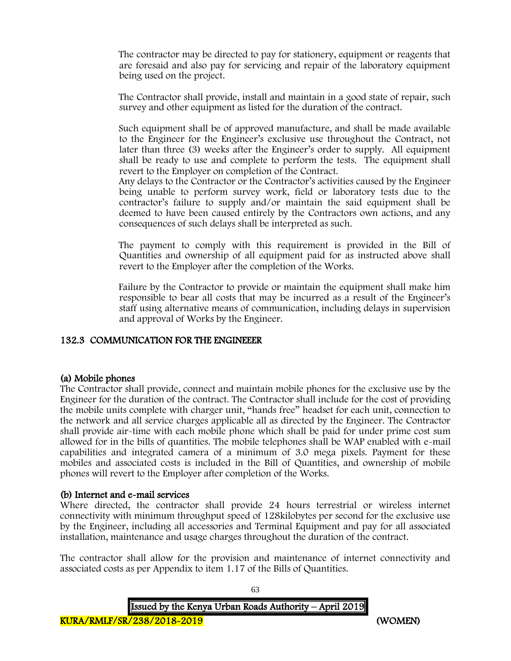The contractor may be directed to pay for stationery, equipment or reagents that are foresaid and also pay for servicing and repair of the laboratory equipment being used on the project.

The Contractor shall provide, install and maintain in a good state of repair, such survey and other equipment as listed for the duration of the contract.

Such equipment shall be of approved manufacture, and shall be made available to the Engineer for the Engineer's exclusive use throughout the Contract, not later than three (3) weeks after the Engineer's order to supply. All equipment shall be ready to use and complete to perform the tests. The equipment shall revert to the Employer on completion of the Contract.

Any delays to the Contractor or the Contractor's activities caused by the Engineer being unable to perform survey work, field or laboratory tests due to the contractor's failure to supply and/or maintain the said equipment shall be deemed to have been caused entirely by the Contractors own actions, and any consequences of such delays shall be interpreted as such.

The payment to comply with this requirement is provided in the Bill of Quantities and ownership of all equipment paid for as instructed above shall revert to the Employer after the completion of the Works.

Failure by the Contractor to provide or maintain the equipment shall make him responsible to bear all costs that may be incurred as a result of the Engineer's staff using alternative means of communication, including delays in supervision and approval of Works by the Engineer.

# 132.3 COMMUNICATION FOR THE ENGINEEER

## (a) Mobile phones

The Contractor shall provide, connect and maintain mobile phones for the exclusive use by the Engineer for the duration of the contract. The Contractor shall include for the cost of providing the mobile units complete with charger unit, "hands free" headset for each unit, connection to the network and all service charges applicable all as directed by the Engineer. The Contractor shall provide air-time with each mobile phone which shall be paid for under prime cost sum allowed for in the bills of quantities. The mobile telephones shall be WAP enabled with e-mail capabilities and integrated camera of a minimum of 3.0 mega pixels. Payment for these mobiles and associated costs is included in the Bill of Quantities, and ownership of mobile phones will revert to the Employer after completion of the Works.

## (b) Internet and e-mail services

Where directed, the contractor shall provide 24 hours terrestrial or wireless internet connectivity with minimum throughput speed of 128kilobytes per second for the exclusive use by the Engineer, including all accessories and Terminal Equipment and pay for all associated installation, maintenance and usage charges throughout the duration of the contract.

The contractor shall allow for the provision and maintenance of internet connectivity and associated costs as per Appendix to item 1.17 of the Bills of Quantities.

Issued by the Kenya Urban Roads Authority – April 2019

63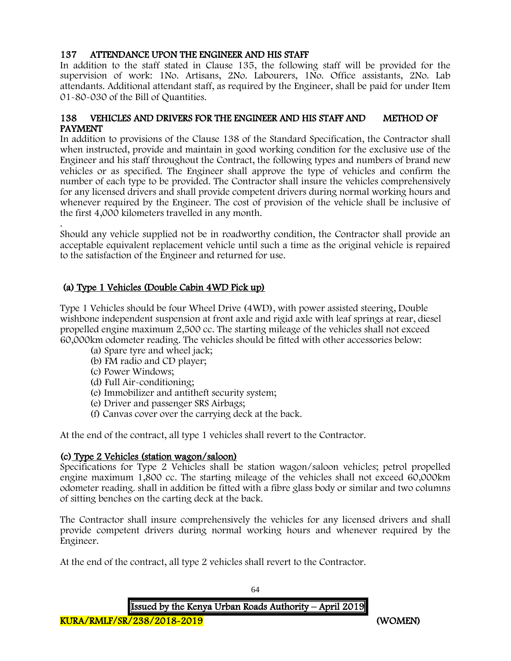# 137 ATTENDANCE UPON THE ENGINEER AND HIS STAFF

In addition to the staff stated in Clause 135, the following staff will be provided for the supervision of work: 1No. Artisans, 2No. Labourers, 1No. Office assistants, 2No. Lab attendants. Additional attendant staff, as required by the Engineer, shall be paid for under Item 01-80-030 of the Bill of Quantities.

## 138 VEHICLES AND DRIVERS FOR THE ENGINEER AND HIS STAFF AND METHOD OF PAYMENT

In addition to provisions of the Clause 138 of the Standard Specification, the Contractor shall when instructed, provide and maintain in good working condition for the exclusive use of the Engineer and his staff throughout the Contract, the following types and numbers of brand new vehicles or as specified. The Engineer shall approve the type of vehicles and confirm the number of each type to be provided. The Contractor shall insure the vehicles comprehensively for any licensed drivers and shall provide competent drivers during normal working hours and whenever required by the Engineer. The cost of provision of the vehicle shall be inclusive of the first 4,000 kilometers travelled in any month.

. Should any vehicle supplied not be in roadworthy condition, the Contractor shall provide an acceptable equivalent replacement vehicle until such a time as the original vehicle is repaired to the satisfaction of the Engineer and returned for use.

# (a) Type 1 Vehicles (Double Cabin 4WD Pick up)

Type 1 Vehicles should be four Wheel Drive (4WD), with power assisted steering, Double wishbone independent suspension at front axle and rigid axle with leaf springs at rear, diesel propelled engine maximum 2,500 cc. The starting mileage of the vehicles shall not exceed 60,000km odometer reading. The vehicles should be fitted with other accessories below:

- (a) Spare tyre and wheel jack;
- (b) FM radio and CD player;
- (c) Power Windows;
- (d) Full Air-conditioning;
- (e) Immobilizer and antitheft security system;
- (e) Driver and passenger SRS Airbags;
- (f) Canvas cover over the carrying deck at the back.

At the end of the contract, all type 1 vehicles shall revert to the Contractor.

# (c) Type 2 Vehicles (station wagon/saloon)

Specifications for Type 2 Vehicles shall be station wagon/saloon vehicles; petrol propelled engine maximum 1,800 cc. The starting mileage of the vehicles shall not exceed 60,000km odometer reading. shall in addition be fitted with a fibre glass body or similar and two columns of sitting benches on the carting deck at the back.

The Contractor shall insure comprehensively the vehicles for any licensed drivers and shall provide competent drivers during normal working hours and whenever required by the Engineer.

At the end of the contract, all type 2 vehicles shall revert to the Contractor.

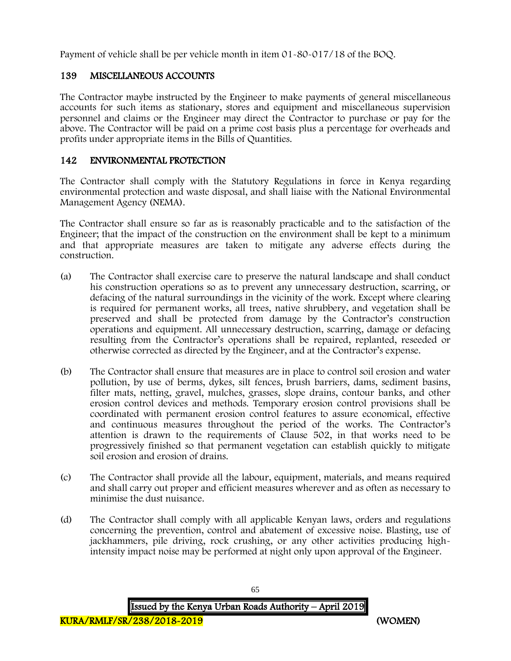Payment of vehicle shall be per vehicle month in item 01-80-017/18 of the BOQ.

# 139 MISCELLANEOUS ACCOUNTS

The Contractor maybe instructed by the Engineer to make payments of general miscellaneous accounts for such items as stationary, stores and equipment and miscellaneous supervision personnel and claims or the Engineer may direct the Contractor to purchase or pay for the above. The Contractor will be paid on a prime cost basis plus a percentage for overheads and profits under appropriate items in the Bills of Quantities.

# 142 ENVIRONMENTAL PROTECTION

The Contractor shall comply with the Statutory Regulations in force in Kenya regarding environmental protection and waste disposal, and shall liaise with the National Environmental Management Agency (NEMA).

The Contractor shall ensure so far as is reasonably practicable and to the satisfaction of the Engineer; that the impact of the construction on the environment shall be kept to a minimum and that appropriate measures are taken to mitigate any adverse effects during the construction.

- (a) The Contractor shall exercise care to preserve the natural landscape and shall conduct his construction operations so as to prevent any unnecessary destruction, scarring, or defacing of the natural surroundings in the vicinity of the work. Except where clearing is required for permanent works, all trees, native shrubbery, and vegetation shall be preserved and shall be protected from damage by the Contractor's construction operations and equipment. All unnecessary destruction, scarring, damage or defacing resulting from the Contractor's operations shall be repaired, replanted, reseeded or otherwise corrected as directed by the Engineer, and at the Contractor's expense.
- (b) The Contractor shall ensure that measures are in place to control soil erosion and water pollution, by use of berms, dykes, silt fences, brush barriers, dams, sediment basins, filter mats, netting, gravel, mulches, grasses, slope drains, contour banks, and other erosion control devices and methods. Temporary erosion control provisions shall be coordinated with permanent erosion control features to assure economical, effective and continuous measures throughout the period of the works. The Contractor's attention is drawn to the requirements of Clause 502, in that works need to be progressively finished so that permanent vegetation can establish quickly to mitigate soil erosion and erosion of drains.
- (c) The Contractor shall provide all the labour, equipment, materials, and means required and shall carry out proper and efficient measures wherever and as often as necessary to minimise the dust nuisance.
- (d) The Contractor shall comply with all applicable Kenyan laws, orders and regulations concerning the prevention, control and abatement of excessive noise. Blasting, use of jackhammers, pile driving, rock crushing, or any other activities producing highintensity impact noise may be performed at night only upon approval of the Engineer.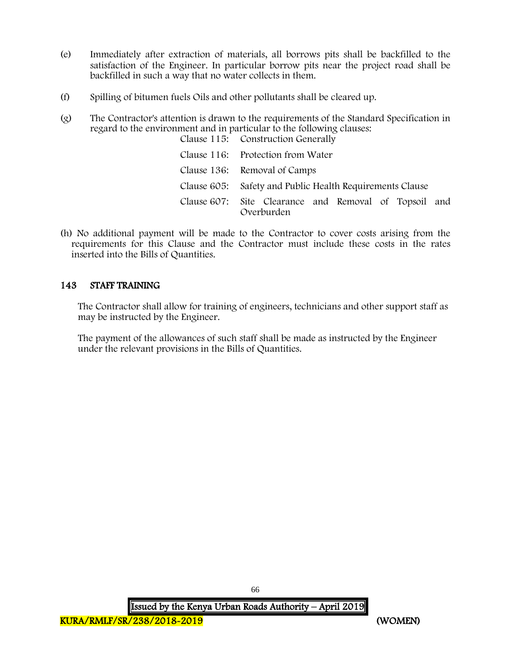- (e) Immediately after extraction of materials, all borrows pits shall be backfilled to the satisfaction of the Engineer. In particular borrow pits near the project road shall be backfilled in such a way that no water collects in them.
- (f) Spilling of bitumen fuels Oils and other pollutants shall be cleared up.
- (g) The Contractor's attention is drawn to the requirements of the Standard Specification in regard to the environment and in particular to the following clauses:

| Clause 115: Construction Generally                                  |
|---------------------------------------------------------------------|
| Clause 116: Protection from Water                                   |
| Clause 136: Removal of Camps                                        |
| Clause 605: Safety and Public Health Requirements Clause            |
| Clause 607: Site Clearance and Removal of Topsoil and<br>Overburden |

(h) No additional payment will be made to the Contractor to cover costs arising from the requirements for this Clause and the Contractor must include these costs in the rates inserted into the Bills of Quantities.

## 143 STAFF TRAINING

The Contractor shall allow for training of engineers, technicians and other support staff as may be instructed by the Engineer.

The payment of the allowances of such staff shall be made as instructed by the Engineer under the relevant provisions in the Bills of Quantities.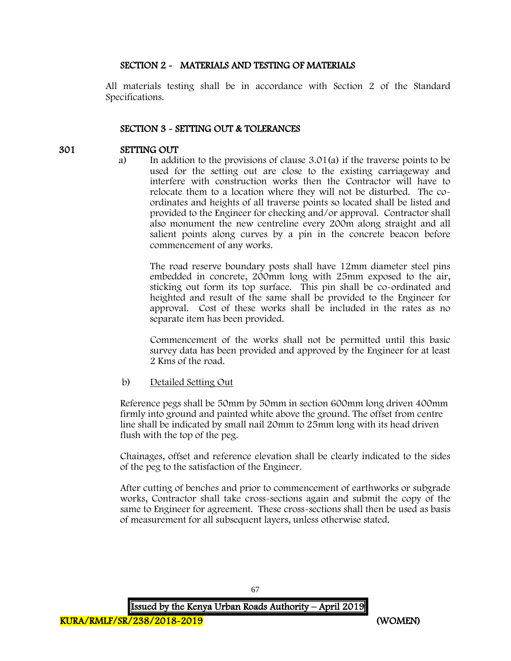## SECTION 2 - MATERIALS AND TESTING OF MATERIALS

All materials testing shall be in accordance with Section 2 of the Standard Specifications.

## SECTION 3 - SETTING OUT & TOLERANCES

#### 301 SETTING OUT

a) In addition to the provisions of clause 3.01(a) if the traverse points to be used for the setting out are close to the existing carriageway and interfere with construction works then the Contractor will have to relocate them to a location where they will not be disturbed. The coordinates and heights of all traverse points so located shall be listed and provided to the Engineer for checking and/or approval. Contractor shall also monument the new centreline every 200m along straight and all salient points along curves by a pin in the concrete beacon before commencement of any works.

The road reserve boundary posts shall have 12mm diameter steel pins embedded in concrete, 200mm long with 25mm exposed to the air, sticking out form its top surface. This pin shall be co-ordinated and heighted and result of the same shall be provided to the Engineer for approval. Cost of these works shall be included in the rates as no separate item has been provided.

Commencement of the works shall not be permitted until this basic survey data has been provided and approved by the Engineer for at least 2 Kms of the road.

#### b) Detailed Setting Out

Reference pegs shall be 50mm by 50mm in section 600mm long driven 400mm firmly into ground and painted white above the ground. The offset from centre line shall be indicated by small nail 20mm to 25mm long with its head driven flush with the top of the peg.

Chainages, offset and reference elevation shall be clearly indicated to the sides of the peg to the satisfaction of the Engineer.

After cutting of benches and prior to commencement of earthworks or subgrade works, Contractor shall take cross-sections again and submit the copy of the same to Engineer for agreement. These cross-sections shall then be used as basis of measurement for all subsequent layers, unless otherwise stated.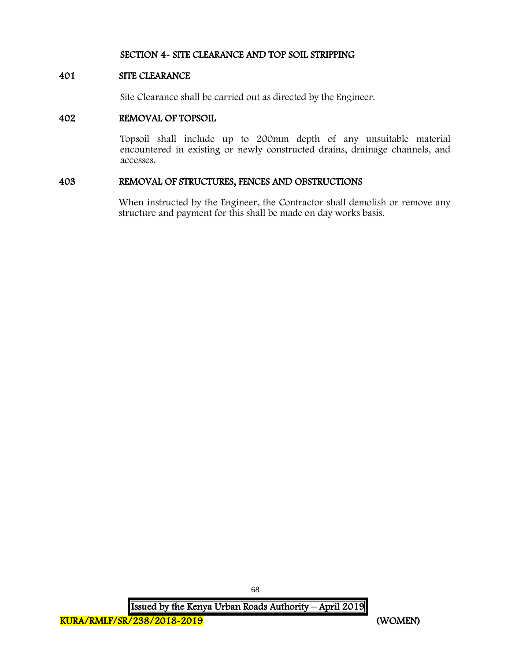## SECTION 4- SITE CLEARANCE AND TOP SOIL STRIPPING

#### 401 SITE CLEARANCE

Site Clearance shall be carried out as directed by the Engineer.

#### 402 REMOVAL OF TOPSOIL

Topsoil shall include up to 200mm depth of any unsuitable material encountered in existing or newly constructed drains, drainage channels, and accesses.

#### 403 REMOVAL OF STRUCTURES, FENCES AND OBSTRUCTIONS

When instructed by the Engineer, the Contractor shall demolish or remove any structure and payment for this shall be made on day works basis.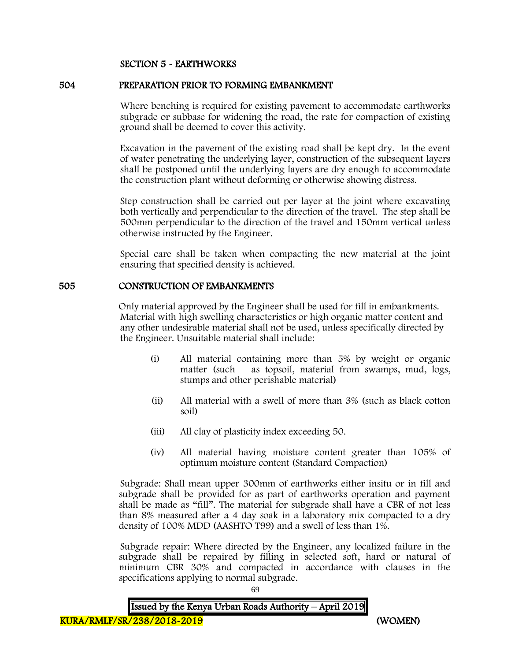#### SECTION 5 - EARTHWORKS

#### 504 PREPARATION PRIOR TO FORMING EMBANKMENT

Where benching is required for existing pavement to accommodate earthworks subgrade or subbase for widening the road, the rate for compaction of existing ground shall be deemed to cover this activity.

Excavation in the pavement of the existing road shall be kept dry. In the event of water penetrating the underlying layer, construction of the subsequent layers shall be postponed until the underlying layers are dry enough to accommodate the construction plant without deforming or otherwise showing distress.

Step construction shall be carried out per layer at the joint where excavating both vertically and perpendicular to the direction of the travel. The step shall be 500mm perpendicular to the direction of the travel and 150mm vertical unless otherwise instructed by the Engineer.

Special care shall be taken when compacting the new material at the joint ensuring that specified density is achieved.

#### 505 CONSTRUCTION OF EMBANKMENTS

Only material approved by the Engineer shall be used for fill in embankments. Material with high swelling characteristics or high organic matter content and any other undesirable material shall not be used, unless specifically directed by the Engineer. Unsuitable material shall include:

- (i) All material containing more than 5% by weight or organic as topsoil, material from swamps, mud, logs, stumps and other perishable material)
- (ii) All material with a swell of more than 3% (such as black cotton soil)
- (iii) All clay of plasticity index exceeding 50.
- (iv) All material having moisture content greater than 105% of optimum moisture content (Standard Compaction)

Subgrade: Shall mean upper 300mm of earthworks either insitu or in fill and subgrade shall be provided for as part of earthworks operation and payment shall be made as "fill". The material for subgrade shall have a CBR of not less than 8% measured after a 4 day soak in a laboratory mix compacted to a dry density of 100% MDD (AASHTO T99) and a swell of less than 1%.

Subgrade repair: Where directed by the Engineer, any localized failure in the subgrade shall be repaired by filling in selected soft, hard or natural of minimum CBR 30% and compacted in accordance with clauses in the specifications applying to normal subgrade.

69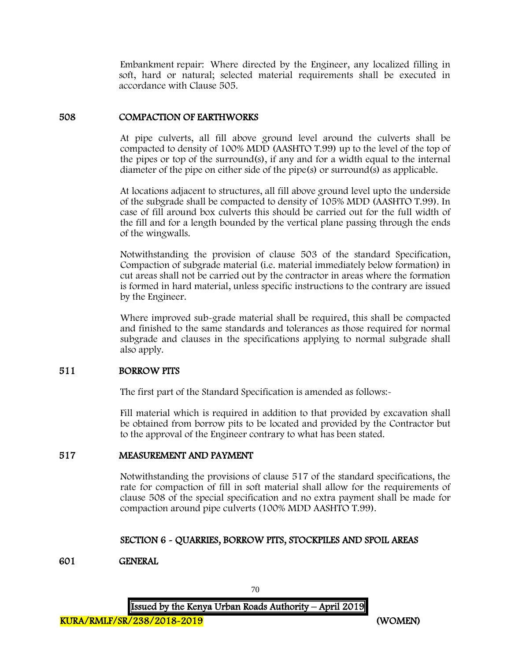Embankment repair: Where directed by the Engineer, any localized filling in soft, hard or natural; selected material requirements shall be executed in accordance with Clause 505.

#### 508 COMPACTION OF EARTHWORKS

At pipe culverts, all fill above ground level around the culverts shall be compacted to density of 100% MDD (AASHTO T.99) up to the level of the top of the pipes or top of the surround(s), if any and for a width equal to the internal diameter of the pipe on either side of the pipe(s) or surround(s) as applicable.

At locations adjacent to structures, all fill above ground level upto the underside of the subgrade shall be compacted to density of 105% MDD (AASHTO T.99). In case of fill around box culverts this should be carried out for the full width of the fill and for a length bounded by the vertical plane passing through the ends of the wingwalls.

Notwithstanding the provision of clause 503 of the standard Specification, Compaction of subgrade material (i.e. material immediately below formation) in cut areas shall not be carried out by the contractor in areas where the formation is formed in hard material, unless specific instructions to the contrary are issued by the Engineer.

Where improved sub-grade material shall be required, this shall be compacted and finished to the same standards and tolerances as those required for normal subgrade and clauses in the specifications applying to normal subgrade shall also apply.

## 511 BORROW PITS

The first part of the Standard Specification is amended as follows:

Fill material which is required in addition to that provided by excavation shall be obtained from borrow pits to be located and provided by the Contractor but to the approval of the Engineer contrary to what has been stated.

#### 517 MEASUREMENT AND PAYMENT

Notwithstanding the provisions of clause 517 of the standard specifications, the rate for compaction of fill in soft material shall allow for the requirements of clause 508 of the special specification and no extra payment shall be made for compaction around pipe culverts (100% MDD AASHTO T.99).

## SECTION 6 - QUARRIES, BORROW PITS, STOCKPILES AND SPOIL AREAS

601 GENERAL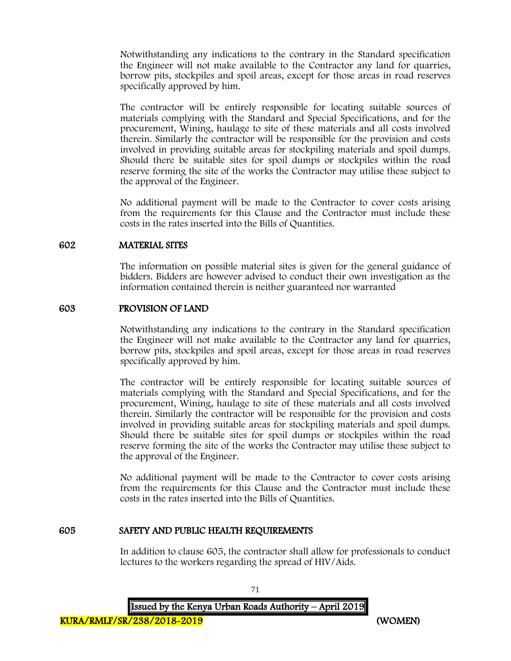Notwithstanding any indications to the contrary in the Standard specification the Engineer will not make available to the Contractor any land for quarries, borrow pits, stockpiles and spoil areas, except for those areas in road reserves specifically approved by him.

The contractor will be entirely responsible for locating suitable sources of materials complying with the Standard and Special Specifications, and for the procurement, Wining, haulage to site of these materials and all costs involved therein. Similarly the contractor will be responsible for the provision and costs involved in providing suitable areas for stockpiling materials and spoil dumps. Should there be suitable sites for spoil dumps or stockpiles within the road reserve forming the site of the works the Contractor may utilise these subject to the approval of the Engineer.

No additional payment will be made to the Contractor to cover costs arising from the requirements for this Clause and the Contractor must include these costs in the rates inserted into the Bills of Quantities.

#### 602 MATERIAL SITES

The information on possible material sites is given for the general guidance of bidders. Bidders are however advised to conduct their own investigation as the information contained therein is neither guaranteed nor warranted

## 603 PROVISION OF LAND

Notwithstanding any indications to the contrary in the Standard specification the Engineer will not make available to the Contractor any land for quarries, borrow pits, stockpiles and spoil areas, except for those areas in road reserves specifically approved by him.

The contractor will be entirely responsible for locating suitable sources of materials complying with the Standard and Special Specifications, and for the procurement, Wining, haulage to site of these materials and all costs involved therein. Similarly the contractor will be responsible for the provision and costs involved in providing suitable areas for stockpiling materials and spoil dumps. Should there be suitable sites for spoil dumps or stockpiles within the road reserve forming the site of the works the Contractor may utilise these subject to the approval of the Engineer.

No additional payment will be made to the Contractor to cover costs arising from the requirements for this Clause and the Contractor must include these costs in the rates inserted into the Bills of Quantities.

#### 605 SAFETY AND PUBLIC HEALTH REQUIREMENTS

In addition to clause 605, the contractor shall allow for professionals to conduct lectures to the workers regarding the spread of HIV/Aids.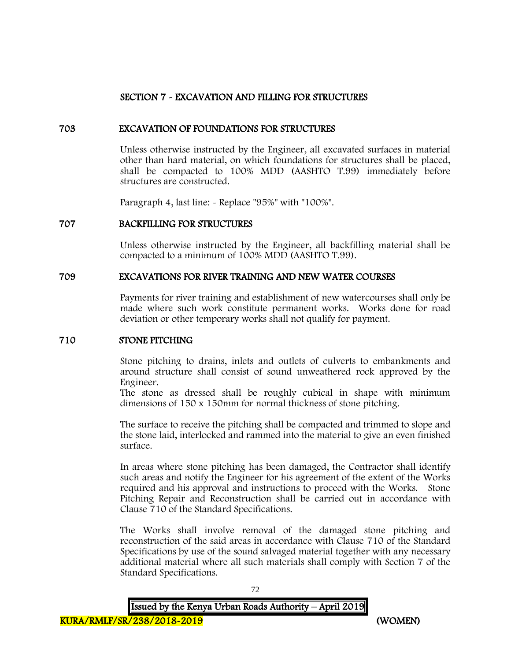# SECTION 7 - EXCAVATION AND FILLING FOR STRUCTURES

# 703 EXCAVATION OF FOUNDATIONS FOR STRUCTURES

Unless otherwise instructed by the Engineer, all excavated surfaces in material other than hard material, on which foundations for structures shall be placed, shall be compacted to 100% MDD (AASHTO T.99) immediately before structures are constructed.

Paragraph 4, last line: - Replace "95%" with "100%".

## 707 BACKFILLING FOR STRUCTURES

Unless otherwise instructed by the Engineer, all backfilling material shall be compacted to a minimum of 100% MDD (AASHTO T.99).

## 709 EXCAVATIONS FOR RIVER TRAINING AND NEW WATER COURSES

Payments for river training and establishment of new watercourses shall only be made where such work constitute permanent works. Works done for road deviation or other temporary works shall not qualify for payment.

## 710 STONE PITCHING

Stone pitching to drains, inlets and outlets of culverts to embankments and around structure shall consist of sound unweathered rock approved by the Engineer.

The stone as dressed shall be roughly cubical in shape with minimum dimensions of 150 x 150mm for normal thickness of stone pitching.

The surface to receive the pitching shall be compacted and trimmed to slope and the stone laid, interlocked and rammed into the material to give an even finished surface.

In areas where stone pitching has been damaged, the Contractor shall identify such areas and notify the Engineer for his agreement of the extent of the Works required and his approval and instructions to proceed with the Works. Stone Pitching Repair and Reconstruction shall be carried out in accordance with Clause 710 of the Standard Specifications.

The Works shall involve removal of the damaged stone pitching and reconstruction of the said areas in accordance with Clause 710 of the Standard Specifications by use of the sound salvaged material together with any necessary additional material where all such materials shall comply with Section 7 of the Standard Specifications.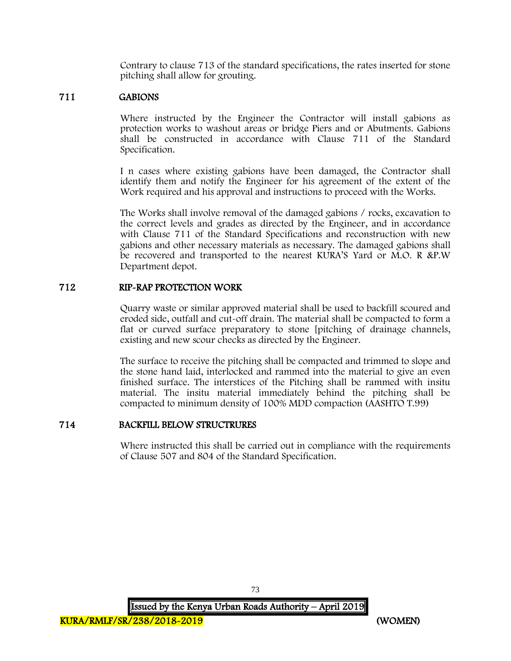Contrary to clause 713 of the standard specifications, the rates inserted for stone pitching shall allow for grouting.

# 711 GABIONS

Where instructed by the Engineer the Contractor will install gabions as protection works to washout areas or bridge Piers and or Abutments. Gabions shall be constructed in accordance with Clause 711 of the Standard Specification.

I n cases where existing gabions have been damaged, the Contractor shall identify them and notify the Engineer for his agreement of the extent of the Work required and his approval and instructions to proceed with the Works.

The Works shall involve removal of the damaged gabions / rocks, excavation to the correct levels and grades as directed by the Engineer, and in accordance with Clause 711 of the Standard Specifications and reconstruction with new gabions and other necessary materials as necessary. The damaged gabions shall be recovered and transported to the nearest KURA'S Yard or M.O. R &P.W Department depot.

# 712 RIP-RAP PROTECTION WORK

Quarry waste or similar approved material shall be used to backfill scoured and eroded side, outfall and cut-off drain. The material shall be compacted to form a flat or curved surface preparatory to stone [pitching of drainage channels, existing and new scour checks as directed by the Engineer.

The surface to receive the pitching shall be compacted and trimmed to slope and the stone hand laid, interlocked and rammed into the material to give an even finished surface. The interstices of the Pitching shall be rammed with insitu material. The insitu material immediately behind the pitching shall be compacted to minimum density of 100% MDD compaction (AASHTO T.99)

## 714 BACKFILL BELOW STRUCTRURES

Where instructed this shall be carried out in compliance with the requirements of Clause 507 and 804 of the Standard Specification.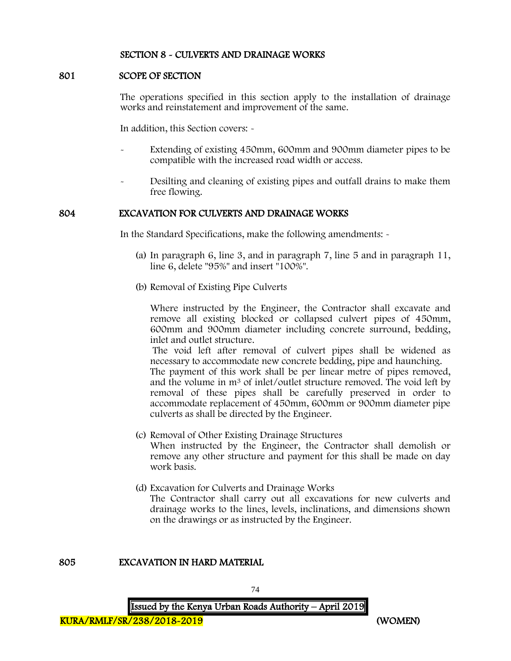## SECTION 8 - CULVERTS AND DRAINAGE WORKS

### 801 SCOPE OF SECTION

The operations specified in this section apply to the installation of drainage works and reinstatement and improvement of the same.

In addition, this Section covers: -

- Extending of existing 450mm, 600mm and 900mm diameter pipes to be compatible with the increased road width or access.
- Desilting and cleaning of existing pipes and outfall drains to make them free flowing.

#### 804 EXCAVATION FOR CULVERTS AND DRAINAGE WORKS

In the Standard Specifications, make the following amendments: -

- (a) In paragraph 6, line 3, and in paragraph 7, line 5 and in paragraph 11, line 6, delete "95%" and insert "100%".
- (b) Removal of Existing Pipe Culverts

Where instructed by the Engineer, the Contractor shall excavate and remove all existing blocked or collapsed culvert pipes of 450mm, 600mm and 900mm diameter including concrete surround, bedding, inlet and outlet structure.

The void left after removal of culvert pipes shall be widened as necessary to accommodate new concrete bedding, pipe and haunching.

The payment of this work shall be per linear metre of pipes removed, and the volume in m<sup>3</sup> of inlet/outlet structure removed. The void left by removal of these pipes shall be carefully preserved in order to accommodate replacement of 450mm, 600mm or 900mm diameter pipe culverts as shall be directed by the Engineer.

- (c) Removal of Other Existing Drainage Structures When instructed by the Engineer, the Contractor shall demolish or remove any other structure and payment for this shall be made on day work basis.
- (d) Excavation for Culverts and Drainage Works The Contractor shall carry out all excavations for new culverts and drainage works to the lines, levels, inclinations, and dimensions shown on the drawings or as instructed by the Engineer.

805 EXCAVATION IN HARD MATERIAL

74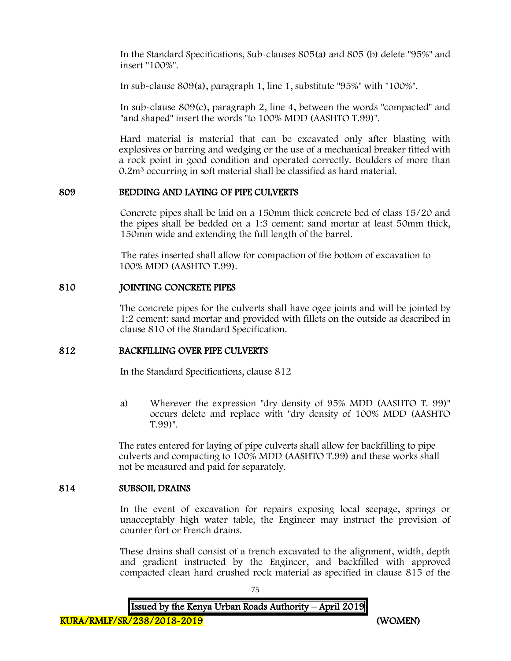In the Standard Specifications, Sub-clauses 805(a) and 805 (b) delete "95%" and insert "100%".

In sub-clause 809(a), paragraph 1, line 1, substitute "95%" with "100%".

In sub-clause 809(c), paragraph 2, line 4, between the words "compacted" and "and shaped" insert the words "to 100% MDD (AASHTO T.99)".

Hard material is material that can be excavated only after blasting with explosives or barring and wedging or the use of a mechanical breaker fitted with a rock point in good condition and operated correctly. Boulders of more than 0.2m<sup>3</sup> occurring in soft material shall be classified as hard material.

### 809 BEDDING AND LAYING OF PIPE CULVERTS

Concrete pipes shall be laid on a 150mm thick concrete bed of class 15/20 and the pipes shall be bedded on a 1:3 cement: sand mortar at least 50mm thick, 150mm wide and extending the full length of the barrel.

The rates inserted shall allow for compaction of the bottom of excavation to 100% MDD (AASHTO T.99).

## 810 JOINTING CONCRETE PIPES

The concrete pipes for the culverts shall have ogee joints and will be jointed by 1:2 cement: sand mortar and provided with fillets on the outside as described in clause 810 of the Standard Specification.

## 812 BACKFILLING OVER PIPE CULVERTS

In the Standard Specifications, clause 812

a) Wherever the expression "dry density of 95% MDD (AASHTO T. 99)" occurs delete and replace with "dry density of 100% MDD (AASHTO T.99)".

The rates entered for laying of pipe culverts shall allow for backfilling to pipe culverts and compacting to 100% MDD (AASHTO T.99) and these works shall not be measured and paid for separately.

### 814 SUBSOIL DRAINS

In the event of excavation for repairs exposing local seepage, springs or unacceptably high water table, the Engineer may instruct the provision of counter fort or French drains.

These drains shall consist of a trench excavated to the alignment, width, depth and gradient instructed by the Engineer, and backfilled with approved compacted clean hard crushed rock material as specified in clause 815 of the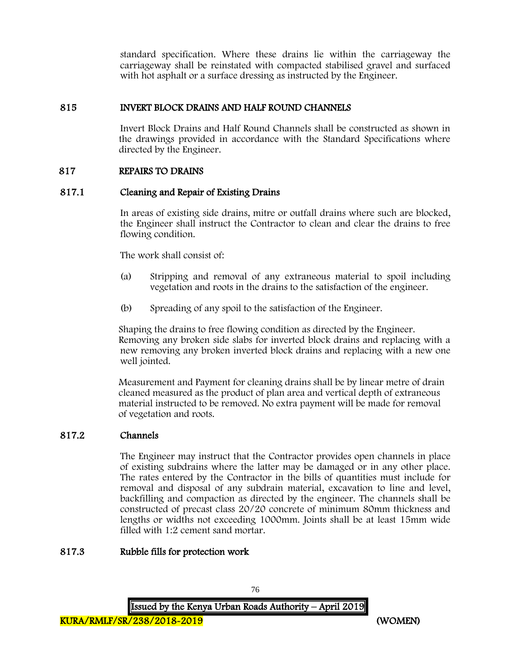standard specification. Where these drains lie within the carriageway the carriageway shall be reinstated with compacted stabilised gravel and surfaced with hot asphalt or a surface dressing as instructed by the Engineer.

## 815 INVERT BLOCK DRAINS AND HALF ROUND CHANNELS

Invert Block Drains and Half Round Channels shall be constructed as shown in the drawings provided in accordance with the Standard Specifications where directed by the Engineer.

## 817 REPAIRS TO DRAINS

## 817.1 Cleaning and Repair of Existing Drains

In areas of existing side drains, mitre or outfall drains where such are blocked, the Engineer shall instruct the Contractor to clean and clear the drains to free flowing condition.

The work shall consist of:

- (a) Stripping and removal of any extraneous material to spoil including vegetation and roots in the drains to the satisfaction of the engineer.
- (b) Spreading of any spoil to the satisfaction of the Engineer.

Shaping the drains to free flowing condition as directed by the Engineer. Removing any broken side slabs for inverted block drains and replacing with a new removing any broken inverted block drains and replacing with a new one well jointed.

Measurement and Payment for cleaning drains shall be by linear metre of drain cleaned measured as the product of plan area and vertical depth of extraneous material instructed to be removed. No extra payment will be made for removal of vegetation and roots.

## 817.2 Channels

The Engineer may instruct that the Contractor provides open channels in place of existing subdrains where the latter may be damaged or in any other place. The rates entered by the Contractor in the bills of quantities must include for removal and disposal of any subdrain material, excavation to line and level, backfilling and compaction as directed by the engineer. The channels shall be constructed of precast class 20/20 concrete of minimum 80mm thickness and lengths or widths not exceeding 1000mm. Joints shall be at least 15mm wide filled with 1:2 cement sand mortar.

## 817.3 Rubble fills for protection work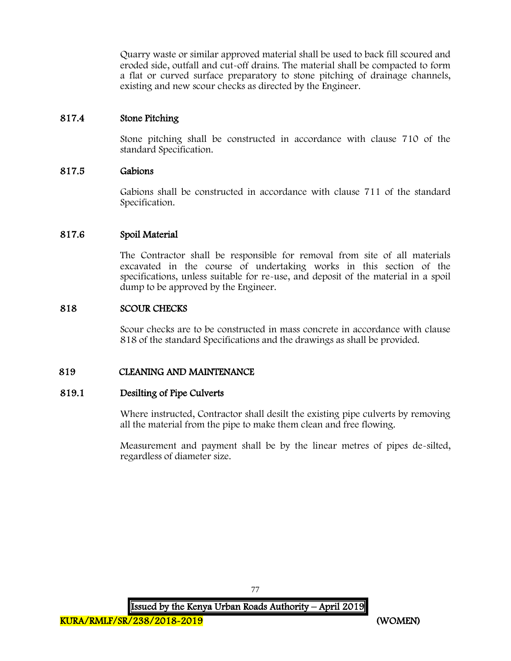Quarry waste or similar approved material shall be used to back fill scoured and eroded side, outfall and cut-off drains. The material shall be compacted to form a flat or curved surface preparatory to stone pitching of drainage channels, existing and new scour checks as directed by the Engineer.

### 817.4 Stone Pitching

Stone pitching shall be constructed in accordance with clause 710 of the standard Specification.

### 817.5 Gabions

Gabions shall be constructed in accordance with clause 711 of the standard Specification.

### 817.6 Spoil Material

The Contractor shall be responsible for removal from site of all materials excavated in the course of undertaking works in this section of the specifications, unless suitable for re-use, and deposit of the material in a spoil dump to be approved by the Engineer.

## 818 SCOUR CHECKS

Scour checks are to be constructed in mass concrete in accordance with clause 818 of the standard Specifications and the drawings as shall be provided.

## 819 CLEANING AND MAINTENANCE

## 819.1 Desilting of Pipe Culverts

Where instructed, Contractor shall desilt the existing pipe culverts by removing all the material from the pipe to make them clean and free flowing.

Measurement and payment shall be by the linear metres of pipes de-silted, regardless of diameter size.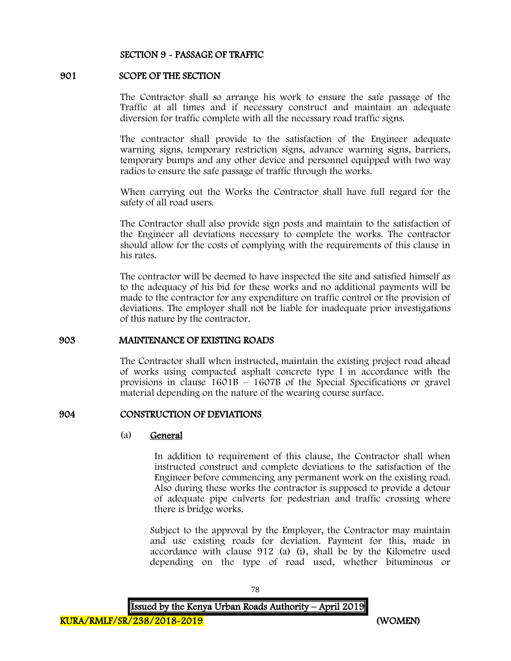### SECTION 9 - PASSAGE OF TRAFFIC

### 901 SCOPE OF THE SECTION

The Contractor shall so arrange his work to ensure the safe passage of the Traffic at all times and if necessary construct and maintain an adequate diversion for traffic complete with all the necessary road traffic signs.

The contractor shall provide to the satisfaction of the Engineer adequate warning signs, temporary restriction signs, advance warning signs, barriers, temporary bumps and any other device and personnel equipped with two way radios to ensure the safe passage of traffic through the works.

When carrying out the Works the Contractor shall have full regard for the safety of all road users.

The Contractor shall also provide sign posts and maintain to the satisfaction of the Engineer all deviations necessary to complete the works. The contractor should allow for the costs of complying with the requirements of this clause in his rates.

The contractor will be deemed to have inspected the site and satisfied himself as to the adequacy of his bid for these works and no additional payments will be made to the contractor for any expenditure on traffic control or the provision of deviations. The employer shall not be liable for inadequate prior investigations of this nature by the contractor.

### 903 MAINTENANCE OF EXISTING ROADS

The Contractor shall when instructed, maintain the existing project road ahead of works using compacted asphalt concrete type I in accordance with the provisions in clause 1601B – 1607B of the Special Specifications or gravel material depending on the nature of the wearing course surface.

## 904 CONSTRUCTION OF DEVIATIONS

### (a) General

In addition to requirement of this clause, the Contractor shall when instructed construct and complete deviations to the satisfaction of the Engineer before commencing any permanent work on the existing road. Also during these works the contractor is supposed to provide a detour of adequate pipe culverts for pedestrian and traffic crossing where there is bridge works.

Subject to the approval by the Employer, the Contractor may maintain and use existing roads for deviation. Payment for this, made in accordance with clause 912 (a) (i), shall be by the Kilometre used depending on the type of road used, whether bituminous or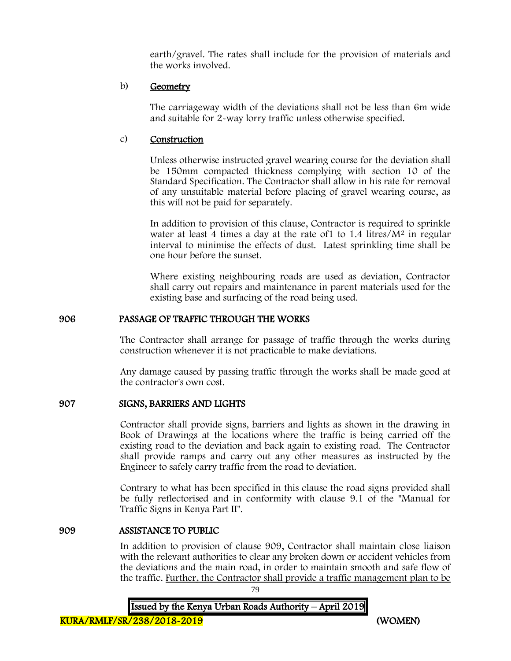earth/gravel. The rates shall include for the provision of materials and the works involved.

## b) Geometry

The carriageway width of the deviations shall not be less than 6m wide and suitable for 2-way lorry traffic unless otherwise specified.

## c) Construction

Unless otherwise instructed gravel wearing course for the deviation shall be 150mm compacted thickness complying with section 10 of the Standard Specification. The Contractor shall allow in his rate for removal of any unsuitable material before placing of gravel wearing course, as this will not be paid for separately.

In addition to provision of this clause, Contractor is required to sprinkle water at least 4 times a day at the rate of  $1$  to  $1.4$  litres/ $M<sup>2</sup>$  in regular interval to minimise the effects of dust. Latest sprinkling time shall be one hour before the sunset.

Where existing neighbouring roads are used as deviation, Contractor shall carry out repairs and maintenance in parent materials used for the existing base and surfacing of the road being used.

## 906 PASSAGE OF TRAFFIC THROUGH THE WORKS

The Contractor shall arrange for passage of traffic through the works during construction whenever it is not practicable to make deviations.

Any damage caused by passing traffic through the works shall be made good at the contractor's own cost.

## 907 SIGNS, BARRIERS AND LIGHTS

Contractor shall provide signs, barriers and lights as shown in the drawing in Book of Drawings at the locations where the traffic is being carried off the existing road to the deviation and back again to existing road. The Contractor shall provide ramps and carry out any other measures as instructed by the Engineer to safely carry traffic from the road to deviation.

Contrary to what has been specified in this clause the road signs provided shall be fully reflectorised and in conformity with clause 9.1 of the "Manual for Traffic Signs in Kenya Part II".

## 909 ASSISTANCE TO PUBLIC

In addition to provision of clause 909, Contractor shall maintain close liaison with the relevant authorities to clear any broken down or accident vehicles from the deviations and the main road, in order to maintain smooth and safe flow of the traffic. Further, the Contractor shall provide a traffic management plan to be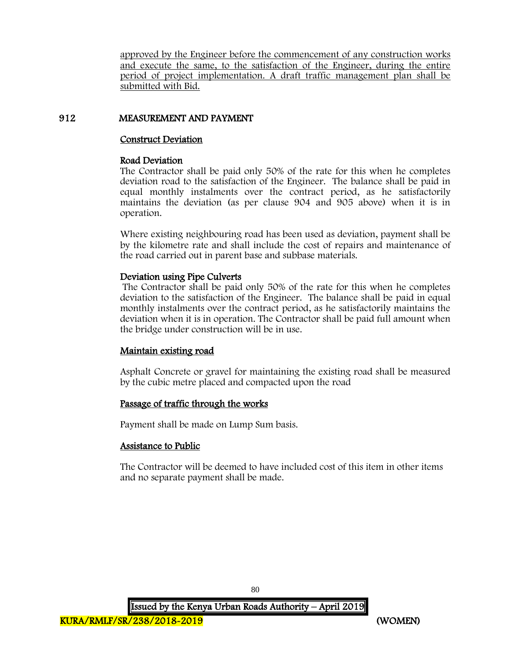approved by the Engineer before the commencement of any construction works and execute the same, to the satisfaction of the Engineer, during the entire period of project implementation. A draft traffic management plan shall be submitted with Bid.

### 912 MEASUREMENT AND PAYMENT

### Construct Deviation

### Road Deviation

The Contractor shall be paid only 50% of the rate for this when he completes deviation road to the satisfaction of the Engineer. The balance shall be paid in equal monthly instalments over the contract period, as he satisfactorily maintains the deviation (as per clause 904 and 905 above) when it is in operation.

Where existing neighbouring road has been used as deviation, payment shall be by the kilometre rate and shall include the cost of repairs and maintenance of the road carried out in parent base and subbase materials.

### Deviation using Pipe Culverts

The Contractor shall be paid only 50% of the rate for this when he completes deviation to the satisfaction of the Engineer. The balance shall be paid in equal monthly instalments over the contract period, as he satisfactorily maintains the deviation when it is in operation. The Contractor shall be paid full amount when the bridge under construction will be in use.

## Maintain existing road

Asphalt Concrete or gravel for maintaining the existing road shall be measured by the cubic metre placed and compacted upon the road

### Passage of traffic through the works

Payment shall be made on Lump Sum basis.

### Assistance to Public

The Contractor will be deemed to have included cost of this item in other items and no separate payment shall be made.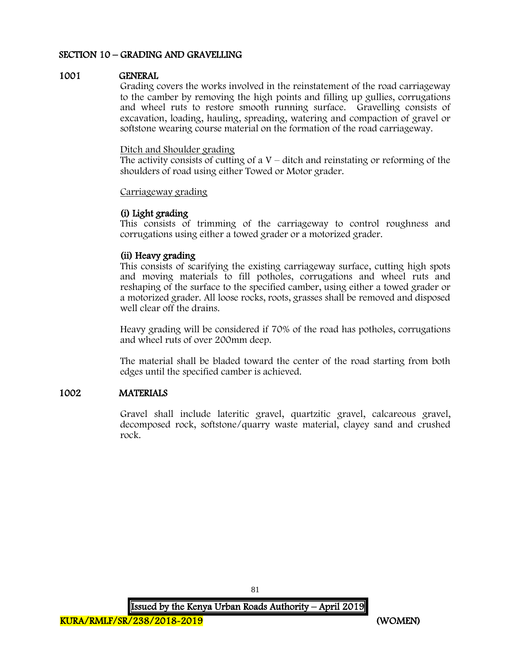## SECTION 10 – GRADING AND GRAVELLING

### 1001 GENERAL

Grading covers the works involved in the reinstatement of the road carriageway to the camber by removing the high points and filling up gullies, corrugations and wheel ruts to restore smooth running surface. Gravelling consists of excavation, loading, hauling, spreading, watering and compaction of gravel or softstone wearing course material on the formation of the road carriageway.

### Ditch and Shoulder grading

The activity consists of cutting of a  $V$  – ditch and reinstating or reforming of the shoulders of road using either Towed or Motor grader.

### Carriageway grading

# (i) Light grading

This consists of trimming of the carriageway to control roughness and corrugations using either a towed grader or a motorized grader.

# (ii) Heavy grading

This consists of scarifying the existing carriageway surface, cutting high spots and moving materials to fill potholes, corrugations and wheel ruts and reshaping of the surface to the specified camber, using either a towed grader or a motorized grader. All loose rocks, roots, grasses shall be removed and disposed well clear off the drains.

Heavy grading will be considered if 70% of the road has potholes, corrugations and wheel ruts of over 200mm deep.

The material shall be bladed toward the center of the road starting from both edges until the specified camber is achieved.

## 1002 MATERIALS

Gravel shall include lateritic gravel, quartzitic gravel, calcareous gravel, decomposed rock, softstone/quarry waste material, clayey sand and crushed rock.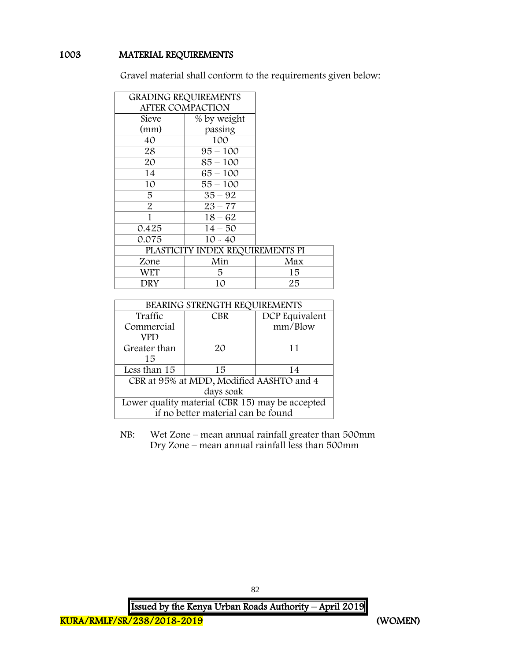# 1003 MATERIAL REQUIREMENTS

Gravel material shall conform to the requirements given below:

| <b>GRADING REQUIREMENTS</b>      |             |     |
|----------------------------------|-------------|-----|
| <b>AFTER COMPACTION</b>          |             |     |
| Sieve                            | % by weight |     |
| (mm)                             | passing     |     |
| 40                               | 100         |     |
| 28                               | $95 - 100$  |     |
| 20                               | $85 - 100$  |     |
| 14                               | $65 - 100$  |     |
| 10                               | $55 - 100$  |     |
| 5                                | $35 - 92$   |     |
| $\overline{2}$                   | $23 - 77$   |     |
| 1                                | $18 - 62$   |     |
| 0.425                            | $14 - 50$   |     |
| 0.075                            | $10 - 40$   |     |
| PLASTICITY INDEX REQUIREMENTS PI |             |     |
| Zone                             | Min         | Max |
| WET                              | 5           | 15  |
| DRY                              | 10          | 25  |

| BEARING STRENGTH REQUIREMENTS                   |            |                |  |  |
|-------------------------------------------------|------------|----------------|--|--|
| Traffic                                         | <b>CBR</b> | DCP Equivalent |  |  |
| Commercial                                      |            | mm/Blow        |  |  |
| VPD                                             |            |                |  |  |
| Greater than                                    | $2\Omega$  | 11             |  |  |
| 15                                              |            |                |  |  |
| Less than 15                                    | 15         | 14             |  |  |
| CBR at 95% at MDD, Modified AASHTO and 4        |            |                |  |  |
| days soak                                       |            |                |  |  |
| Lower quality material (CBR 15) may be accepted |            |                |  |  |
| if no better material can be found              |            |                |  |  |

NB: Wet Zone – mean annual rainfall greater than 500mm Dry Zone – mean annual rainfall less than 500mm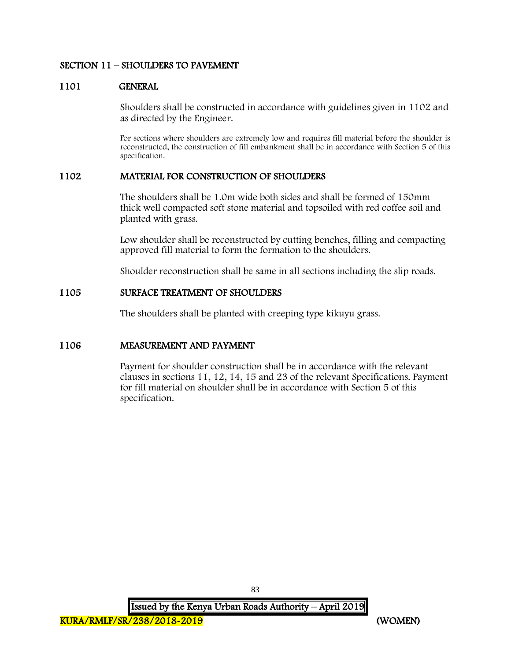# SECTION 11 – SHOULDERS TO PAVEMENT

## 1101 GENERAL

Shoulders shall be constructed in accordance with guidelines given in 1102 and as directed by the Engineer.

For sections where shoulders are extremely low and requires fill material before the shoulder is reconstructed, the construction of fill embankment shall be in accordance with Section 5 of this specification.

## 1102 MATERIAL FOR CONSTRUCTION OF SHOULDERS

The shoulders shall be 1.0m wide both sides and shall be formed of 150mm thick well compacted soft stone material and topsoiled with red coffee soil and planted with grass.

Low shoulder shall be reconstructed by cutting benches, filling and compacting approved fill material to form the formation to the shoulders.

Shoulder reconstruction shall be same in all sections including the slip roads.

## 1105 SURFACE TREATMENT OF SHOULDERS

The shoulders shall be planted with creeping type kikuyu grass.

# 1106 MEASUREMENT AND PAYMENT

Payment for shoulder construction shall be in accordance with the relevant clauses in sections 11, 12, 14, 15 and 23 of the relevant Specifications. Payment for fill material on shoulder shall be in accordance with Section 5 of this specification.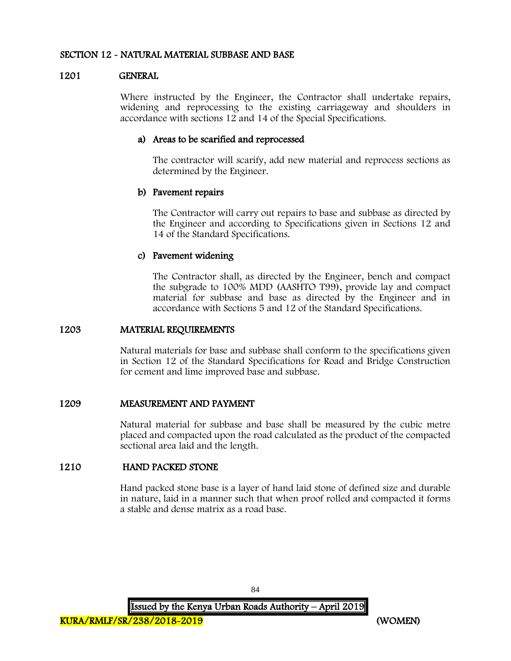### SECTION 12 - NATURAL MATERIAL SUBBASE AND BASE

### 1201 GENERAL

Where instructed by the Engineer, the Contractor shall undertake repairs, widening and reprocessing to the existing carriageway and shoulders in accordance with sections 12 and 14 of the Special Specifications.

### a) Areas to be scarified and reprocessed

The contractor will scarify, add new material and reprocess sections as determined by the Engineer.

## b) Pavement repairs

The Contractor will carry out repairs to base and subbase as directed by the Engineer and according to Specifications given in Sections 12 and 14 of the Standard Specifications.

## c) Pavement widening

The Contractor shall, as directed by the Engineer, bench and compact the subgrade to 100% MDD (AASHTO T99), provide lay and compact material for subbase and base as directed by the Engineer and in accordance with Sections 5 and 12 of the Standard Specifications.

### 1203 MATERIAL REQUIREMENTS

Natural materials for base and subbase shall conform to the specifications given in Section 12 of the Standard Specifications for Road and Bridge Construction for cement and lime improved base and subbase.

### 1209 MEASUREMENT AND PAYMENT

Natural material for subbase and base shall be measured by the cubic metre placed and compacted upon the road calculated as the product of the compacted sectional area laid and the length.

## 1210 HAND PACKED STONE

Hand packed stone base is a layer of hand laid stone of defined size and durable in nature, laid in a manner such that when proof rolled and compacted it forms a stable and dense matrix as a road base.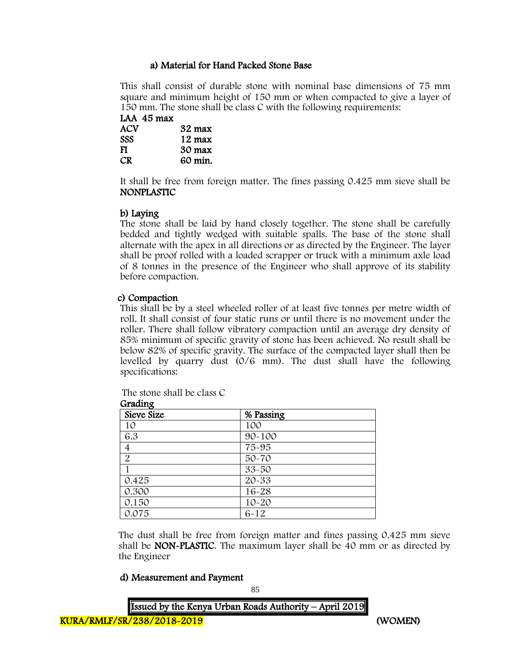# a) Material for Hand Packed Stone Base

This shall consist of durable stone with nominal base dimensions of 75 mm square and minimum height of 150 mm or when compacted to give a layer of 150 mm. The stone shall be class C with the following requirements:

| LAA 45 max |         |
|------------|---------|
| ACV        | 32 max  |
| <b>SSS</b> | 12 max  |
| FI         | 30 max  |
| CR.        | 60 min. |

It shall be free from foreign matter. The fines passing 0.425 mm sieve shall be NONPLASTIC

# b) Laying

The stone shall be laid by hand closely together. The stone shall be carefully bedded and tightly wedged with suitable spalls. The base of the stone shall alternate with the apex in all directions or as directed by the Engineer. The layer shall be proof rolled with a loaded scrapper or truck with a minimum axle load of 8 tonnes in the presence of the Engineer who shall approve of its stability before compaction.

# c) Compaction

This shall be by a steel wheeled roller of at least five tonnes per metre width of roll. It shall consist of four static runs or until there is no movement under the roller. There shall follow vibratory compaction until an average dry density of 85% minimum of specific gravity of stone has been achieved. No result shall be below 82% of specific gravity. The surface of the compacted layer shall then be levelled by quarry dust (0/6 mm). The dust shall have the following specifications:

| The stone shall be class C |  |
|----------------------------|--|
| $C$ and die a $\sim$       |  |

| Grading        |            |  |
|----------------|------------|--|
| Sieve Size     | % Passing  |  |
| 10             | 100        |  |
| 6.3            | $90 - 100$ |  |
| 4              | 75-95      |  |
| $\overline{2}$ | 50-70      |  |
|                | $33 - 50$  |  |
| 0.425          | 20-33      |  |
| 0.300          | 16-28      |  |
| 0.150          | $10 - 20$  |  |
| 0.075          | $6 - 12$   |  |

The dust shall be free from foreign matter and fines passing 0.425 mm sieve shall be NON-PLASTIC. The maximum layer shall be 40 mm or as directed by the Engineer

## d) Measurement and Payment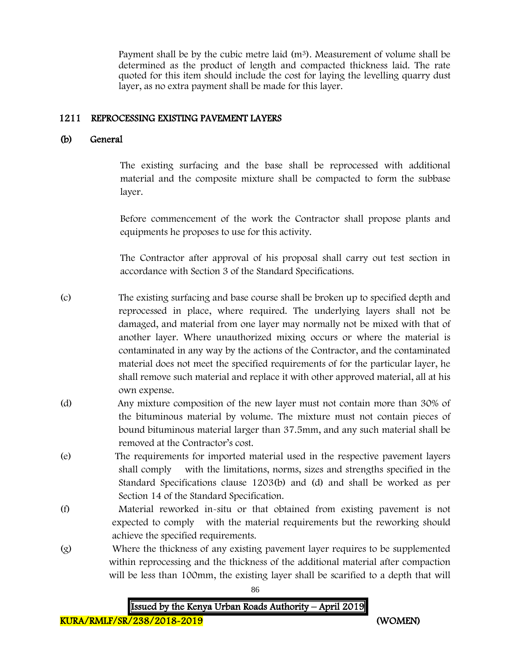Payment shall be by the cubic metre laid  $(m<sup>3</sup>)$ . Measurement of volume shall be determined as the product of length and compacted thickness laid. The rate quoted for this item should include the cost for laying the levelling quarry dust layer, as no extra payment shall be made for this layer.

# 1211 REPROCESSING EXISTING PAVEMENT LAYERS

## (b) General

The existing surfacing and the base shall be reprocessed with additional material and the composite mixture shall be compacted to form the subbase layer.

Before commencement of the work the Contractor shall propose plants and equipments he proposes to use for this activity.

The Contractor after approval of his proposal shall carry out test section in accordance with Section 3 of the Standard Specifications.

(c) The existing surfacing and base course shall be broken up to specified depth and reprocessed in place, where required. The underlying layers shall not be damaged, and material from one layer may normally not be mixed with that of another layer. Where unauthorized mixing occurs or where the material is contaminated in any way by the actions of the Contractor, and the contaminated material does not meet the specified requirements of for the particular layer, he shall remove such material and replace it with other approved material, all at his own expense.

- (d) Any mixture composition of the new layer must not contain more than 30% of the bituminous material by volume. The mixture must not contain pieces of bound bituminous material larger than 37.5mm, and any such material shall be removed at the Contractor's cost.
- (e) The requirements for imported material used in the respective pavement layers shall comply with the limitations, norms, sizes and strengths specified in the Standard Specifications clause 1203(b) and (d) and shall be worked as per Section 14 of the Standard Specification.
- (f) Material reworked in-situ or that obtained from existing pavement is not expected to comply with the material requirements but the reworking should achieve the specified requirements.
- (g) Where the thickness of any existing pavement layer requires to be supplemented within reprocessing and the thickness of the additional material after compaction will be less than 100mm, the existing layer shall be scarified to a depth that will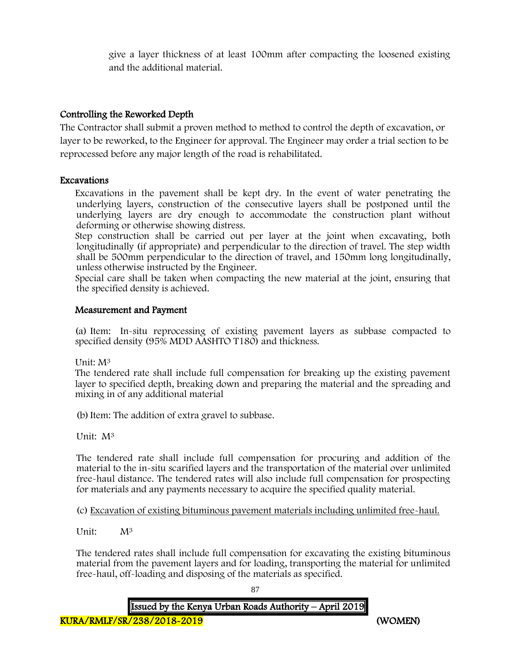give a layer thickness of at least 100mm after compacting the loosened existing and the additional material.

# Controlling the Reworked Depth

The Contractor shall submit a proven method to method to control the depth of excavation, or layer to be reworked, to the Engineer for approval. The Engineer may order a trial section to be reprocessed before any major length of the road is rehabilitated.

# Excavations

Excavations in the pavement shall be kept dry. In the event of water penetrating the underlying layers, construction of the consecutive layers shall be postponed until the underlying layers are dry enough to accommodate the construction plant without deforming or otherwise showing distress.

Step construction shall be carried out per layer at the joint when excavating, both longitudinally (if appropriate) and perpendicular to the direction of travel. The step width shall be 500mm perpendicular to the direction of travel, and 150mm long longitudinally, unless otherwise instructed by the Engineer.

Special care shall be taken when compacting the new material at the joint, ensuring that the specified density is achieved.

# Measurement and Payment

(a) Item: In-situ reprocessing of existing pavement layers as subbase compacted to specified density (95% MDD AASHTO T180) and thickness.

Unit: M<sup>3</sup>

The tendered rate shall include full compensation for breaking up the existing pavement layer to specified depth, breaking down and preparing the material and the spreading and mixing in of any additional material

(b) Item: The addition of extra gravel to subbase.

Unit: M<sup>3</sup>

The tendered rate shall include full compensation for procuring and addition of the material to the in-situ scarified layers and the transportation of the material over unlimited free-haul distance. The tendered rates will also include full compensation for prospecting for materials and any payments necessary to acquire the specified quality material.

(c) Excavation of existing bituminous pavement materials including unlimited free-haul.

Unit:  $M^3$ 

The tendered rates shall include full compensation for excavating the existing bituminous material from the pavement layers and for loading, transporting the material for unlimited free-haul, off-loading and disposing of the materials as specified.

# Issued by the Kenya Urban Roads Authority – April 2019

87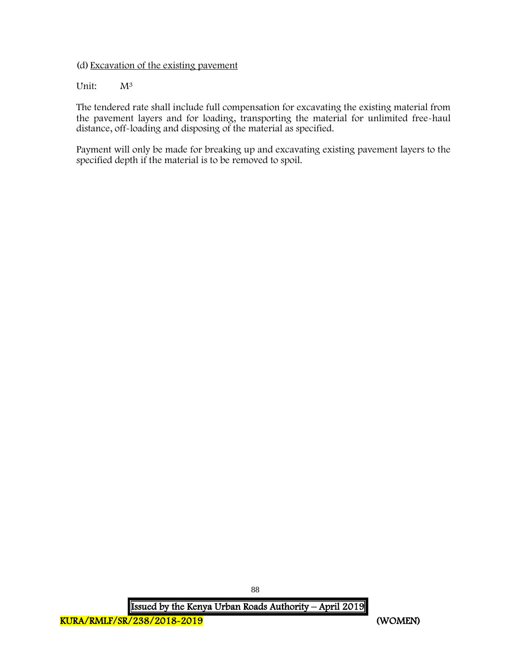## (d) Excavation of the existing pavement

Unit:  $M^3$ 

The tendered rate shall include full compensation for excavating the existing material from the pavement layers and for loading, transporting the material for unlimited free-haul distance, off-loading and disposing of the material as specified.

Payment will only be made for breaking up and excavating existing pavement layers to the specified depth if the material is to be removed to spoil.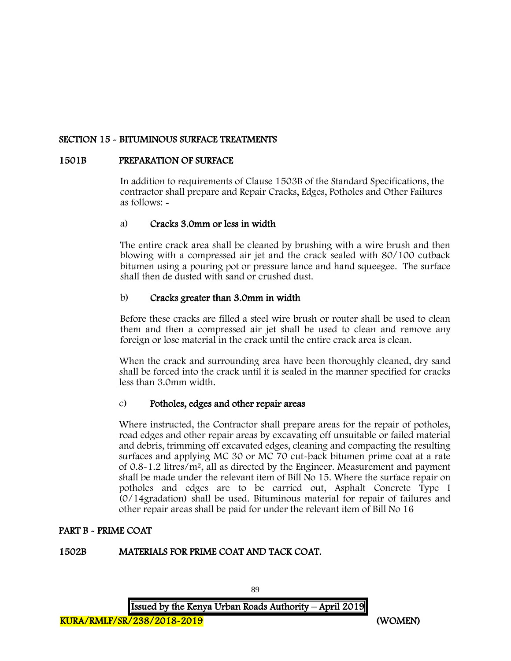# SECTION 15 - BITUMINOUS SURFACE TREATMENTS

## 1501B PREPARATION OF SURFACE

In addition to requirements of Clause 1503B of the Standard Specifications, the contractor shall prepare and Repair Cracks, Edges, Potholes and Other Failures as follows: -

# a) Cracks 3.0mm or less in width

The entire crack area shall be cleaned by brushing with a wire brush and then blowing with a compressed air jet and the crack sealed with 80/100 cutback bitumen using a pouring pot or pressure lance and hand squeegee. The surface shall then de dusted with sand or crushed dust.

# b) Cracks greater than 3.0mm in width

Before these cracks are filled a steel wire brush or router shall be used to clean them and then a compressed air jet shall be used to clean and remove any foreign or lose material in the crack until the entire crack area is clean.

When the crack and surrounding area have been thoroughly cleaned, dry sand shall be forced into the crack until it is sealed in the manner specified for cracks less than 3.0mm width.

# c) Potholes, edges and other repair areas

Where instructed, the Contractor shall prepare areas for the repair of potholes, road edges and other repair areas by excavating off unsuitable or failed material and debris, trimming off excavated edges, cleaning and compacting the resulting surfaces and applying MC 30 or MC 70 cut-back bitumen prime coat at a rate of 0.8-1.2 litres/m<sup>2</sup>, all as directed by the Engineer. Measurement and payment shall be made under the relevant item of Bill No 15. Where the surface repair on potholes and edges are to be carried out, Asphalt Concrete Type I (0/14gradation) shall be used. Bituminous material for repair of failures and other repair areas shall be paid for under the relevant item of Bill No 16

## PART B - PRIME COAT

# 1502B MATERIALS FOR PRIME COAT AND TACK COAT.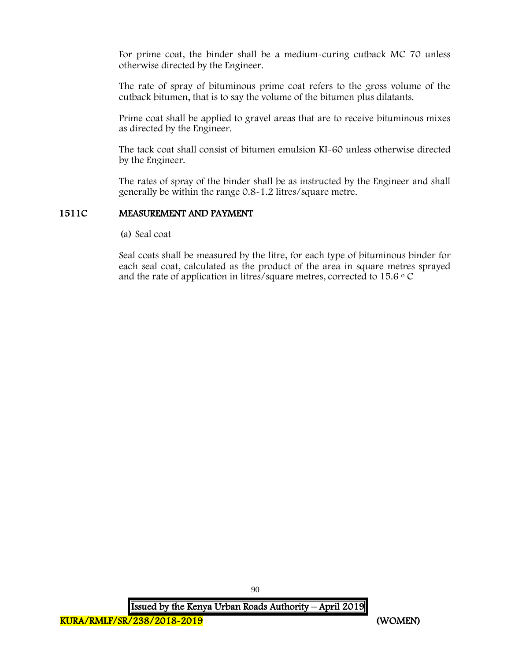For prime coat, the binder shall be a medium-curing cutback MC 70 unless otherwise directed by the Engineer.

The rate of spray of bituminous prime coat refers to the gross volume of the cutback bitumen, that is to say the volume of the bitumen plus dilatants.

Prime coat shall be applied to gravel areas that are to receive bituminous mixes as directed by the Engineer.

The tack coat shall consist of bitumen emulsion KI-60 unless otherwise directed by the Engineer.

The rates of spray of the binder shall be as instructed by the Engineer and shall generally be within the range 0.8-1.2 litres/square metre.

## 1511C MEASUREMENT AND PAYMENT

(a) Seal coat

Seal coats shall be measured by the litre, for each type of bituminous binder for each seal coat, calculated as the product of the area in square metres sprayed and the rate of application in litres/square metres, corrected to  $15.6 \degree$  C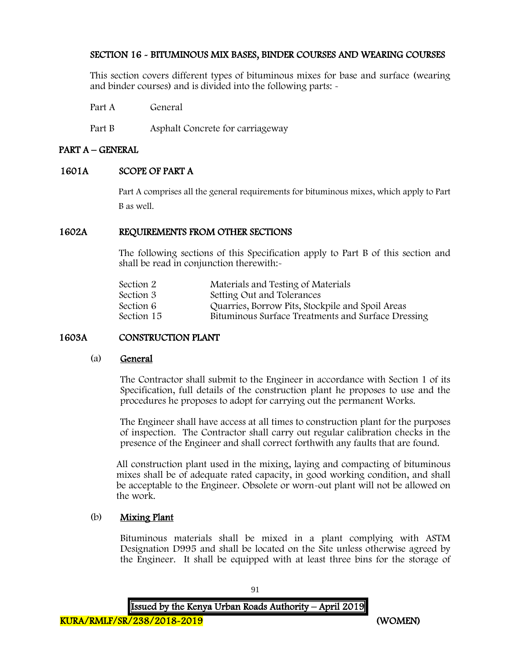# SECTION 16 - BITUMINOUS MIX BASES, BINDER COURSES AND WEARING COURSES

This section covers different types of bituminous mixes for base and surface (wearing and binder courses) and is divided into the following parts: -

Part A General

Part B Asphalt Concrete for carriageway

## PART A – GENERAL

## 1601A SCOPE OF PART A

Part A comprises all the general requirements for bituminous mixes, which apply to Part B as well.

## 1602A REQUIREMENTS FROM OTHER SECTIONS

The following sections of this Specification apply to Part B of this section and shall be read in conjunction therewith:-

| Section 2  | Materials and Testing of Materials                 |
|------------|----------------------------------------------------|
| Section 3  | Setting Out and Tolerances                         |
| Section 6  | Quarries, Borrow Pits, Stockpile and Spoil Areas   |
| Section 15 | Bituminous Surface Treatments and Surface Dressing |

# 1603A CONSTRUCTION PLANT

## (a) General

The Contractor shall submit to the Engineer in accordance with Section 1 of its Specification, full details of the construction plant he proposes to use and the procedures he proposes to adopt for carrying out the permanent Works.

The Engineer shall have access at all times to construction plant for the purposes of inspection. The Contractor shall carry out regular calibration checks in the presence of the Engineer and shall correct forthwith any faults that are found.

All construction plant used in the mixing, laying and compacting of bituminous mixes shall be of adequate rated capacity, in good working condition, and shall be acceptable to the Engineer. Obsolete or worn-out plant will not be allowed on the work.

## (b) Mixing Plant

Bituminous materials shall be mixed in a plant complying with ASTM Designation D995 and shall be located on the Site unless otherwise agreed by the Engineer. It shall be equipped with at least three bins for the storage of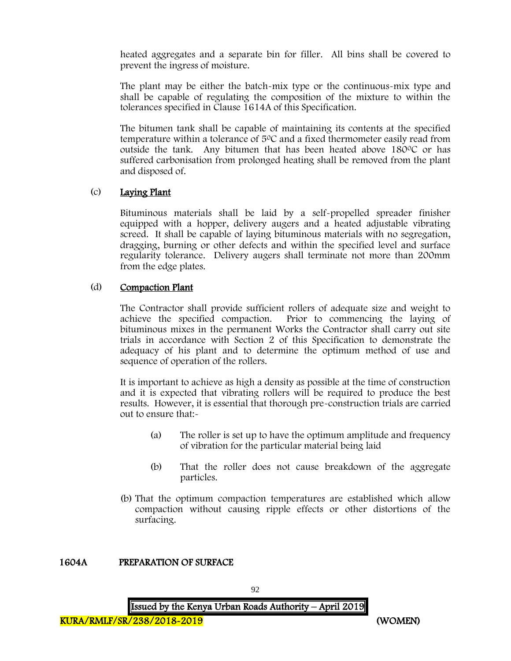heated aggregates and a separate bin for filler. All bins shall be covered to prevent the ingress of moisture.

The plant may be either the batch-mix type or the continuous-mix type and shall be capable of regulating the composition of the mixture to within the tolerances specified in Clause 1614A of this Specification.

The bitumen tank shall be capable of maintaining its contents at the specified temperature within a tolerance of  $5^{\circ}$ C and a fixed thermometer easily read from outside the tank. Any bitumen that has been heated above  $180^{\circ}$ C or has suffered carbonisation from prolonged heating shall be removed from the plant and disposed of.

## (c) Laying Plant

Bituminous materials shall be laid by a self-propelled spreader finisher equipped with a hopper, delivery augers and a heated adjustable vibrating screed. It shall be capable of laying bituminous materials with no segregation, dragging, burning or other defects and within the specified level and surface regularity tolerance. Delivery augers shall terminate not more than 200mm from the edge plates.

# (d) Compaction Plant

The Contractor shall provide sufficient rollers of adequate size and weight to achieve the specified compaction. Prior to commencing the laying of bituminous mixes in the permanent Works the Contractor shall carry out site trials in accordance with Section 2 of this Specification to demonstrate the adequacy of his plant and to determine the optimum method of use and sequence of operation of the rollers.

It is important to achieve as high a density as possible at the time of construction and it is expected that vibrating rollers will be required to produce the best results. However, it is essential that thorough pre-construction trials are carried out to ensure that:-

- (a) The roller is set up to have the optimum amplitude and frequency of vibration for the particular material being laid
- (b) That the roller does not cause breakdown of the aggregate particles.
- (b) That the optimum compaction temperatures are established which allow compaction without causing ripple effects or other distortions of the surfacing.

## 1604A PREPARATION OF SURFACE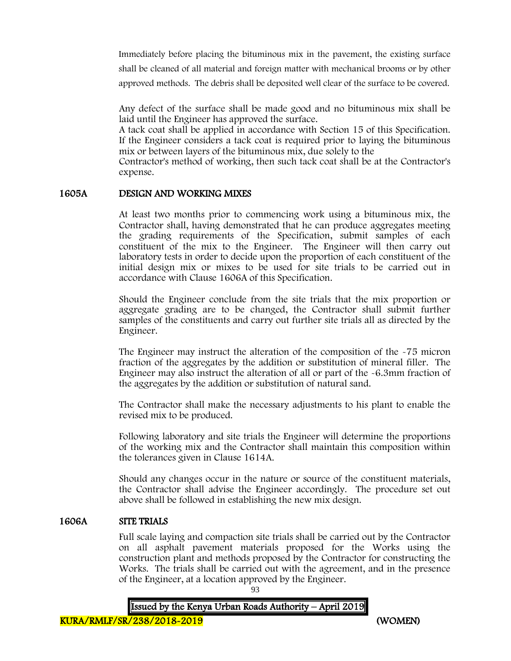Immediately before placing the bituminous mix in the pavement, the existing surface shall be cleaned of all material and foreign matter with mechanical brooms or by other approved methods. The debris shall be deposited well clear of the surface to be covered.

Any defect of the surface shall be made good and no bituminous mix shall be laid until the Engineer has approved the surface.

A tack coat shall be applied in accordance with Section 15 of this Specification. If the Engineer considers a tack coat is required prior to laying the bituminous mix or between layers of the bituminous mix, due solely to the

Contractor's method of working, then such tack coat shall be at the Contractor's expense.

## 1605A DESIGN AND WORKING MIXES

At least two months prior to commencing work using a bituminous mix, the Contractor shall, having demonstrated that he can produce aggregates meeting the grading requirements of the Specification, submit samples of each constituent of the mix to the Engineer. The Engineer will then carry out laboratory tests in order to decide upon the proportion of each constituent of the initial design mix or mixes to be used for site trials to be carried out in accordance with Clause 1606A of this Specification.

Should the Engineer conclude from the site trials that the mix proportion or aggregate grading are to be changed, the Contractor shall submit further samples of the constituents and carry out further site trials all as directed by the Engineer.

The Engineer may instruct the alteration of the composition of the -75 micron fraction of the aggregates by the addition or substitution of mineral filler. The Engineer may also instruct the alteration of all or part of the -6.3mm fraction of the aggregates by the addition or substitution of natural sand.

The Contractor shall make the necessary adjustments to his plant to enable the revised mix to be produced.

Following laboratory and site trials the Engineer will determine the proportions of the working mix and the Contractor shall maintain this composition within the tolerances given in Clause 1614A.

Should any changes occur in the nature or source of the constituent materials, the Contractor shall advise the Engineer accordingly. The procedure set out above shall be followed in establishing the new mix design.

## 1606A SITE TRIALS

Full scale laying and compaction site trials shall be carried out by the Contractor on all asphalt pavement materials proposed for the Works using the construction plant and methods proposed by the Contractor for constructing the Works. The trials shall be carried out with the agreement, and in the presence of the Engineer, at a location approved by the Engineer.

93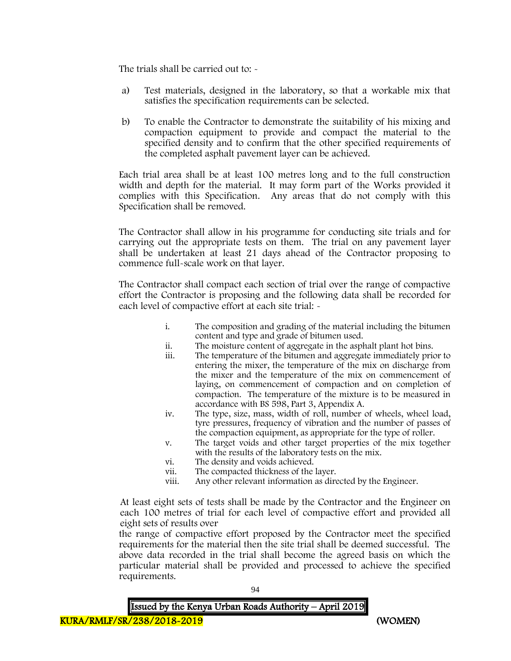The trials shall be carried out to: -

- a) Test materials, designed in the laboratory, so that a workable mix that satisfies the specification requirements can be selected.
- b) To enable the Contractor to demonstrate the suitability of his mixing and compaction equipment to provide and compact the material to the specified density and to confirm that the other specified requirements of the completed asphalt pavement layer can be achieved.

Each trial area shall be at least 100 metres long and to the full construction width and depth for the material. It may form part of the Works provided it complies with this Specification. Any areas that do not comply with this Specification shall be removed.

The Contractor shall allow in his programme for conducting site trials and for carrying out the appropriate tests on them. The trial on any pavement layer shall be undertaken at least 21 days ahead of the Contractor proposing to commence full-scale work on that layer.

The Contractor shall compact each section of trial over the range of compactive effort the Contractor is proposing and the following data shall be recorded for each level of compactive effort at each site trial:  $\sim$ 

- i. The composition and grading of the material including the bitumen content and type and grade of bitumen used.
- ii. The moisture content of aggregate in the asphalt plant hot bins.
- iii. The temperature of the bitumen and aggregate immediately prior to entering the mixer, the temperature of the mix on discharge from the mixer and the temperature of the mix on commencement of laying, on commencement of compaction and on completion of compaction. The temperature of the mixture is to be measured in accordance with BS 598, Part 3, Appendix A.
- iv. The type, size, mass, width of roll, number of wheels, wheel load, tyre pressures, frequency of vibration and the number of passes of the compaction equipment, as appropriate for the type of roller.
- v. The target voids and other target properties of the mix together with the results of the laboratory tests on the mix.
- vi. The density and voids achieved.
- vii. The compacted thickness of the layer.
- viii. Any other relevant information as directed by the Engineer.

At least eight sets of tests shall be made by the Contractor and the Engineer on each 100 metres of trial for each level of compactive effort and provided all eight sets of results over

the range of compactive effort proposed by the Contractor meet the specified requirements for the material then the site trial shall be deemed successful. The above data recorded in the trial shall become the agreed basis on which the particular material shall be provided and processed to achieve the specified requirements.

94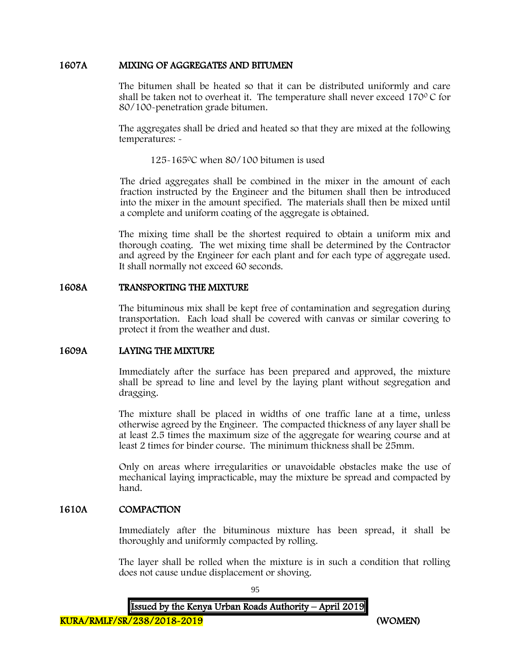### 1607A MIXING OF AGGREGATES AND BITUMEN

The bitumen shall be heated so that it can be distributed uniformly and care shall be taken not to overheat it. The temperature shall never exceed  $170^{\circ}$ C for 80/100-penetration grade bitumen.

The aggregates shall be dried and heated so that they are mixed at the following temperatures: -

125-165<sup>0</sup>C when 80/100 bitumen is used

The dried aggregates shall be combined in the mixer in the amount of each fraction instructed by the Engineer and the bitumen shall then be introduced into the mixer in the amount specified. The materials shall then be mixed until a complete and uniform coating of the aggregate is obtained.

The mixing time shall be the shortest required to obtain a uniform mix and thorough coating. The wet mixing time shall be determined by the Contractor and agreed by the Engineer for each plant and for each type of aggregate used. It shall normally not exceed 60 seconds.

## 1608A TRANSPORTING THE MIXTURE

The bituminous mix shall be kept free of contamination and segregation during transportation. Each load shall be covered with canvas or similar covering to protect it from the weather and dust.

## 1609A LAYING THE MIXTURE

Immediately after the surface has been prepared and approved, the mixture shall be spread to line and level by the laying plant without segregation and dragging.

The mixture shall be placed in widths of one traffic lane at a time, unless otherwise agreed by the Engineer. The compacted thickness of any layer shall be at least 2.5 times the maximum size of the aggregate for wearing course and at least 2 times for binder course. The minimum thickness shall be 25mm.

Only on areas where irregularities or unavoidable obstacles make the use of mechanical laying impracticable, may the mixture be spread and compacted by hand.

# 1610A COMPACTION

Immediately after the bituminous mixture has been spread, it shall be thoroughly and uniformly compacted by rolling.

The layer shall be rolled when the mixture is in such a condition that rolling does not cause undue displacement or shoving.

95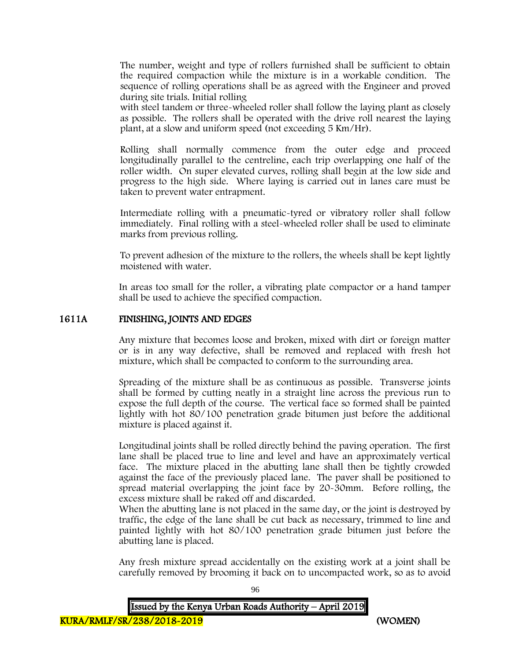The number, weight and type of rollers furnished shall be sufficient to obtain the required compaction while the mixture is in a workable condition. The sequence of rolling operations shall be as agreed with the Engineer and proved during site trials. Initial rolling

with steel tandem or three-wheeled roller shall follow the laying plant as closely as possible. The rollers shall be operated with the drive roll nearest the laying plant, at a slow and uniform speed (not exceeding 5 Km/Hr).

Rolling shall normally commence from the outer edge and proceed longitudinally parallel to the centreline, each trip overlapping one half of the roller width. On super elevated curves, rolling shall begin at the low side and progress to the high side. Where laying is carried out in lanes care must be taken to prevent water entrapment.

Intermediate rolling with a pneumatic-tyred or vibratory roller shall follow immediately. Final rolling with a steel-wheeled roller shall be used to eliminate marks from previous rolling.

To prevent adhesion of the mixture to the rollers, the wheels shall be kept lightly moistened with water.

In areas too small for the roller, a vibrating plate compactor or a hand tamper shall be used to achieve the specified compaction.

## 1611A FINISHING, JOINTS AND EDGES

Any mixture that becomes loose and broken, mixed with dirt or foreign matter or is in any way defective, shall be removed and replaced with fresh hot mixture, which shall be compacted to conform to the surrounding area.

Spreading of the mixture shall be as continuous as possible. Transverse joints shall be formed by cutting neatly in a straight line across the previous run to expose the full depth of the course. The vertical face so formed shall be painted lightly with hot 80/100 penetration grade bitumen just before the additional mixture is placed against it.

Longitudinal joints shall be rolled directly behind the paving operation. The first lane shall be placed true to line and level and have an approximately vertical face. The mixture placed in the abutting lane shall then be tightly crowded against the face of the previously placed lane. The paver shall be positioned to spread material overlapping the joint face by 20-30mm. Before rolling, the excess mixture shall be raked off and discarded.

When the abutting lane is not placed in the same day, or the joint is destroyed by traffic, the edge of the lane shall be cut back as necessary, trimmed to line and painted lightly with hot 80/100 penetration grade bitumen just before the abutting lane is placed.

Any fresh mixture spread accidentally on the existing work at a joint shall be carefully removed by brooming it back on to uncompacted work, so as to avoid

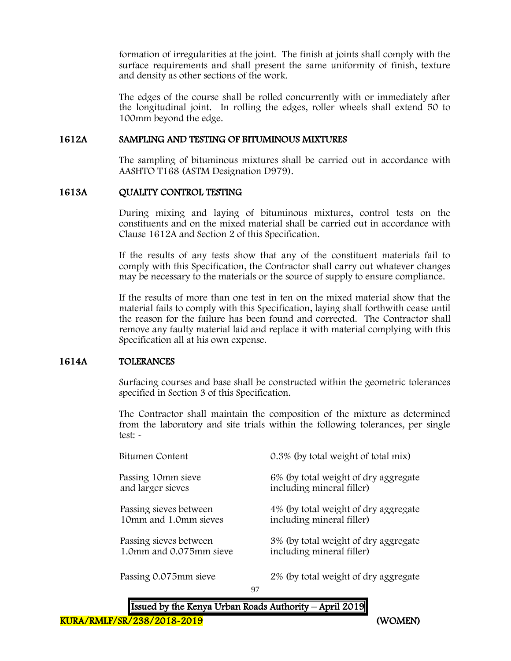formation of irregularities at the joint. The finish at joints shall comply with the surface requirements and shall present the same uniformity of finish, texture and density as other sections of the work.

The edges of the course shall be rolled concurrently with or immediately after the longitudinal joint. In rolling the edges, roller wheels shall extend 50 to 100mm beyond the edge.

### 1612A SAMPLING AND TESTING OF BITUMINOUS MIXTURES

The sampling of bituminous mixtures shall be carried out in accordance with AASHTO T168 (ASTM Designation D979).

### 1613A QUALITY CONTROL TESTING

During mixing and laying of bituminous mixtures, control tests on the constituents and on the mixed material shall be carried out in accordance with Clause 1612A and Section 2 of this Specification.

If the results of any tests show that any of the constituent materials fail to comply with this Specification, the Contractor shall carry out whatever changes may be necessary to the materials or the source of supply to ensure compliance.

If the results of more than one test in ten on the mixed material show that the material fails to comply with this Specification, laying shall forthwith cease until the reason for the failure has been found and corrected. The Contractor shall remove any faulty material laid and replace it with material complying with this Specification all at his own expense.

## 1614A TOLERANCES

Surfacing courses and base shall be constructed within the geometric tolerances specified in Section 3 of this Specification.

The Contractor shall maintain the composition of the mixture as determined from the laboratory and site trials within the following tolerances, per single test: -

| Bitumen Content         | 0.3% (by total weight of total mix)  |
|-------------------------|--------------------------------------|
| Passing 10mm sieve      | 6% (by total weight of dry aggregate |
| and larger sieves       | including mineral filler)            |
| Passing sieves between  | 4% (by total weight of dry aggregate |
| 10mm and 1.0mm sieves   | including mineral filler)            |
| Passing sieves between  | 3% (by total weight of dry aggregate |
| 1.0mm and 0.075mm sieve | including mineral filler)            |
| Passing 0.075mm sieve   | 2% (by total weight of dry aggregate |

97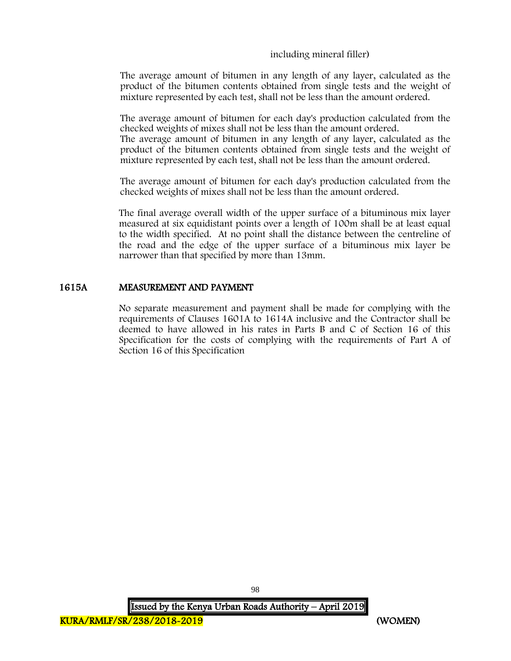### including mineral filler)

The average amount of bitumen in any length of any layer, calculated as the product of the bitumen contents obtained from single tests and the weight of mixture represented by each test, shall not be less than the amount ordered.

The average amount of bitumen for each day's production calculated from the checked weights of mixes shall not be less than the amount ordered. The average amount of bitumen in any length of any layer, calculated as the product of the bitumen contents obtained from single tests and the weight of mixture represented by each test, shall not be less than the amount ordered.

The average amount of bitumen for each day's production calculated from the checked weights of mixes shall not be less than the amount ordered.

The final average overall width of the upper surface of a bituminous mix layer measured at six equidistant points over a length of 100m shall be at least equal to the width specified. At no point shall the distance between the centreline of the road and the edge of the upper surface of a bituminous mix layer be narrower than that specified by more than 13mm.

### 1615A MEASUREMENT AND PAYMENT

No separate measurement and payment shall be made for complying with the requirements of Clauses 1601A to 1614A inclusive and the Contractor shall be deemed to have allowed in his rates in Parts B and C of Section 16 of this Specification for the costs of complying with the requirements of Part A of Section 16 of this Specification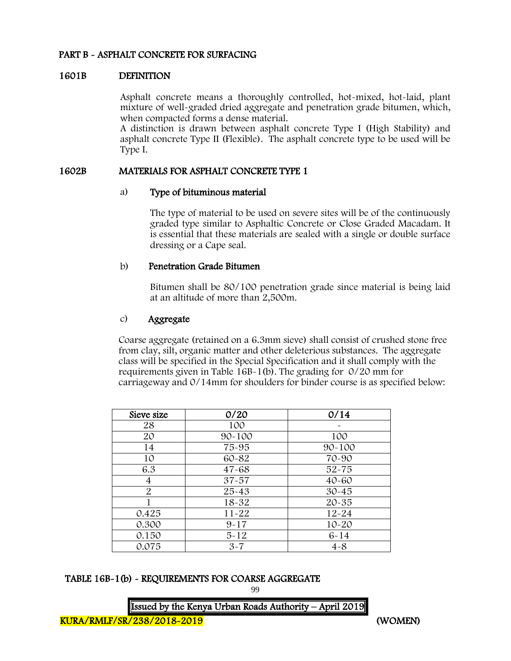## PART B - ASPHALT CONCRETE FOR SURFACING

### 1601B DEFINITION

Asphalt concrete means a thoroughly controlled, hot-mixed, hot-laid, plant mixture of well-graded dried aggregate and penetration grade bitumen, which, when compacted forms a dense material.

A distinction is drawn between asphalt concrete Type I (High Stability) and asphalt concrete Type II (Flexible). The asphalt concrete type to be used will be Type I.

#### 1602B MATERIALS FOR ASPHALT CONCRETE TYPE 1

#### a) Type of bituminous material

The type of material to be used on severe sites will be of the continuously graded type similar to Asphaltic Concrete or Close Graded Macadam. It is essential that these materials are sealed with a single or double surface dressing or a Cape seal.

### b) Penetration Grade Bitumen

Bitumen shall be 80/100 penetration grade since material is being laid at an altitude of more than 2,500m.

### c) Aggregate

Coarse aggregate (retained on a 6.3mm sieve) shall consist of crushed stone free from clay, silt, organic matter and other deleterious substances. The aggregate class will be specified in the Special Specification and it shall comply with the requirements given in Table 16B-1(b). The grading for 0/20 mm for carriageway and 0/14mm for shoulders for binder course is as specified below:

| Sieve size     | 0/20       | 0/14       |
|----------------|------------|------------|
| 28             | 100        |            |
| 20             | $90 - 100$ | 100        |
| 14             | 75-95      | $90 - 100$ |
| 10             | 60-82      | 70-90      |
| 6.3            | $47 - 68$  | $52 - 75$  |
| 4              | $37 - 57$  | $40 - 60$  |
| $\overline{2}$ | $25 - 43$  | $30 - 45$  |
|                | $18 - 32$  | $20 - 35$  |
| 0.425          | $11 - 22$  | $12 - 24$  |
| 0.300          | $9 - 17$   | $10 - 20$  |
| 0.150          | $5 - 12$   | $6 - 14$   |
| 0.075          | $3 - 7$    | $4 - 8$    |

### TABLE 16B-1(b) - REQUIREMENTS FOR COARSE AGGREGATE

| ×<br>×<br>ł<br>٠<br>۰.<br>۰.<br>۰,<br>۰.<br>٠ |  | ۰, |
|-----------------------------------------------|--|----|
|-----------------------------------------------|--|----|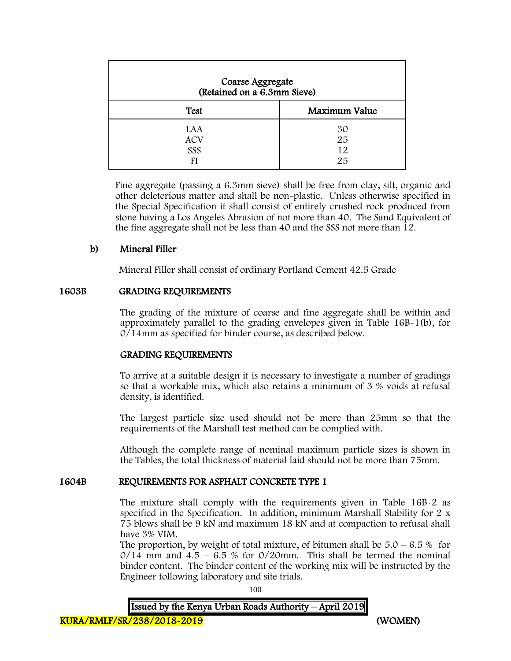| Coarse Aggregate<br>(Retained on a 6.3mm Sieve) |                      |  |
|-------------------------------------------------|----------------------|--|
| <b>Test</b>                                     | Maximum Value        |  |
| LAA<br><b>ACV</b><br>SSS                        | 30<br>25<br>12<br>25 |  |

Fine aggregate (passing a 6.3mm sieve) shall be free from clay, silt, organic and other deleterious matter and shall be non-plastic. Unless otherwise specified in the Special Specification it shall consist of entirely crushed rock produced from stone having a Los Angeles Abrasion of not more than 40. The Sand Equivalent of the fine aggregate shall not be less than 40 and the SSS not more than 12.

## b) Mineral Filler

Mineral Filler shall consist of ordinary Portland Cement 42.5 Grade

## 1603B GRADING REQUIREMENTS

The grading of the mixture of coarse and fine aggregate shall be within and approximately parallel to the grading envelopes given in Table 16B-1(b), for 0/14mm as specified for binder course, as described below.

## GRADING REQUIREMENTS

To arrive at a suitable design it is necessary to investigate a number of gradings so that a workable mix, which also retains a minimum of 3 % voids at refusal density, is identified.

The largest particle size used should not be more than 25mm so that the requirements of the Marshall test method can be complied with.

Although the complete range of nominal maximum particle sizes is shown in the Tables, the total thickness of material laid should not be more than 75mm.

# 1604B REQUIREMENTS FOR ASPHALT CONCRETE TYPE 1

The mixture shall comply with the requirements given in Table 16B-2 as specified in the Specification. In addition, minimum Marshall Stability for 2 x 75 blows shall be 9 kN and maximum 18 kN and at compaction to refusal shall have 3% VIM.

The proportion, by weight of total mixture, of bitumen shall be  $5.0 - 6.5\%$  for  $0/14$  mm and  $4.5 - 6.5$  % for  $0/20$ mm. This shall be termed the nominal binder content. The binder content of the working mix will be instructed by the Engineer following laboratory and site trials.

100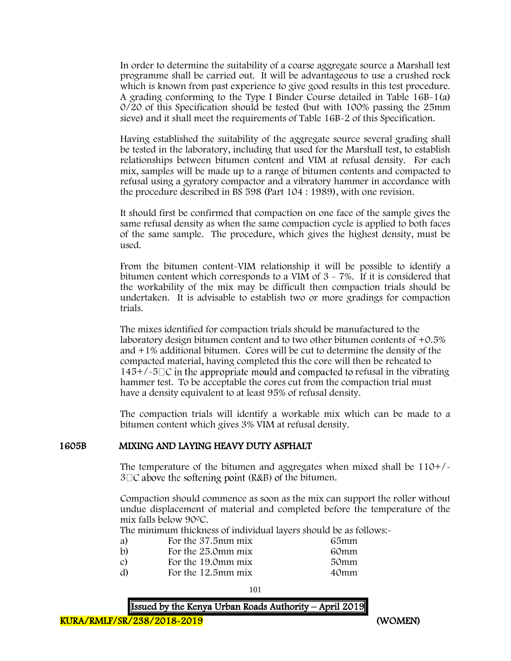In order to determine the suitability of a coarse aggregate source a Marshall test programme shall be carried out. It will be advantageous to use a crushed rock which is known from past experience to give good results in this test procedure. A grading conforming to the Type I Binder Course detailed in Table 16B-1(a) 0/20 of this Specification should be tested (but with 100% passing the 25mm sieve) and it shall meet the requirements of Table 16B-2 of this Specification.

Having established the suitability of the aggregate source several grading shall be tested in the laboratory, including that used for the Marshall test, to establish relationships between bitumen content and VIM at refusal density. For each mix, samples will be made up to a range of bitumen contents and compacted to refusal using a gyratory compactor and a vibratory hammer in accordance with the procedure described in BS 598 (Part 104 : 1989), with one revision.

It should first be confirmed that compaction on one face of the sample gives the same refusal density as when the same compaction cycle is applied to both faces of the same sample. The procedure, which gives the highest density, must be used.

From the bitumen content-VIM relationship it will be possible to identify a bitumen content which corresponds to a VIM of 3 - 7%. If it is considered that the workability of the mix may be difficult then compaction trials should be undertaken. It is advisable to establish two or more gradings for compaction trials.

The mixes identified for compaction trials should be manufactured to the laboratory design bitumen content and to two other bitumen contents of  $+0.5\%$ and +1% additional bitumen. Cores will be cut to determine the density of the compacted material, having completed this the core will then be reheated to  $145+/-5\degree$  in the appropriate mould and compacted to refusal in the vibrating hammer test. To be acceptable the cores cut from the compaction trial must have a density equivalent to at least 95% of refusal density.

The compaction trials will identify a workable mix which can be made to a bitumen content which gives 3% VIM at refusal density.

### 1605B MIXING AND LAYING HEAVY DUTY ASPHALT

The temperature of the bitumen and aggregates when mixed shall be  $110+/$  $3\Box C$  above the softening point (R&B) of the bitumen.

Compaction should commence as soon as the mix can support the roller without undue displacement of material and completed before the temperature of the mix falls below 90<sup>0</sup>C.

The minimum thickness of individual layers should be as follows:

| a) | For the 37.5mm mix    | 65mm |
|----|-----------------------|------|
| b) | For the 25.0mm mix    | 60mm |
| C) | For the 19.0mm mix    | 50mm |
| d) | For the $12.5$ mm mix | 40mm |
|    |                       |      |

101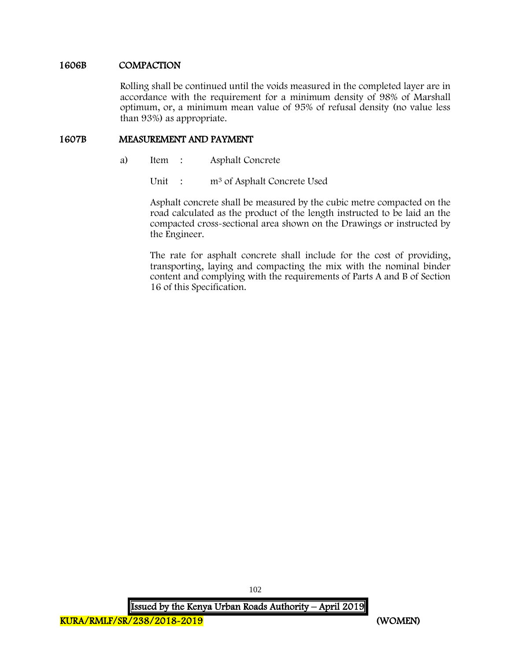## 1606B COMPACTION

Rolling shall be continued until the voids measured in the completed layer are in accordance with the requirement for a minimum density of 98% of Marshall optimum, or, a minimum mean value of 95% of refusal density (no value less than 93%) as appropriate.

### 1607B MEASUREMENT AND PAYMENT

a) Item : Asphalt Concrete

Unit : m<sup>3</sup> of Asphalt Concrete Used

Asphalt concrete shall be measured by the cubic metre compacted on the road calculated as the product of the length instructed to be laid an the compacted cross-sectional area shown on the Drawings or instructed by the Engineer.

The rate for asphalt concrete shall include for the cost of providing, transporting, laying and compacting the mix with the nominal binder content and complying with the requirements of Parts A and B of Section 16 of this Specification.

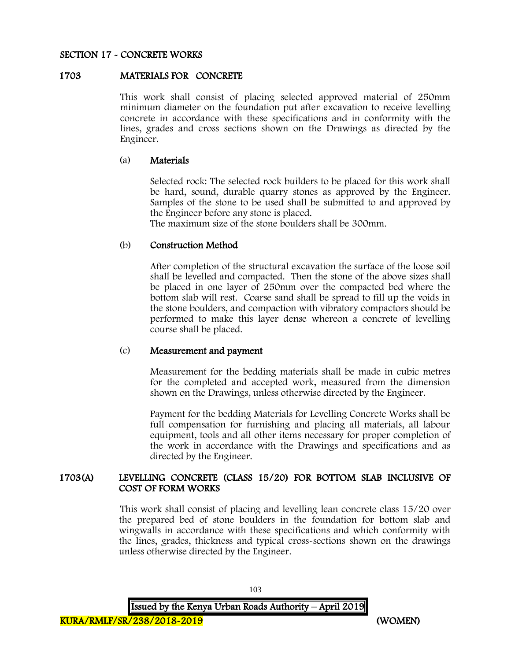### SECTION 17 - CONCRETE WORKS

### 1703 MATERIALS FOR CONCRETE

This work shall consist of placing selected approved material of 250mm minimum diameter on the foundation put after excavation to receive levelling concrete in accordance with these specifications and in conformity with the lines, grades and cross sections shown on the Drawings as directed by the Engineer.

### (a) Materials

Selected rock: The selected rock builders to be placed for this work shall be hard, sound, durable quarry stones as approved by the Engineer. Samples of the stone to be used shall be submitted to and approved by the Engineer before any stone is placed.

The maximum size of the stone boulders shall be 300mm.

### (b) Construction Method

After completion of the structural excavation the surface of the loose soil shall be levelled and compacted. Then the stone of the above sizes shall be placed in one layer of 250mm over the compacted bed where the bottom slab will rest. Coarse sand shall be spread to fill up the voids in the stone boulders, and compaction with vibratory compactors should be performed to make this layer dense whereon a concrete of levelling course shall be placed.

### (c) Measurement and payment

Measurement for the bedding materials shall be made in cubic metres for the completed and accepted work, measured from the dimension shown on the Drawings, unless otherwise directed by the Engineer.

Payment for the bedding Materials for Levelling Concrete Works shall be full compensation for furnishing and placing all materials, all labour equipment, tools and all other items necessary for proper completion of the work in accordance with the Drawings and specifications and as directed by the Engineer.

### 1703(A) LEVELLING CONCRETE (CLASS 15/20) FOR BOTTOM SLAB INCLUSIVE OF COST OF FORM WORKS

This work shall consist of placing and levelling lean concrete class 15/20 over the prepared bed of stone boulders in the foundation for bottom slab and wingwalls in accordance with these specifications and which conformity with the lines, grades, thickness and typical cross-sections shown on the drawings unless otherwise directed by the Engineer.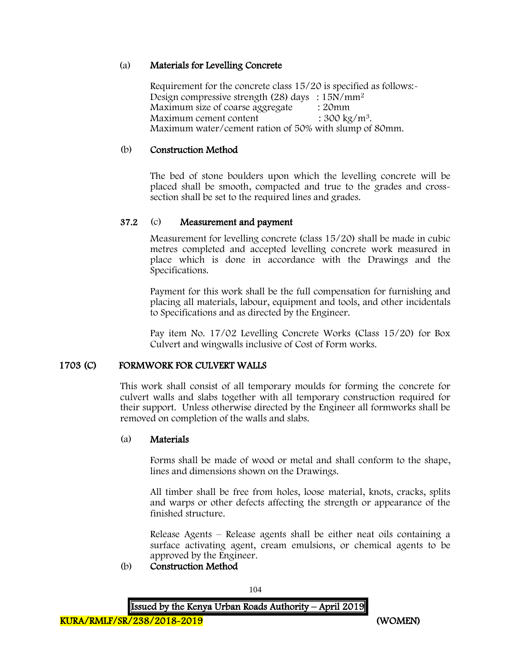# (a) Materials for Levelling Concrete

Requirement for the concrete class 15/20 is specified as follows:- Design compressive strength (28) days : 15N/mm<sup>2</sup> Maximum size of coarse aggregate : 20mm<br>Maximum cement content : 300 kg/m<sup>3</sup>. Maximum cement content Maximum water/cement ration of 50% with slump of 80mm.

# (b) Construction Method

The bed of stone boulders upon which the levelling concrete will be placed shall be smooth, compacted and true to the grades and crosssection shall be set to the required lines and grades.

## 37.2 (c) Measurement and payment

Measurement for levelling concrete (class 15/20) shall be made in cubic metres completed and accepted levelling concrete work measured in place which is done in accordance with the Drawings and the Specifications.

Payment for this work shall be the full compensation for furnishing and placing all materials, labour, equipment and tools, and other incidentals to Specifications and as directed by the Engineer.

Pay item No. 17/02 Levelling Concrete Works (Class 15/20) for Box Culvert and wingwalls inclusive of Cost of Form works.

# 1703 (C) FORMWORK FOR CULVERT WALLS

This work shall consist of all temporary moulds for forming the concrete for culvert walls and slabs together with all temporary construction required for their support. Unless otherwise directed by the Engineer all formworks shall be removed on completion of the walls and slabs.

## (a) Materials

Forms shall be made of wood or metal and shall conform to the shape, lines and dimensions shown on the Drawings.

All timber shall be free from holes, loose material, knots, cracks, splits and warps or other defects affecting the strength or appearance of the finished structure.

Release Agents – Release agents shall be either neat oils containing a surface activating agent, cream emulsions, or chemical agents to be approved by the Engineer.

# (b) Construction Method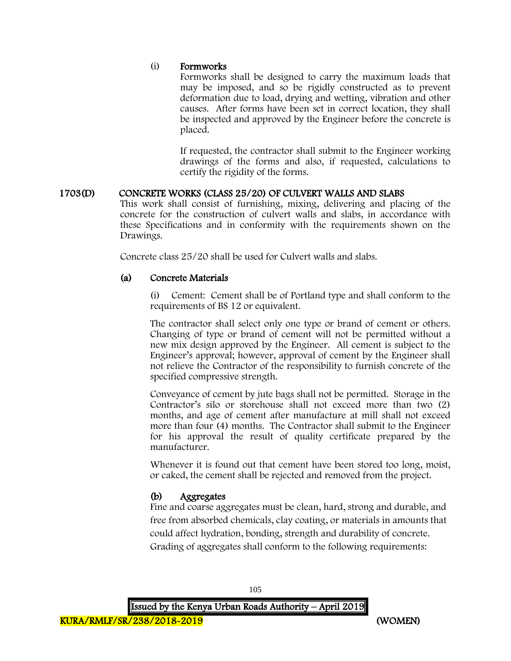# (i) Formworks

Formworks shall be designed to carry the maximum loads that may be imposed, and so be rigidly constructed as to prevent deformation due to load, drying and wetting, vibration and other causes. After forms have been set in correct location, they shall be inspected and approved by the Engineer before the concrete is placed.

If requested, the contractor shall submit to the Engineer working drawings of the forms and also, if requested, calculations to certify the rigidity of the forms.

## 1703(D) CONCRETE WORKS (CLASS 25/20) OF CULVERT WALLS AND SLABS

This work shall consist of furnishing, mixing, delivering and placing of the concrete for the construction of culvert walls and slabs, in accordance with these Specifications and in conformity with the requirements shown on the Drawings.

Concrete class 25/20 shall be used for Culvert walls and slabs.

## (a) Concrete Materials

(i) Cement: Cement shall be of Portland type and shall conform to the requirements of BS 12 or equivalent.

The contractor shall select only one type or brand of cement or others. Changing of type or brand of cement will not be permitted without a new mix design approved by the Engineer. All cement is subject to the Engineer's approval; however, approval of cement by the Engineer shall not relieve the Contractor of the responsibility to furnish concrete of the specified compressive strength.

Conveyance of cement by jute bags shall not be permitted. Storage in the Contractor's silo or storehouse shall not exceed more than two (2) months, and age of cement after manufacture at mill shall not exceed more than four (4) months. The Contractor shall submit to the Engineer for his approval the result of quality certificate prepared by the manufacturer.

Whenever it is found out that cement have been stored too long, moist, or caked, the cement shall be rejected and removed from the project.

# (b) Aggregates

Fine and coarse aggregates must be clean, hard, strong and durable, and free from absorbed chemicals, clay coating, or materials in amounts that could affect hydration, bonding, strength and durability of concrete. Grading of aggregates shall conform to the following requirements: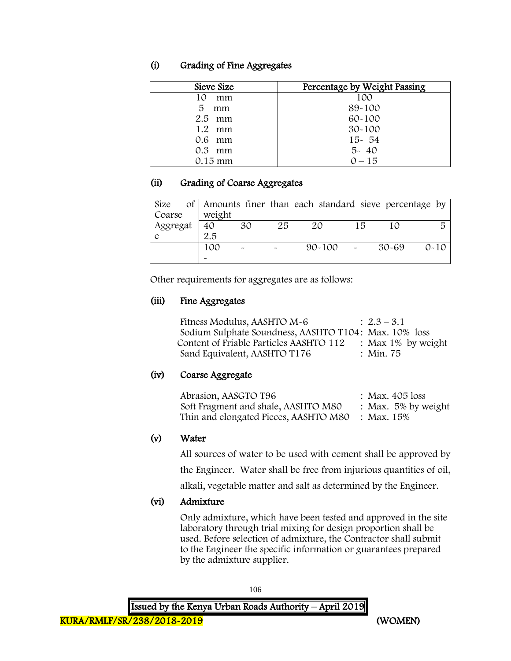# (i) Grading of Fine Aggregates

| Sieve Size | Percentage by Weight Passing |
|------------|------------------------------|
| 10<br>mm   | 100                          |
| 5<br>mm    | 89-100                       |
| $2.5$ mm   | $60 - 100$                   |
| 1.2<br>mm  | $30 - 100$                   |
| 0.6 mm     | $15 - 54$                    |
| 0.3<br>mm  | $5 - 40$                     |
| 0.15 mm    | $0 - 15$                     |

# (ii) Grading of Coarse Aggregates

| Size     |        |    |    |    |            |    | of Amounts finer than each standard sieve percentage by |          |
|----------|--------|----|----|----|------------|----|---------------------------------------------------------|----------|
| Coarse   | weight |    |    |    |            |    |                                                         |          |
| Aggregat | 40     | 30 | 25 | 20 |            | 15 | 10                                                      | 局        |
|          | 2.5    |    |    |    |            |    |                                                         |          |
|          | 100    |    |    |    | $90 - 100$ |    | 30-69                                                   | $0 - 10$ |
|          |        |    |    |    |            |    |                                                         |          |

Other requirements for aggregates are as follows:

# (iii) Fine Aggregates

| Fitness Modulus, AASHTO M-6                           | $: 2.3 - 3.1$         |
|-------------------------------------------------------|-----------------------|
| Sodium Sulphate Soundness, AASHTO T104: Max. 10% loss |                       |
| Content of Friable Particles AASHTO 112               | : Max $1\%$ by weight |
| Sand Equivalent, AASHTO T176                          | : Min. 75             |

# (iv) Coarse Aggregate

| Abrasion, AASGTO T96                             | : Max. $405$ loss      |
|--------------------------------------------------|------------------------|
| Soft Fragment and shale, AASHTO M80              | : Max. $5\%$ by weight |
| Thin and elongated Pieces, AASHTO M80 : Max. 15% |                        |

# (v) Water

All sources of water to be used with cement shall be approved by

the Engineer. Water shall be free from injurious quantities of oil,

alkali, vegetable matter and salt as determined by the Engineer.

# (vi) Admixture

Only admixture, which have been tested and approved in the site laboratory through trial mixing for design proportion shall be used. Before selection of admixture, the Contractor shall submit to the Engineer the specific information or guarantees prepared by the admixture supplier.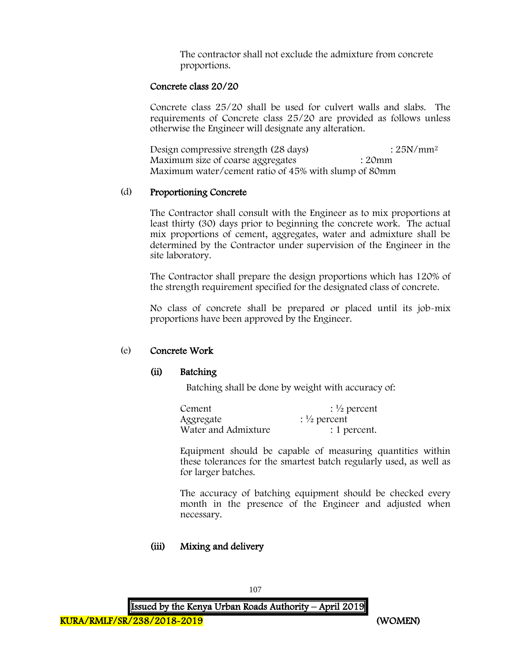The contractor shall not exclude the admixture from concrete proportions.

### Concrete class 20/20

Concrete class 25/20 shall be used for culvert walls and slabs. The requirements of Concrete class 25/20 are provided as follows unless otherwise the Engineer will designate any alteration.

Design compressive strength (28 days) : 25N/mm<sup>2</sup><br>Maximum size of coarse aggregates : 20mm Maximum size of coarse aggregates Maximum water/cement ratio of 45% with slump of 80mm

### (d) Proportioning Concrete

The Contractor shall consult with the Engineer as to mix proportions at least thirty (30) days prior to beginning the concrete work. The actual mix proportions of cement, aggregates, water and admixture shall be determined by the Contractor under supervision of the Engineer in the site laboratory.

The Contractor shall prepare the design proportions which has 120% of the strength requirement specified for the designated class of concrete.

No class of concrete shall be prepared or placed until its job-mix proportions have been approved by the Engineer.

## (e) Concrete Work

### (ii) Batching

Batching shall be done by weight with accuracy of:

| Cement              | $\frac{1}{2}$ percent |
|---------------------|-----------------------|
| Aggregate           | $\frac{1}{2}$ percent |
| Water and Admixture | : 1 percent.          |

Equipment should be capable of measuring quantities within these tolerances for the smartest batch regularly used, as well as for larger batches.

The accuracy of batching equipment should be checked every month in the presence of the Engineer and adjusted when necessary.

## (iii) Mixing and delivery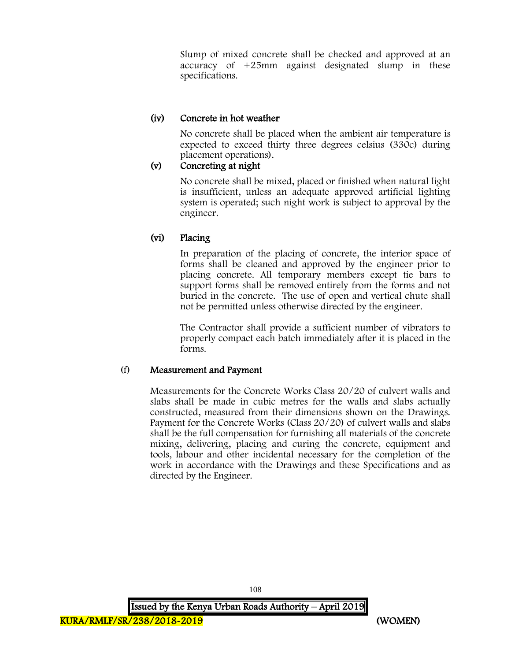Slump of mixed concrete shall be checked and approved at an accuracy of +25mm against designated slump in these specifications.

## (iv) Concrete in hot weather

No concrete shall be placed when the ambient air temperature is expected to exceed thirty three degrees celsius (330c) during placement operations).

## (v) Concreting at night

No concrete shall be mixed, placed or finished when natural light is insufficient, unless an adequate approved artificial lighting system is operated; such night work is subject to approval by the engineer.

## (vi) Placing

In preparation of the placing of concrete, the interior space of forms shall be cleaned and approved by the engineer prior to placing concrete. All temporary members except tie bars to support forms shall be removed entirely from the forms and not buried in the concrete. The use of open and vertical chute shall not be permitted unless otherwise directed by the engineer.

The Contractor shall provide a sufficient number of vibrators to properly compact each batch immediately after it is placed in the forms.

## (f) Measurement and Payment

Measurements for the Concrete Works Class 20/20 of culvert walls and slabs shall be made in cubic metres for the walls and slabs actually constructed, measured from their dimensions shown on the Drawings. Payment for the Concrete Works (Class 20/20) of culvert walls and slabs shall be the full compensation for furnishing all materials of the concrete mixing, delivering, placing and curing the concrete, equipment and tools, labour and other incidental necessary for the completion of the work in accordance with the Drawings and these Specifications and as directed by the Engineer.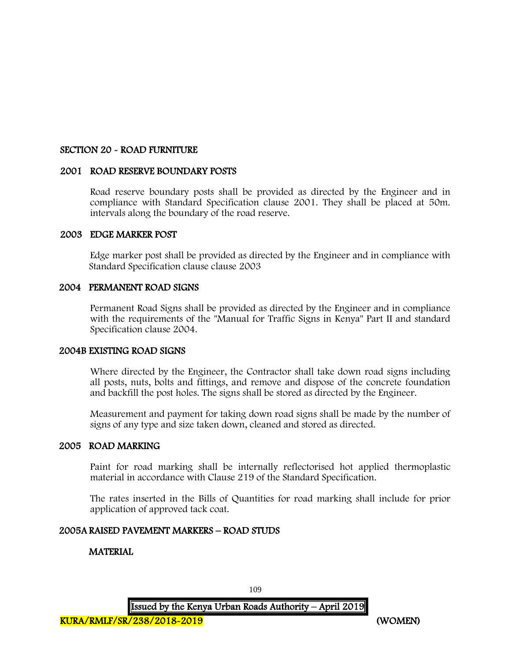#### SECTION 20 - ROAD FURNITURE

#### 2001 ROAD RESERVE BOUNDARY POSTS

Road reserve boundary posts shall be provided as directed by the Engineer and in compliance with Standard Specification clause 2001. They shall be placed at 50m. intervals along the boundary of the road reserve.

#### 2003 EDGE MARKER POST

Edge marker post shall be provided as directed by the Engineer and in compliance with Standard Specification clause clause 2003

#### 2004 PERMANENT ROAD SIGNS

Permanent Road Signs shall be provided as directed by the Engineer and in compliance with the requirements of the "Manual for Traffic Signs in Kenya" Part II and standard Specification clause 2004.

#### 2004B EXISTING ROAD SIGNS

Where directed by the Engineer, the Contractor shall take down road signs including all posts, nuts, bolts and fittings, and remove and dispose of the concrete foundation and backfill the post holes. The signs shall be stored as directed by the Engineer.

Measurement and payment for taking down road signs shall be made by the number of signs of any type and size taken down, cleaned and stored as directed.

#### 2005 ROAD MARKING

Paint for road marking shall be internally reflectorised hot applied thermoplastic material in accordance with Clause 219 of the Standard Specification.

The rates inserted in the Bills of Quantities for road marking shall include for prior application of approved tack coat.

#### 2005A RAISED PAVEMENT MARKERS – ROAD STUDS

#### **MATERIAL**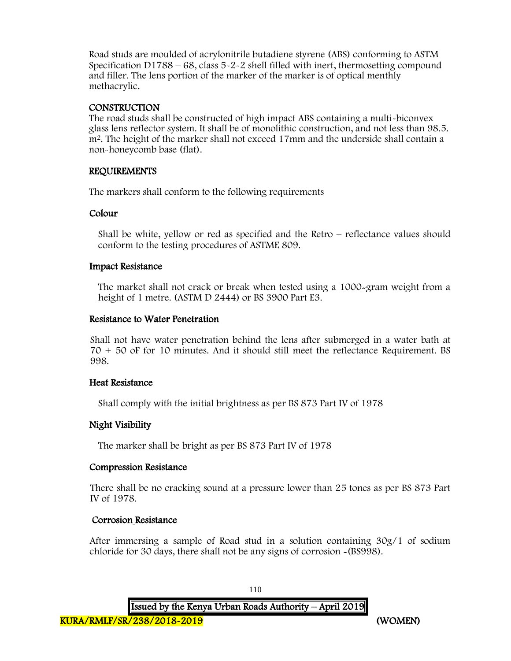Road studs are moulded of acrylonitrile butadiene styrene (ABS) conforming to ASTM Specification D1788 – 68, class  $5-2-2$  shell filled with inert, thermosetting compound and filler. The lens portion of the marker of the marker is of optical menthly methacrylic.

### **CONSTRUCTION**

The road studs shall be constructed of high impact ABS containing a multi-biconvex glass lens reflector system. It shall be of monolithic construction, and not less than 98.5. m<sup>2</sup>. The height of the marker shall not exceed 17mm and the underside shall contain a non-honeycomb base (flat).

## REQUIREMENTS

The markers shall conform to the following requirements

## Colour

Shall be white, yellow or red as specified and the Retro – reflectance values should conform to the testing procedures of ASTME 809.

#### Impact Resistance

The market shall not crack or break when tested using a 1000-gram weight from a height of 1 metre. (ASTM D 2444) or BS 3900 Part E3.

## Resistance to Water Penetration

Shall not have water penetration behind the lens after submerged in a water bath at 70 + 50 oF for 10 minutes. And it should still meet the reflectance Requirement. BS 998.

#### Heat Resistance

Shall comply with the initial brightness as per BS 873 Part IV of 1978

## Night Visibility

The marker shall be bright as per BS 873 Part IV of 1978

#### Compression Resistance

There shall be no cracking sound at a pressure lower than 25 tones as per BS 873 Part IV of 1978.

#### Corrosion Resistance

After immersing a sample of Road stud in a solution containing 30g/1 of sodium chloride for 30 days, there shall not be any signs of corrosion -(BS998).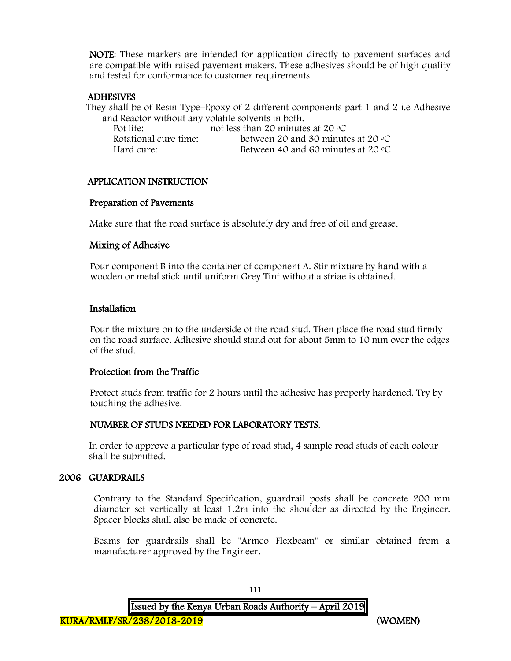NOTE: These markers are intended for application directly to pavement surfaces and are compatible with raised pavement makers. These adhesives should be of high quality and tested for conformance to customer requirements.

### ADHESIVES

They shall be of Resin Type–Epoxy of 2 different components part 1 and 2 i.e Adhesive and Reactor without any volatile solvents in both.

Pot life: not less than 20 minutes at 20 °C<br>Rotational cure time: between 20 and 30 minutes Rotational cure time: between 20 and 30 minutes at 20 °C<br>Hard cure: Between 40 and 60 minutes at 20 °C Between 40 and 60 minutes at 20  $\degree$ C

## APPLICATION INSTRUCTION

#### Preparation of Pavements

Make sure that the road surface is absolutely dry and free of oil and grease.

#### Mixing of Adhesive

Pour component B into the container of component A. Stir mixture by hand with a wooden or metal stick until uniform Grey Tint without a striae is obtained.

## Installation

Pour the mixture on to the underside of the road stud. Then place the road stud firmly on the road surface. Adhesive should stand out for about 5mm to 10 mm over the edges of the stud.

#### Protection from the Traffic

Protect studs from traffic for 2 hours until the adhesive has properly hardened. Try by touching the adhesive.

#### NUMBER OF STUDS NEEDED FOR LABORATORY TESTS.

In order to approve a particular type of road stud, 4 sample road studs of each colour shall be submitted.

#### 2006 GUARDRAILS

Contrary to the Standard Specification, guardrail posts shall be concrete 200 mm diameter set vertically at least 1.2m into the shoulder as directed by the Engineer. Spacer blocks shall also be made of concrete.

Beams for guardrails shall be "Armco Flexbeam" or similar obtained from a manufacturer approved by the Engineer.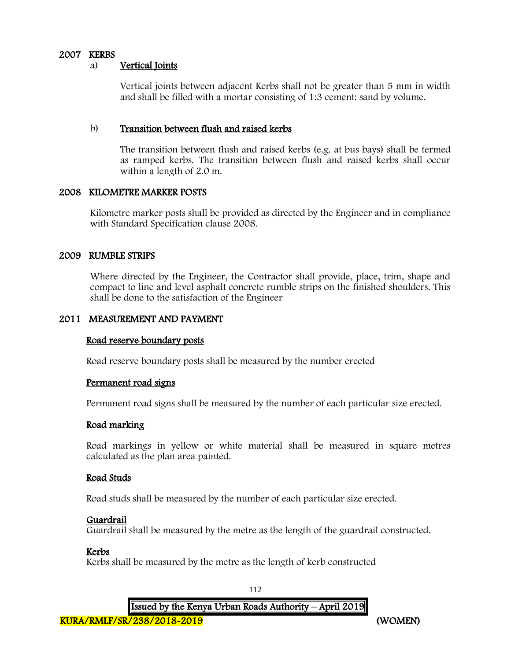## 2007 KERBS

#### a) Vertical Joints

Vertical joints between adjacent Kerbs shall not be greater than 5 mm in width and shall be filled with a mortar consisting of 1:3 cement: sand by volume.

#### b) Transition between flush and raised kerbs

The transition between flush and raised kerbs (e.g. at bus bays) shall be termed as ramped kerbs. The transition between flush and raised kerbs shall occur within a length of 2.0 m.

#### 2008 KILOMETRE MARKER POSTS

Kilometre marker posts shall be provided as directed by the Engineer and in compliance with Standard Specification clause 2008.

#### 2009 RUMBLE STRIPS

Where directed by the Engineer, the Contractor shall provide, place, trim, shape and compact to line and level asphalt concrete rumble strips on the finished shoulders. This shall be done to the satisfaction of the Engineer

## 2011 MEASUREMENT AND PAYMENT

#### Road reserve boundary posts

Road reserve boundary posts shall be measured by the number erected

#### Permanent road signs

Permanent road signs shall be measured by the number of each particular size erected.

#### Road marking

Road markings in yellow or white material shall be measured in square metres calculated as the plan area painted.

#### Road Studs

Road studs shall be measured by the number of each particular size erected.

#### Guardrail

Guardrail shall be measured by the metre as the length of the guardrail constructed.

#### Kerbs

Kerbs shall be measured by the metre as the length of kerb constructed

112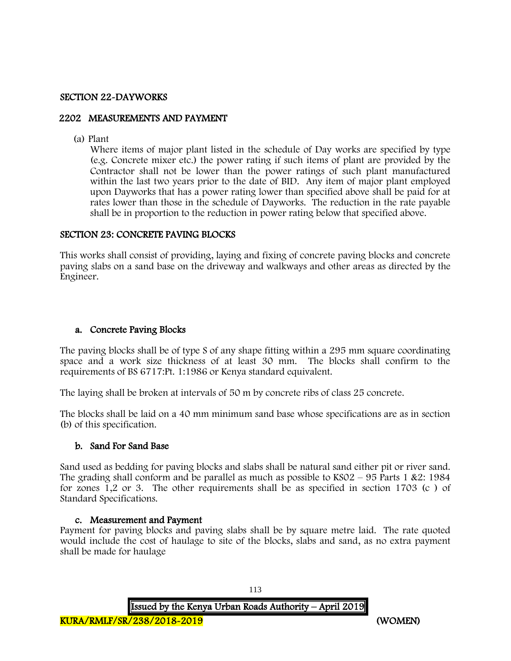## SECTION 22-DAYWORKS

### 2202 MEASUREMENTS AND PAYMENT

(a) Plant

Where items of major plant listed in the schedule of Day works are specified by type (e.g. Concrete mixer etc.) the power rating if such items of plant are provided by the Contractor shall not be lower than the power ratings of such plant manufactured within the last two years prior to the date of BID. Any item of major plant employed upon Dayworks that has a power rating lower than specified above shall be paid for at rates lower than those in the schedule of Dayworks. The reduction in the rate payable shall be in proportion to the reduction in power rating below that specified above.

## SECTION 23: CONCRETE PAVING BLOCKS

This works shall consist of providing, laying and fixing of concrete paving blocks and concrete paving slabs on a sand base on the driveway and walkways and other areas as directed by the Engineer.

## a. Concrete Paving Blocks

The paving blocks shall be of type S of any shape fitting within a 295 mm square coordinating space and a work size thickness of at least 30 mm. The blocks shall confirm to the requirements of BS 6717:Pt. 1:1986 or Kenya standard equivalent.

The laying shall be broken at intervals of 50 m by concrete ribs of class 25 concrete.

The blocks shall be laid on a 40 mm minimum sand base whose specifications are as in section (b) of this specification.

#### b. Sand For Sand Base

Sand used as bedding for paving blocks and slabs shall be natural sand either pit or river sand. The grading shall conform and be parallel as much as possible to  $KSO2 - 95$  Parts 1 &2: 1984 for zones 1,2 or 3. The other requirements shall be as specified in section 1703 (c ) of Standard Specifications.

#### c. Measurement and Payment

Payment for paving blocks and paving slabs shall be by square metre laid. The rate quoted would include the cost of haulage to site of the blocks, slabs and sand, as no extra payment shall be made for haulage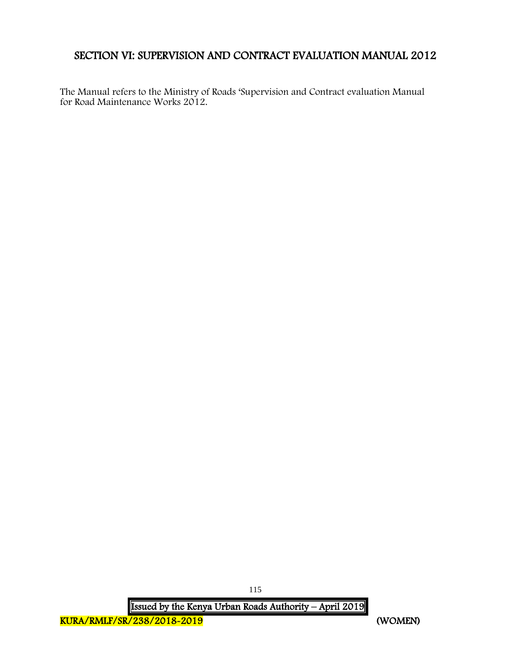## SECTION VI: SUPERVISION AND CONTRACT EVALUATION MANUAL 2012

The Manual refers to the Ministry of Roads 'Supervision and Contract evaluation Manual for Road Maintenance Works 2012.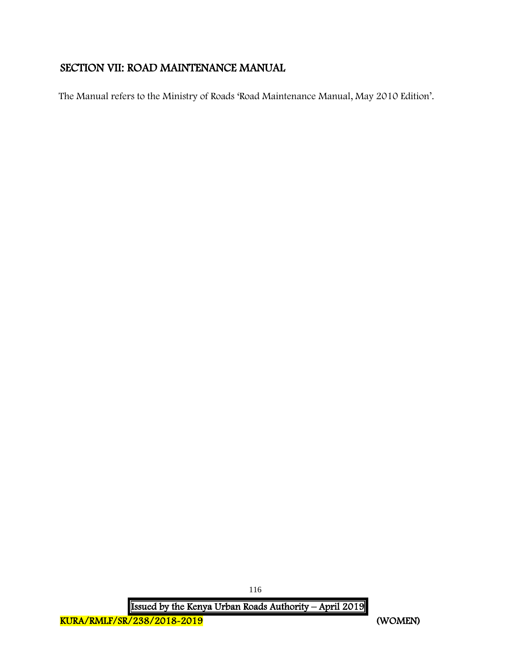# SECTION VII: ROAD MAINTENANCE MANUAL

The Manual refers to the Ministry of Roads 'Road Maintenance Manual, May 2010 Edition'.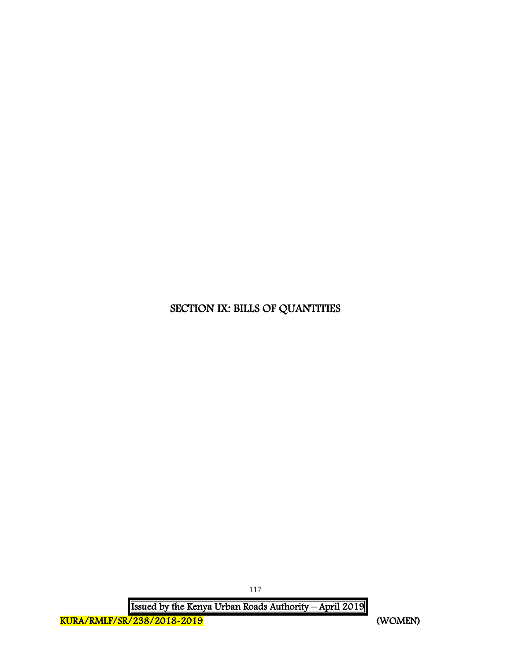SECTION IX: BILLS OF QUANTITIES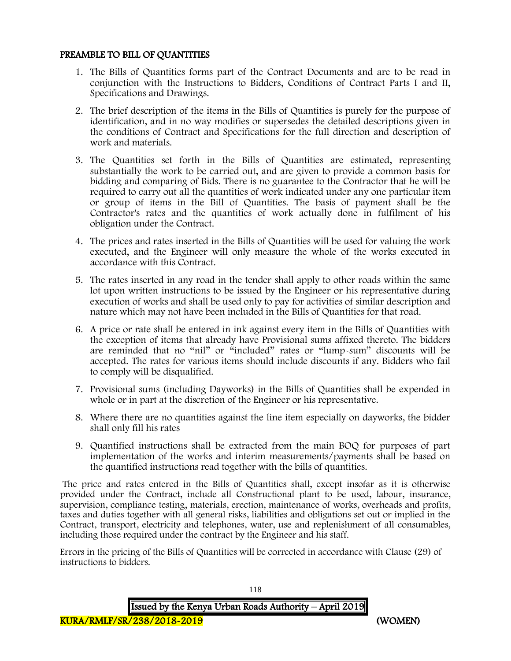### PREAMBLE TO BILL OF QUANTITIES

- 1. The Bills of Quantities forms part of the Contract Documents and are to be read in conjunction with the Instructions to Bidders, Conditions of Contract Parts I and II, Specifications and Drawings.
- 2. The brief description of the items in the Bills of Quantities is purely for the purpose of identification, and in no way modifies or supersedes the detailed descriptions given in the conditions of Contract and Specifications for the full direction and description of work and materials.
- 3. The Quantities set forth in the Bills of Quantities are estimated, representing substantially the work to be carried out, and are given to provide a common basis for bidding and comparing of Bids. There is no guarantee to the Contractor that he will be required to carry out all the quantities of work indicated under any one particular item or group of items in the Bill of Quantities. The basis of payment shall be the Contractor's rates and the quantities of work actually done in fulfilment of his obligation under the Contract.
- 4. The prices and rates inserted in the Bills of Quantities will be used for valuing the work executed, and the Engineer will only measure the whole of the works executed in accordance with this Contract.
- 5. The rates inserted in any road in the tender shall apply to other roads within the same lot upon written instructions to be issued by the Engineer or his representative during execution of works and shall be used only to pay for activities of similar description and nature which may not have been included in the Bills of Quantities for that road.
- 6. A price or rate shall be entered in ink against every item in the Bills of Quantities with the exception of items that already have Provisional sums affixed thereto. The bidders are reminded that no "nil" or "included" rates or "lump-sum" discounts will be accepted. The rates for various items should include discounts if any. Bidders who fail to comply will be disqualified.
- 7. Provisional sums (including Dayworks) in the Bills of Quantities shall be expended in whole or in part at the discretion of the Engineer or his representative.
- 8. Where there are no quantities against the line item especially on dayworks, the bidder shall only fill his rates
- 9. Quantified instructions shall be extracted from the main BOQ for purposes of part implementation of the works and interim measurements/payments shall be based on the quantified instructions read together with the bills of quantities.

The price and rates entered in the Bills of Quantities shall, except insofar as it is otherwise provided under the Contract, include all Constructional plant to be used, labour, insurance, supervision, compliance testing, materials, erection, maintenance of works, overheads and profits, taxes and duties together with all general risks, liabilities and obligations set out or implied in the Contract, transport, electricity and telephones, water, use and replenishment of all consumables, including those required under the contract by the Engineer and his staff.

Errors in the pricing of the Bills of Quantities will be corrected in accordance with Clause (29) of instructions to bidders.

118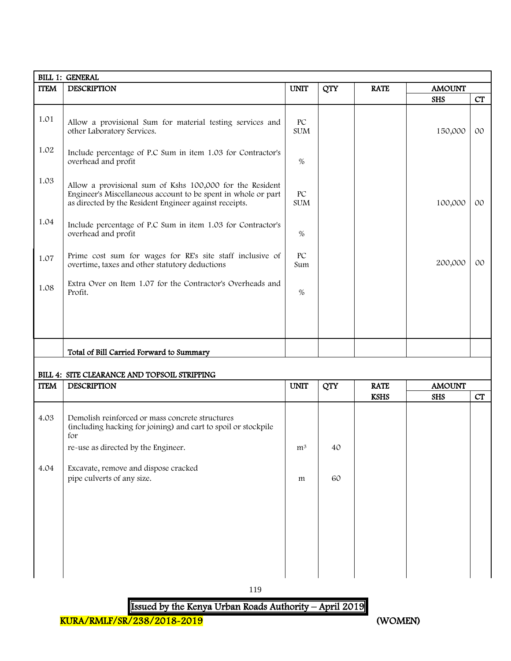|             | BILL 1: GENERAL                                                                                                                                                                     |                  |            |             |               |        |
|-------------|-------------------------------------------------------------------------------------------------------------------------------------------------------------------------------------|------------------|------------|-------------|---------------|--------|
| <b>ITEM</b> | <b>DESCRIPTION</b>                                                                                                                                                                  | <b>UNIT</b>      | <b>QTY</b> | <b>RATE</b> | <b>AMOUNT</b> |        |
|             |                                                                                                                                                                                     |                  |            |             | <b>SHS</b>    | CT     |
| 1.01        | Allow a provisional Sum for material testing services and<br>other Laboratory Services.                                                                                             | PC<br><b>SUM</b> |            |             | 150,000       | 00     |
| 1.02        | Include percentage of P.C Sum in item 1.03 for Contractor's<br>overhead and profit                                                                                                  | $\%$             |            |             |               |        |
| 1.03        | Allow a provisional sum of Kshs 100,000 for the Resident<br>Engineer's Miscellaneous account to be spent in whole or part<br>as directed by the Resident Engineer against receipts. | PC<br><b>SUM</b> |            |             | 100,000       | 00     |
| 1.04        | Include percentage of P.C Sum in item 1.03 for Contractor's<br>overhead and profit                                                                                                  | $\%$             |            |             |               |        |
| 1.07        | Prime cost sum for wages for RE's site staff inclusive of<br>overtime, taxes and other statutory deductions                                                                         | PC<br>Sum        |            |             | 200,000       | $00\,$ |
| 1.08        | Extra Over on Item 1.07 for the Contractor's Overheads and<br>Profit.                                                                                                               | $\%$             |            |             |               |        |
|             |                                                                                                                                                                                     |                  |            |             |               |        |
|             |                                                                                                                                                                                     |                  |            |             |               |        |
|             | Total of Bill Carried Forward to Summary                                                                                                                                            |                  |            |             |               |        |
|             |                                                                                                                                                                                     |                  |            |             |               |        |
|             | BILL 4: SITE CLEARANCE AND TOPSOIL STRIPPING                                                                                                                                        |                  |            |             |               |        |
| <b>ITEM</b> | <b>DESCRIPTION</b>                                                                                                                                                                  | <b>UNIT</b>      | <b>QTY</b> | <b>RATE</b> | <b>AMOUNT</b> |        |
|             |                                                                                                                                                                                     |                  |            | <b>KSHS</b> | <b>SHS</b>    | CT     |
| 4.03        | Demolish reinforced or mass concrete structures<br>(including hacking for joining) and cart to spoil or stockpile<br>for                                                            |                  |            |             |               |        |
|             | re-use as directed by the Engineer.                                                                                                                                                 | m <sup>3</sup>   | 40         |             |               |        |
| 4.04        | Excavate, remove and dispose cracked<br>pipe culverts of any size.                                                                                                                  | m                | 60         |             |               |        |
|             |                                                                                                                                                                                     |                  |            |             |               |        |
|             |                                                                                                                                                                                     |                  |            |             |               |        |
|             |                                                                                                                                                                                     |                  |            |             |               |        |
|             |                                                                                                                                                                                     |                  |            |             |               |        |
|             |                                                                                                                                                                                     |                  |            |             |               |        |
|             |                                                                                                                                                                                     |                  |            |             |               |        |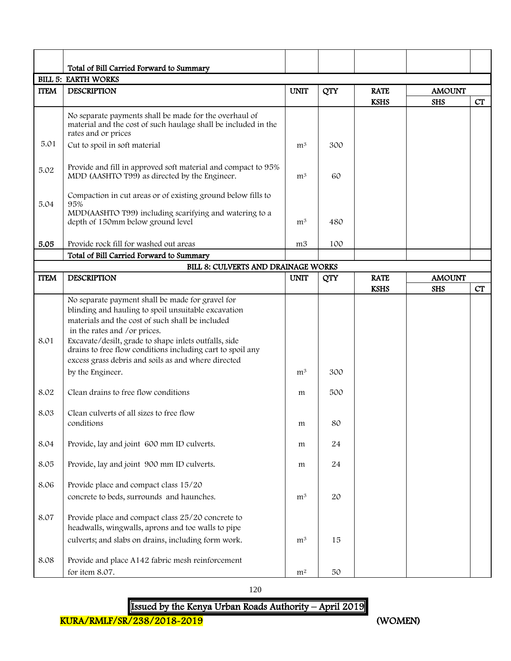|             | Total of Bill Carried Forward to Summary                                                                                                                                                                                                                                                                                                                                                      |                |            |                            |                             |    |
|-------------|-----------------------------------------------------------------------------------------------------------------------------------------------------------------------------------------------------------------------------------------------------------------------------------------------------------------------------------------------------------------------------------------------|----------------|------------|----------------------------|-----------------------------|----|
|             | <b>BILL 5: EARTH WORKS</b>                                                                                                                                                                                                                                                                                                                                                                    |                |            |                            |                             |    |
| <b>ITEM</b> | <b>DESCRIPTION</b>                                                                                                                                                                                                                                                                                                                                                                            | <b>UNIT</b>    | <b>QTY</b> | <b>RATE</b><br><b>KSHS</b> | <b>AMOUNT</b><br><b>SHS</b> | CT |
|             |                                                                                                                                                                                                                                                                                                                                                                                               |                |            |                            |                             |    |
|             | No separate payments shall be made for the overhaul of<br>material and the cost of such haulage shall be included in the<br>rates and or prices                                                                                                                                                                                                                                               |                |            |                            |                             |    |
| 5.01        | Cut to spoil in soft material                                                                                                                                                                                                                                                                                                                                                                 | m <sup>3</sup> | 300        |                            |                             |    |
| 5.02        | Provide and fill in approved soft material and compact to 95%<br>MDD (AASHTO T99) as directed by the Engineer.                                                                                                                                                                                                                                                                                | m <sup>3</sup> | 60         |                            |                             |    |
| 5.04        | Compaction in cut areas or of existing ground below fills to<br>95%                                                                                                                                                                                                                                                                                                                           |                |            |                            |                             |    |
|             | MDD(AASHTO T99) including scarifying and watering to a<br>depth of 150mm below ground level                                                                                                                                                                                                                                                                                                   | m <sup>3</sup> | 480        |                            |                             |    |
| 5.05        | Provide rock fill for washed out areas                                                                                                                                                                                                                                                                                                                                                        | m3             | 100        |                            |                             |    |
|             | Total of Bill Carried Forward to Summary                                                                                                                                                                                                                                                                                                                                                      |                |            |                            |                             |    |
|             | BILL 8: CULVERTS AND DRAINAGE WORKS                                                                                                                                                                                                                                                                                                                                                           |                |            |                            |                             |    |
| <b>ITEM</b> | <b>DESCRIPTION</b>                                                                                                                                                                                                                                                                                                                                                                            | <b>UNIT</b>    | <b>QTY</b> | <b>RATE</b>                | <b>AMOUNT</b>               |    |
| 8.01        | No separate payment shall be made for gravel for<br>blinding and hauling to spoil unsuitable excavation<br>materials and the cost of such shall be included<br>in the rates and /or prices.<br>Excavate/desilt, grade to shape inlets outfalls, side<br>drains to free flow conditions including cart to spoil any<br>excess grass debris and soils as and where directed<br>by the Engineer. | m <sup>3</sup> | 300        | <b>KSHS</b>                | <b>SHS</b>                  | CT |
| 8.02        | Clean drains to free flow conditions                                                                                                                                                                                                                                                                                                                                                          | m              | 500        |                            |                             |    |
| 8.03        | Clean culverts of all sizes to free flow<br>conditions                                                                                                                                                                                                                                                                                                                                        | m              | 80         |                            |                             |    |
| 8.04        | Provide, lay and joint 600 mm ID culverts.                                                                                                                                                                                                                                                                                                                                                    | m              | 24         |                            |                             |    |
| 8.05        | Provide, lay and joint 900 mm ID culverts.                                                                                                                                                                                                                                                                                                                                                    | m              | 24         |                            |                             |    |
| 8.06        | Provide place and compact class 15/20                                                                                                                                                                                                                                                                                                                                                         |                |            |                            |                             |    |
|             | concrete to beds, surrounds and haunches.                                                                                                                                                                                                                                                                                                                                                     | m <sup>3</sup> | 20         |                            |                             |    |
| 8.07        | Provide place and compact class 25/20 concrete to<br>headwalls, wingwalls, aprons and toe walls to pipe<br>culverts; and slabs on drains, including form work.                                                                                                                                                                                                                                | m <sup>3</sup> | 15         |                            |                             |    |
| 8.08        | Provide and place A142 fabric mesh reinforcement<br>for item 8.07.                                                                                                                                                                                                                                                                                                                            | m <sup>2</sup> | 50         |                            |                             |    |
|             |                                                                                                                                                                                                                                                                                                                                                                                               |                |            |                            |                             |    |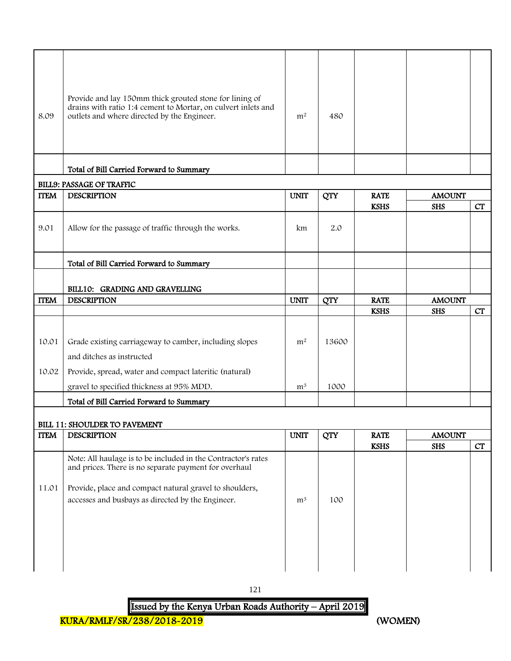| 8.09           | Provide and lay 150mm thick grouted stone for lining of<br>drains with ratio 1:4 cement to Mortar, on culvert inlets and<br>outlets and where directed by the Engineer.                                                                | m <sup>2</sup> | 480        |                            |                             |           |
|----------------|----------------------------------------------------------------------------------------------------------------------------------------------------------------------------------------------------------------------------------------|----------------|------------|----------------------------|-----------------------------|-----------|
|                | Total of Bill Carried Forward to Summary                                                                                                                                                                                               |                |            |                            |                             |           |
|                | <b>BILL9: PASSAGE OF TRAFFIC</b>                                                                                                                                                                                                       |                |            |                            |                             |           |
| <b>ITEM</b>    | <b>DESCRIPTION</b>                                                                                                                                                                                                                     | <b>UNIT</b>    | <b>QTY</b> | <b>RATE</b><br><b>KSHS</b> | <b>AMOUNT</b><br><b>SHS</b> | <b>CT</b> |
| 9.01           | Allow for the passage of traffic through the works.                                                                                                                                                                                    | km             | 2.0        |                            |                             |           |
|                | Total of Bill Carried Forward to Summary                                                                                                                                                                                               |                |            |                            |                             |           |
|                |                                                                                                                                                                                                                                        |                |            |                            |                             |           |
|                | BILL10: GRADING AND GRAVELLING                                                                                                                                                                                                         |                |            |                            |                             |           |
| <b>ITEM</b>    | <b>DESCRIPTION</b>                                                                                                                                                                                                                     | <b>UNIT</b>    | <b>QTY</b> | <b>RATE</b><br><b>KSHS</b> | <b>AMOUNT</b><br><b>SHS</b> | CT        |
| 10.01<br>10.02 | Grade existing carriageway to camber, including slopes<br>and ditches as instructed<br>Provide, spread, water and compact lateritic (natural)                                                                                          | m <sup>2</sup> | 13600      |                            |                             |           |
|                | gravel to specified thickness at 95% MDD.                                                                                                                                                                                              | m <sup>3</sup> | 1000       |                            |                             |           |
|                | Total of Bill Carried Forward to Summary                                                                                                                                                                                               |                |            |                            |                             |           |
|                | <b>BILL 11: SHOULDER TO PAVEMENT</b>                                                                                                                                                                                                   |                |            |                            |                             |           |
| <b>ITEM</b>    | <b>DESCRIPTION</b>                                                                                                                                                                                                                     | <b>UNIT</b>    | <b>QTY</b> | <b>RATE</b>                | <b>AMOUNT</b>               |           |
| 11.01          | Note: All haulage is to be included in the Contractor's rates<br>and prices. There is no separate payment for overhaul<br>Provide, place and compact natural gravel to shoulders,<br>accesses and busbays as directed by the Engineer. | m <sup>3</sup> | 100        | <b>KSHS</b>                | <b>SHS</b>                  | CT        |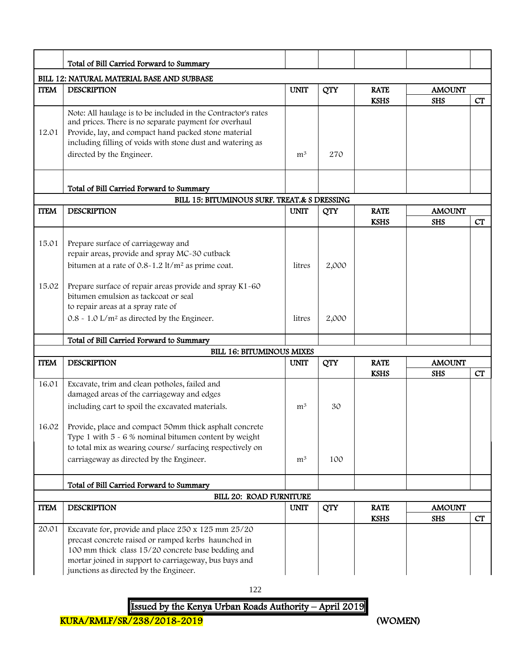|             | Total of Bill Carried Forward to Summary                                                                                                                                                                                                                                  |                |            |                            |                             |           |
|-------------|---------------------------------------------------------------------------------------------------------------------------------------------------------------------------------------------------------------------------------------------------------------------------|----------------|------------|----------------------------|-----------------------------|-----------|
|             | BILL 12: NATURAL MATERIAL BASE AND SUBBASE                                                                                                                                                                                                                                |                |            |                            |                             |           |
| <b>ITEM</b> | <b>DESCRIPTION</b>                                                                                                                                                                                                                                                        | <b>UNIT</b>    | <b>QTY</b> | <b>RATE</b>                | <b>AMOUNT</b>               |           |
|             |                                                                                                                                                                                                                                                                           |                |            | <b>KSHS</b>                | <b>SHS</b>                  | CT        |
| 12.01       | Note: All haulage is to be included in the Contractor's rates<br>and prices. There is no separate payment for overhaul<br>Provide, lay, and compact hand packed stone material<br>including filling of voids with stone dust and watering as<br>directed by the Engineer. | m <sup>3</sup> | 270        |                            |                             |           |
|             | Total of Bill Carried Forward to Summary                                                                                                                                                                                                                                  |                |            |                            |                             |           |
|             | BILL 15: BITUMINOUS SURF. TREAT.& S DRESSING                                                                                                                                                                                                                              |                |            |                            |                             |           |
| <b>ITEM</b> | <b>DESCRIPTION</b>                                                                                                                                                                                                                                                        | <b>UNIT</b>    | <b>QTY</b> | <b>RATE</b><br><b>KSHS</b> | <b>AMOUNT</b><br><b>SHS</b> | CT        |
| 15.01       | Prepare surface of carriageway and<br>repair areas, provide and spray MC-30 cutback<br>bitumen at a rate of $0.8 - 1.2$ lt/m <sup>2</sup> as prime coat.                                                                                                                  | litres         | 2,000      |                            |                             |           |
| 15.02       | Prepare surface of repair areas provide and spray K1-60<br>bitumen emulsion as tackcoat or seal<br>to repair areas at a spray rate of<br>$0.8 - 1.0$ L/m <sup>2</sup> as directed by the Engineer.                                                                        | litres         | 2,000      |                            |                             |           |
|             | Total of Bill Carried Forward to Summary                                                                                                                                                                                                                                  |                |            |                            |                             |           |
|             | <b>BILL 16: BITUMINOUS MIXES</b>                                                                                                                                                                                                                                          |                |            |                            |                             |           |
| <b>ITEM</b> | <b>DESCRIPTION</b>                                                                                                                                                                                                                                                        | <b>UNIT</b>    | <b>QTY</b> | <b>RATE</b>                | <b>AMOUNT</b>               |           |
|             |                                                                                                                                                                                                                                                                           |                |            | <b>KSHS</b>                | <b>SHS</b>                  | <b>CT</b> |
| 16.01       | Excavate, trim and clean potholes, failed and<br>damaged areas of the carriageway and edges<br>including cart to spoil the excavated materials.                                                                                                                           | m <sup>3</sup> | 30         |                            |                             |           |
| 16.02       | Provide, place and compact 50mm thick asphalt concrete<br>Type 1 with $5 - 6$ % nominal bitumen content by weight<br>to total mix as wearing course/ surfacing respectively on<br>carriageway as directed by the Engineer.                                                | m <sup>3</sup> | 100        |                            |                             |           |
|             | Total of Bill Carried Forward to Summary                                                                                                                                                                                                                                  |                |            |                            |                             |           |
|             | <b>BILL 20: ROAD FURNITURE</b>                                                                                                                                                                                                                                            |                |            |                            |                             |           |
| <b>ITEM</b> | <b>DESCRIPTION</b>                                                                                                                                                                                                                                                        | <b>UNIT</b>    | <b>QTY</b> | <b>RATE</b>                | <b>AMOUNT</b>               |           |
|             |                                                                                                                                                                                                                                                                           |                |            | <b>KSHS</b>                | <b>SHS</b>                  | CT        |
| 20.01       | Excavate for, provide and place 250 x 125 mm 25/20<br>precast concrete raised or ramped kerbs haunched in<br>100 mm thick class 15/20 concrete base bedding and<br>mortar joined in support to carriageway, bus bays and<br>junctions as directed by the Engineer.        |                |            |                            |                             |           |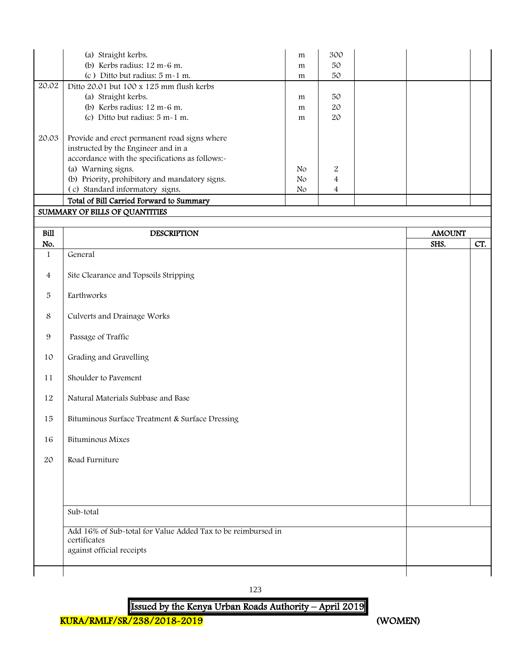|                  | (a) Straight kerbs.<br>(b) Kerbs radius: $12 \text{ m}$ -6 m.                | m      | 300<br>50        |  |               |     |
|------------------|------------------------------------------------------------------------------|--------|------------------|--|---------------|-----|
|                  | (c) Ditto but radius: 5 m-1 m.                                               | m<br>m | 50               |  |               |     |
| 20.02            | Ditto 20.01 but 100 x 125 mm flush kerbs                                     |        |                  |  |               |     |
|                  | (a) Straight kerbs.                                                          | m      | 50               |  |               |     |
|                  | (b) Kerbs radius: $12 \text{ m}$ -6 m.                                       | m      | 20               |  |               |     |
|                  | (c) Ditto but radius: 5 m-1 m.                                               | m      | 20               |  |               |     |
|                  |                                                                              |        |                  |  |               |     |
| 20.03            | Provide and erect permanent road signs where                                 |        |                  |  |               |     |
|                  | instructed by the Engineer and in a                                          |        |                  |  |               |     |
|                  | accordance with the specifications as follows:-                              |        |                  |  |               |     |
|                  | (a) Warning signs.                                                           | No     | $\boldsymbol{2}$ |  |               |     |
|                  | (b) Priority, prohibitory and mandatory signs.                               | No     | $\overline{4}$   |  |               |     |
|                  | (c) Standard informatory signs.                                              | No     | 4                |  |               |     |
|                  | Total of Bill Carried Forward to Summary                                     |        |                  |  |               |     |
|                  | SUMMARY OF BILLS OF QUANTITIES                                               |        |                  |  |               |     |
| Bill             | <b>DESCRIPTION</b>                                                           |        |                  |  | <b>AMOUNT</b> |     |
| No.              |                                                                              |        |                  |  | SHS.          | CT. |
| $\mathbf{1}$     | General                                                                      |        |                  |  |               |     |
|                  |                                                                              |        |                  |  |               |     |
| $\overline{4}$   | Site Clearance and Topsoils Stripping                                        |        |                  |  |               |     |
|                  |                                                                              |        |                  |  |               |     |
| 5                | Earthworks                                                                   |        |                  |  |               |     |
| $\,8\,$          | Culverts and Drainage Works                                                  |        |                  |  |               |     |
|                  |                                                                              |        |                  |  |               |     |
| $\boldsymbol{9}$ | Passage of Traffic                                                           |        |                  |  |               |     |
| 10               | Grading and Gravelling                                                       |        |                  |  |               |     |
|                  |                                                                              |        |                  |  |               |     |
| 11               | Shoulder to Pavement                                                         |        |                  |  |               |     |
| 12               | Natural Materials Subbase and Base                                           |        |                  |  |               |     |
|                  |                                                                              |        |                  |  |               |     |
| 15               | Bituminous Surface Treatment & Surface Dressing                              |        |                  |  |               |     |
| 16               | Bituminous Mixes                                                             |        |                  |  |               |     |
| 20               | Road Furniture                                                               |        |                  |  |               |     |
|                  |                                                                              |        |                  |  |               |     |
|                  |                                                                              |        |                  |  |               |     |
|                  |                                                                              |        |                  |  |               |     |
|                  | Sub-total                                                                    |        |                  |  |               |     |
|                  |                                                                              |        |                  |  |               |     |
|                  | Add 16% of Sub-total for Value Added Tax to be reimbursed in<br>certificates |        |                  |  |               |     |
|                  | against official receipts                                                    |        |                  |  |               |     |
|                  |                                                                              |        |                  |  |               |     |
|                  |                                                                              |        |                  |  |               |     |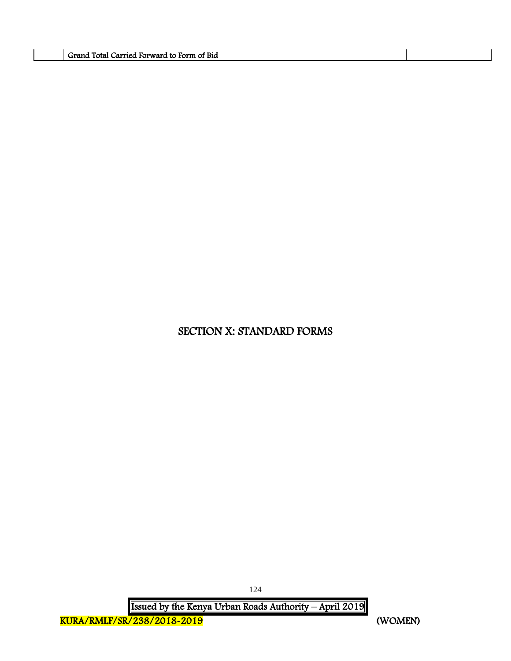# SECTION X: STANDARD FORMS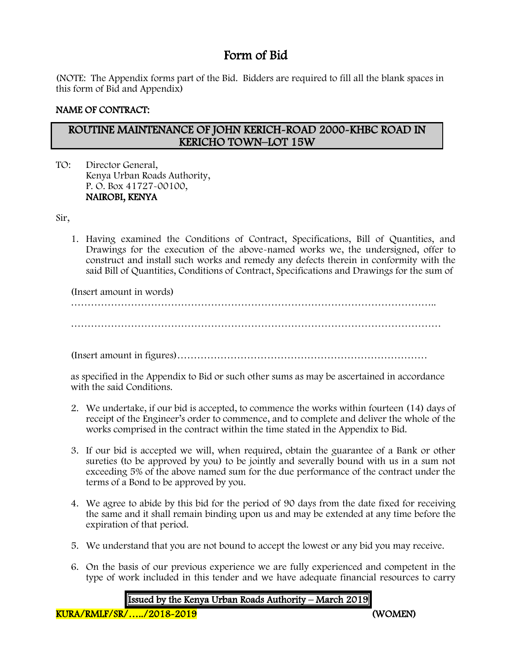# Form of Bid

(NOTE: The Appendix forms part of the Bid. Bidders are required to fill all the blank spaces in this form of Bid and Appendix)

## NAME OF CONTRACT:

## ROUTINE MAINTENANCE OF JOHN KERICH-ROAD 2000-KHBC ROAD IN KERICHO TOWN–LOT 15W

TO: Director General, Kenya Urban Roads Authority, P. O. Box 41727-00100, NAIROBI, KENYA

Sir,

1. Having examined the Conditions of Contract, Specifications, Bill of Quantities, and Drawings for the execution of the above-named works we, the undersigned, offer to construct and install such works and remedy any defects therein in conformity with the said Bill of Quantities, Conditions of Contract, Specifications and Drawings for the sum of

(Insert amount in words)

(Insert amount in figures)…………………………………………………………………

as specified in the Appendix to Bid or such other sums as may be ascertained in accordance with the said Conditions.

- 2. We undertake, if our bid is accepted, to commence the works within fourteen (14) days of receipt of the Engineer's order to commence, and to complete and deliver the whole of the works comprised in the contract within the time stated in the Appendix to Bid.
- 3. If our bid is accepted we will, when required, obtain the guarantee of a Bank or other sureties (to be approved by you) to be jointly and severally bound with us in a sum not exceeding 5% of the above named sum for the due performance of the contract under the terms of a Bond to be approved by you.
- 4. We agree to abide by this bid for the period of 90 days from the date fixed for receiving the same and it shall remain binding upon us and may be extended at any time before the expiration of that period.
- 5. We understand that you are not bound to accept the lowest or any bid you may receive.
- 6. On the basis of our previous experience we are fully experienced and competent in the type of work included in this tender and we have adequate financial resources to carry

## Issued by the Kenya Urban Roads Authority – March 2019

KURA/RMLF/SR/…../2018-2019 (WOMEN)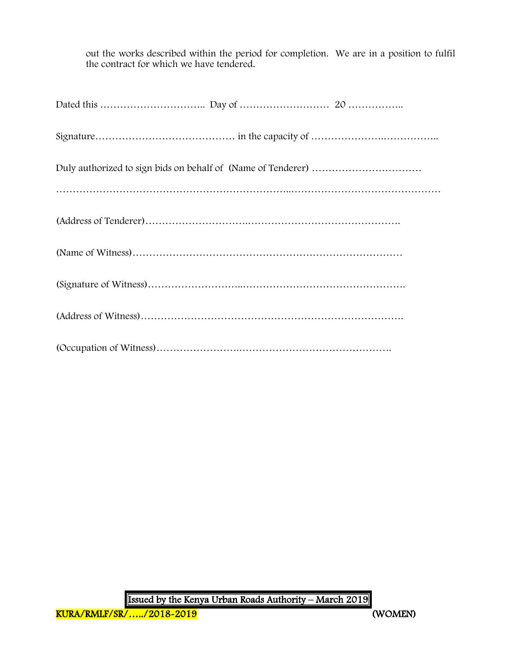out the works described within the period for completion. We are in a position to fulfil the contract for which we have tendered.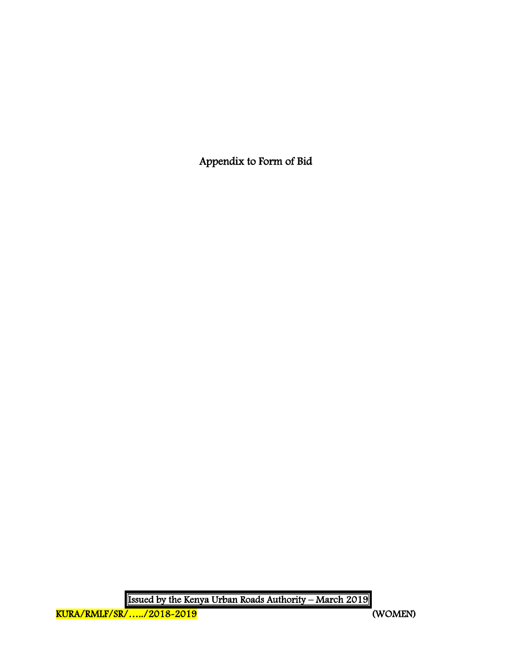Appendix to Form of Bid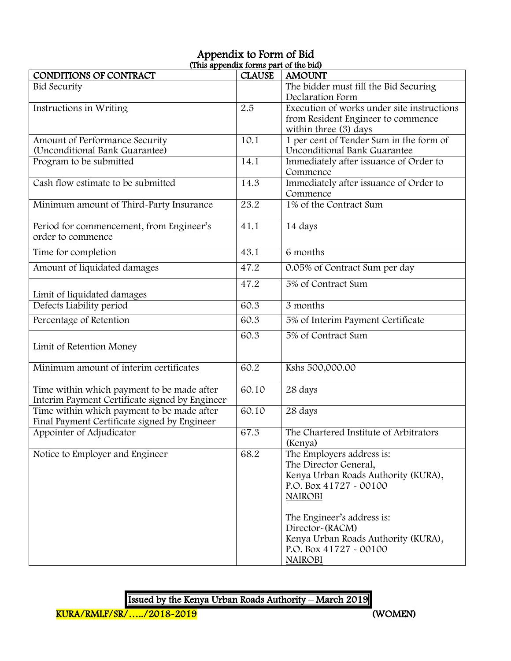|                                                | (This appendix forms part of the bid) |                                            |
|------------------------------------------------|---------------------------------------|--------------------------------------------|
| CONDITIONS OF CONTRACT                         | <b>CLAUSE</b>                         | <b>AMOUNT</b>                              |
| <b>Bid Security</b>                            |                                       | The bidder must fill the Bid Securing      |
|                                                |                                       | Declaration Form                           |
| Instructions in Writing                        | 2.5                                   | Execution of works under site instructions |
|                                                |                                       | from Resident Engineer to commence         |
|                                                |                                       | within three (3) days                      |
| Amount of Performance Security                 | 10.1                                  | 1 per cent of Tender Sum in the form of    |
| (Unconditional Bank Guarantee)                 |                                       | <b>Unconditional Bank Guarantee</b>        |
| Program to be submitted                        | 14.1                                  | Immediately after issuance of Order to     |
|                                                |                                       | Commence                                   |
| Cash flow estimate to be submitted             | 14.3                                  | Immediately after issuance of Order to     |
|                                                |                                       | Commence                                   |
|                                                | 23.2                                  | 1% of the Contract Sum                     |
| Minimum amount of Third-Party Insurance        |                                       |                                            |
| Period for commencement, from Engineer's       | 41.1                                  | 14 days                                    |
| order to commence                              |                                       |                                            |
|                                                |                                       |                                            |
| Time for completion                            | 43.1                                  | 6 months                                   |
| Amount of liquidated damages                   | 47.2                                  | 0.05% of Contract Sum per day              |
|                                                | 47.2                                  | 5% of Contract Sum                         |
| Limit of liquidated damages                    |                                       |                                            |
| Defects Liability period                       | 60.3                                  | 3 months                                   |
| Percentage of Retention                        | 60.3                                  | 5% of Interim Payment Certificate          |
|                                                |                                       | 5% of Contract Sum                         |
|                                                | 60.3                                  |                                            |
| Limit of Retention Money                       |                                       |                                            |
|                                                |                                       |                                            |
| Minimum amount of interim certificates         | 60.2                                  | Kshs 500,000.00                            |
|                                                |                                       |                                            |
| Time within which payment to be made after     | 60.10                                 | 28 days                                    |
| Interim Payment Certificate signed by Engineer |                                       |                                            |
| Time within which payment to be made after     | 60.10                                 | 28 days                                    |
| Final Payment Certificate signed by Engineer   |                                       |                                            |
| Appointer of Adjudicator                       | 67.3                                  | The Chartered Institute of Arbitrators     |
|                                                |                                       | (Kenya)                                    |
| Notice to Employer and Engineer                | 68.2                                  | The Employers address is:                  |
|                                                |                                       | The Director General,                      |
|                                                |                                       | Kenya Urban Roads Authority (KURA),        |
|                                                |                                       | P.O. Box 41727 - 00100                     |
|                                                |                                       | <b>NAIROBI</b>                             |
|                                                |                                       |                                            |
|                                                |                                       | The Engineer's address is:                 |
|                                                |                                       | Director~(RACM)                            |
|                                                |                                       | Kenya Urban Roads Authority (KURA),        |
|                                                |                                       | P.O. Box 41727 - 00100                     |
|                                                |                                       | <b>NAIROBI</b>                             |

## Appendix to Form of Bid (This appendix forms part of the bid)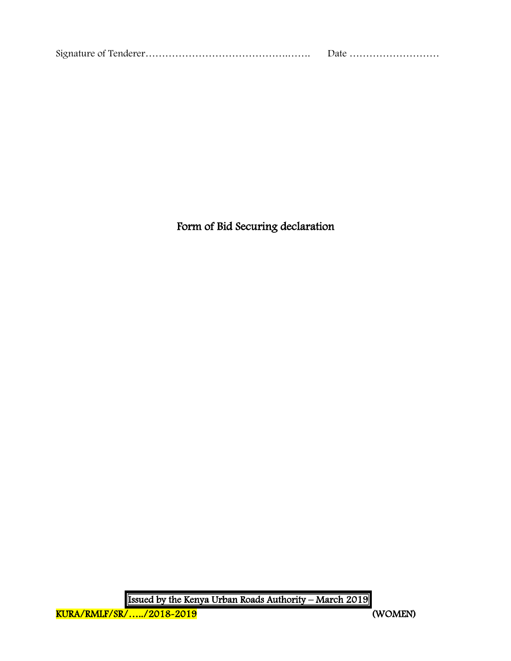|--|--|

Form of Bid Securing declaration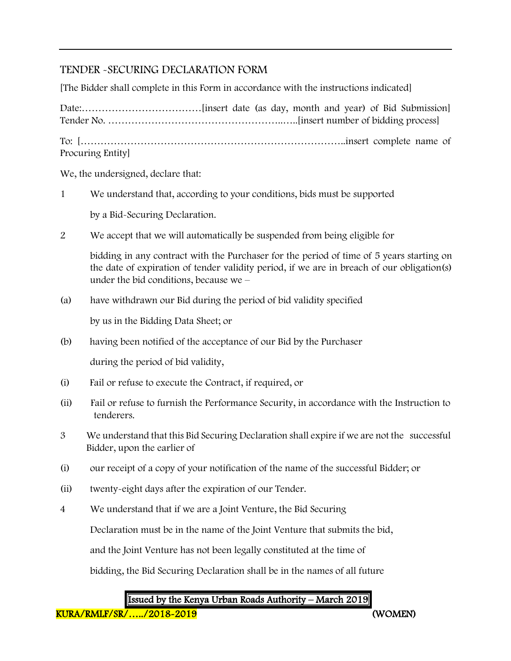## TENDER -SECURING DECLARATION FORM

[The Bidder shall complete in this Form in accordance with the instructions indicated]

Date:………………………………[insert date (as day, month and year) of Bid Submission] Tender No. ……………………………………………..…..[insert number of bidding process] To: [……………………………………………………………………..insert complete name of Procuring Entity]

I

We, the undersigned, declare that:

- 1 We understand that, according to your conditions, bids must be supported by a Bid-Securing Declaration.
- 2 We accept that we will automatically be suspended from being eligible for

bidding in any contract with the Purchaser for the period of time of 5 years starting on the date of expiration of tender validity period, if we are in breach of our obligation(s) under the bid conditions, because we –

(a) have withdrawn our Bid during the period of bid validity specified

by us in the Bidding Data Sheet; or

(b) having been notified of the acceptance of our Bid by the Purchaser

during the period of bid validity,

- (i) Fail or refuse to execute the Contract, if required, or
- (ii) Fail or refuse to furnish the Performance Security, in accordance with the Instruction to tenderers.
- 3 We understand that this Bid Securing Declaration shall expire if we are not the successful Bidder, upon the earlier of
- (i) our receipt of a copy of your notification of the name of the successful Bidder; or
- (ii) twenty-eight days after the expiration of our Tender.
- 4 We understand that if we are a Joint Venture, the Bid Securing

Declaration must be in the name of the Joint Venture that submits the bid,

and the Joint Venture has not been legally constituted at the time of

bidding, the Bid Securing Declaration shall be in the names of all future

## Issued by the Kenya Urban Roads Authority – March 2019

KURA/RMLF/SR/…../2018-2019 (WOMEN)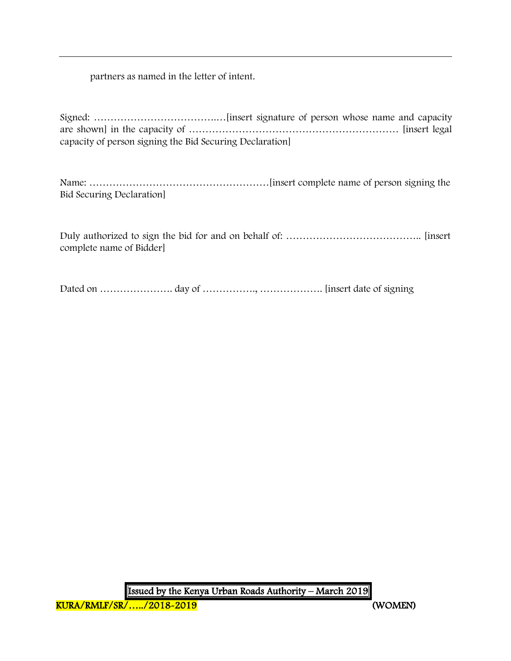partners as named in the letter of intent.

| capacity of person signing the Bid Securing Declaration |  |  |  |  |
|---------------------------------------------------------|--|--|--|--|

Name: ………………………………………………[insert complete name of person signing the Bid Securing Declaration]

Duly authorized to sign the bid for and on behalf of: ………………………………….. [insert complete name of Bidder]

Dated on …………………. day of ……………., ………………. [insert date of signing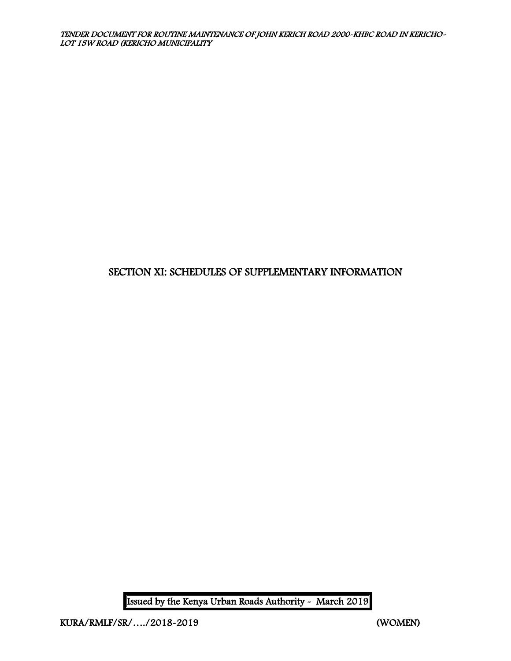# SECTION XI: SCHEDULES OF SUPPLEMENTARY INFORMATION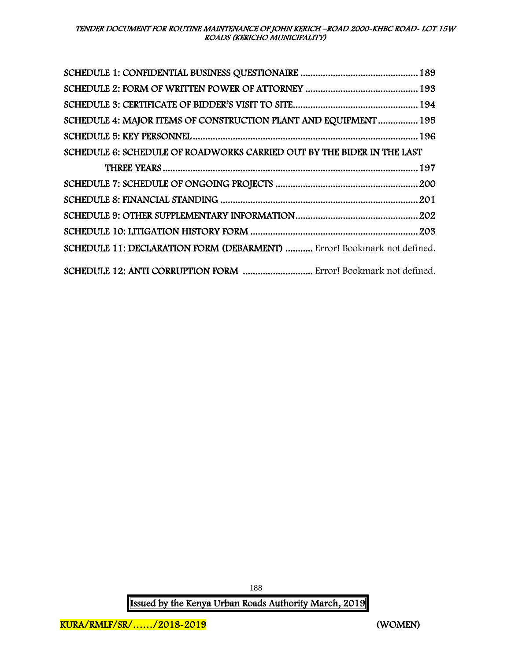| SCHEDULE 4: MAJOR ITEMS OF CONSTRUCTION PLANT AND EQUIPMENT  195        |
|-------------------------------------------------------------------------|
|                                                                         |
| SCHEDULE 6: SCHEDULE OF ROADWORKS CARRIED OUT BY THE BIDER IN THE LAST  |
|                                                                         |
|                                                                         |
|                                                                         |
|                                                                         |
|                                                                         |
| SCHEDULE 11: DECLARATION FORM (DEBARMENT)  Error! Bookmark not defined. |
| SCHEDULE 12: ANTI CORRUPTION FORM  Error! Bookmark not defined.         |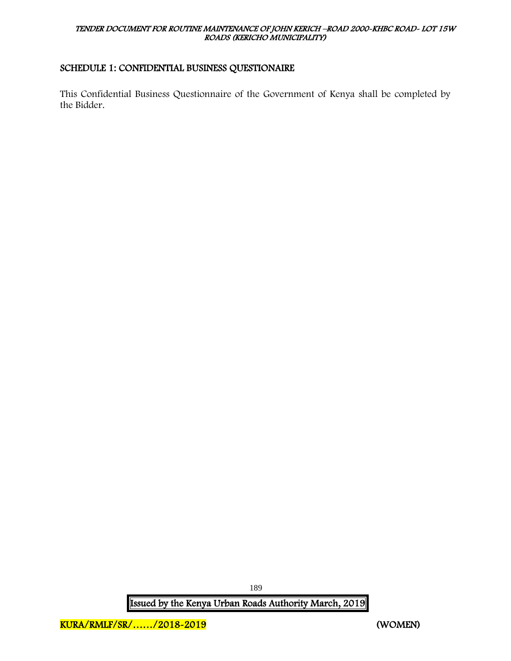## <span id="page-134-0"></span>SCHEDULE 1: CONFIDENTIAL BUSINESS QUESTIONAIRE

This Confidential Business Questionnaire of the Government of Kenya shall be completed by the Bidder.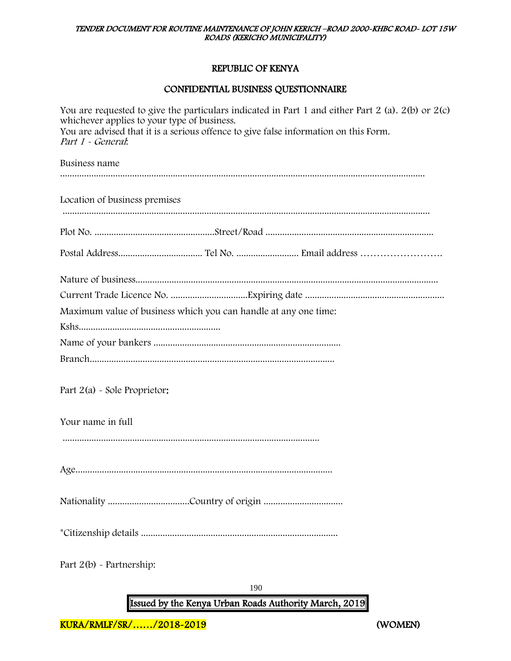## REPUBLIC OF KENYA

#### CONFIDENTIAL BUSINESS QUESTIONNAIRE

| You are requested to give the particulars indicated in Part 1 and either Part 2 (a). $2(b)$ or $2(c)$<br>whichever applies to your type of business.<br>You are advised that it is a serious offence to give false information on this Form.<br>Part 1 - General: |
|-------------------------------------------------------------------------------------------------------------------------------------------------------------------------------------------------------------------------------------------------------------------|
| Business name                                                                                                                                                                                                                                                     |
| Location of business premises                                                                                                                                                                                                                                     |
|                                                                                                                                                                                                                                                                   |
|                                                                                                                                                                                                                                                                   |
| Maximum value of business which you can handle at any one time:                                                                                                                                                                                                   |
|                                                                                                                                                                                                                                                                   |
|                                                                                                                                                                                                                                                                   |
|                                                                                                                                                                                                                                                                   |
| Part 2(a) - Sole Proprietor:                                                                                                                                                                                                                                      |
| Your name in full                                                                                                                                                                                                                                                 |
|                                                                                                                                                                                                                                                                   |
|                                                                                                                                                                                                                                                                   |
|                                                                                                                                                                                                                                                                   |
| Part $2(b)$ - Partnership:                                                                                                                                                                                                                                        |
| 190                                                                                                                                                                                                                                                               |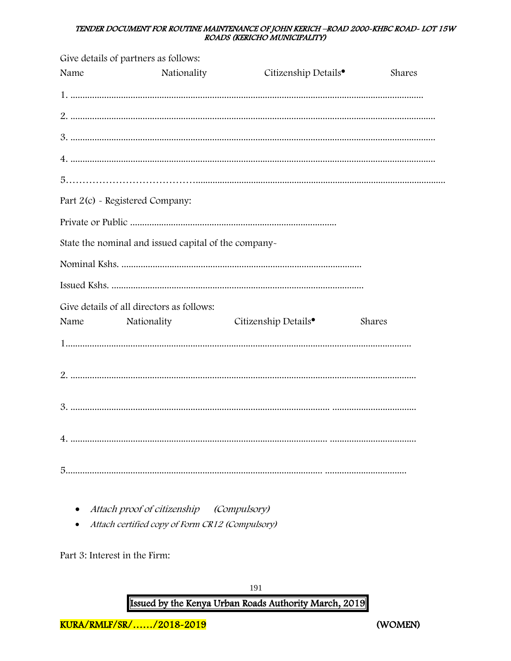|      | Give details of partners as follows:                 |                                  |        |
|------|------------------------------------------------------|----------------------------------|--------|
| Name | Nationality                                          | Citizenship Details <sup>•</sup> | Shares |
|      |                                                      |                                  |        |
|      |                                                      |                                  |        |
|      |                                                      |                                  |        |
|      |                                                      |                                  |        |
|      |                                                      |                                  |        |
|      | Part 2(c) - Registered Company:                      |                                  |        |
|      |                                                      |                                  |        |
|      | State the nominal and issued capital of the company- |                                  |        |
|      |                                                      |                                  |        |
|      |                                                      |                                  |        |
|      | Give details of all directors as follows:            |                                  |        |
| Name | Nationality                                          | Citizenship Details <sup>•</sup> | Shares |
|      |                                                      |                                  |        |
|      |                                                      |                                  |        |
|      |                                                      |                                  |        |
|      |                                                      |                                  |        |
|      |                                                      |                                  |        |

- Attach proof of citizenship (Compulsory)
- Attach certified copy of Form CR12 (Compulsory)

Part 3: Interest in the Firm: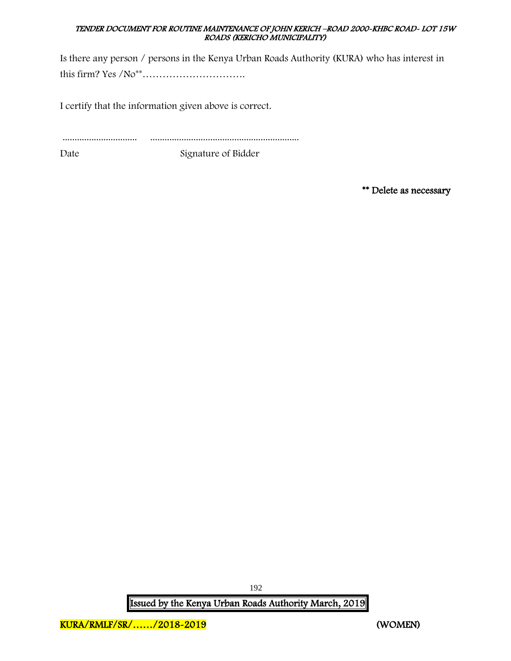Is there any person / persons in the Kenya Urban Roads Authority (KURA) who has interest in this firm? Yes /No\*\*………………………….

I certify that the information given above is correct.

............................... ..............................................................

Date Signature of Bidder

\*\* Delete as necessary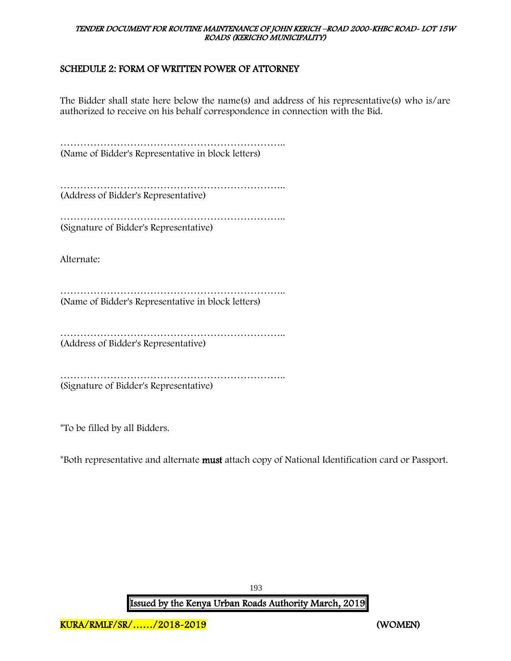## <span id="page-138-0"></span>SCHEDULE 2: FORM OF WRITTEN POWER OF ATTORNEY

The Bidder shall state here below the name(s) and address of his representative(s) who is/are authorized to receive on his behalf correspondence in connection with the Bid.

………………………………………………………….. (Name of Bidder's Representative in block letters)

………………………………………………………….. (Address of Bidder's Representative)

………………………………………………………….. (Signature of Bidder's Representative)

Alternate:

………………………………………………………….. (Name of Bidder's Representative in block letters)

………………………………………………………….. (Address of Bidder's Representative)

………………………………………………………………………… (Signature of Bidder's Representative)

\*To be filled by all Bidders.

\*Both representative and alternate must attach copy of National Identification card or Passport.

193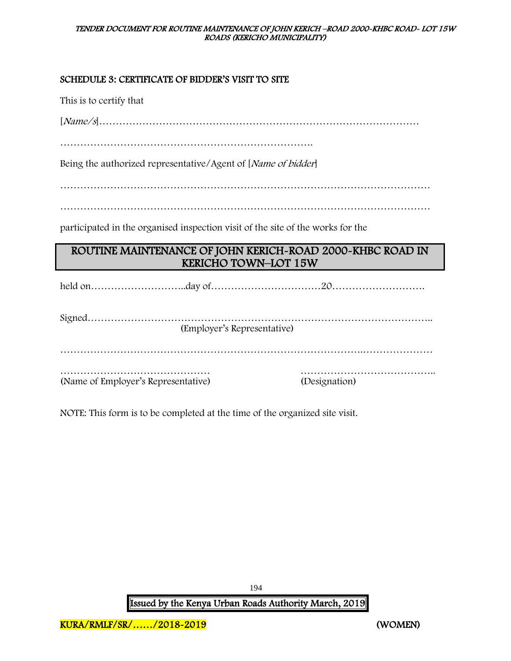### <span id="page-139-0"></span>SCHEDULE 3: CERTIFICATE OF BIDDER'S VISIT TO SITE

This is to certify that

[Name/s]……………………………………………………………………………………

………………………………………………………………….

Being the authorized representative/Agent of [Name of bidder]

…………………………………………………………………………………………………

…………………………………………………………………………………………………

participated in the organised inspection visit of the site of the works for the

## ROUTINE MAINTENANCE OF JOHN KERICH-ROAD 2000-KHBC ROAD IN KERICHO TOWN–LOT 15W

held on………………………..day of……………………………20……………………….

| (Employer's Representative) |
|-----------------------------|

……………………………………………………………………………….…………………

……………………………………… ………………………………….. (Name of Employer's Representative) (Designation)

NOTE: This form is to be completed at the time of the organized site visit.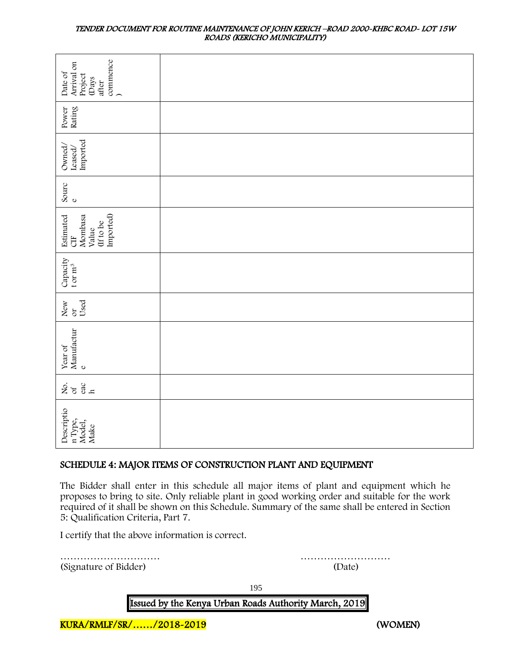| commence<br>)<br>Arrival on<br>Date of<br>Project<br>(Days<br>after                                                                                                                                                                                                                                                                |                                                             |  |  |  |  |  |  |  |
|------------------------------------------------------------------------------------------------------------------------------------------------------------------------------------------------------------------------------------------------------------------------------------------------------------------------------------|-------------------------------------------------------------|--|--|--|--|--|--|--|
| Power<br>Rating                                                                                                                                                                                                                                                                                                                    |                                                             |  |  |  |  |  |  |  |
| Imported<br>Owned,<br>Leased/                                                                                                                                                                                                                                                                                                      |                                                             |  |  |  |  |  |  |  |
| Sourc<br>$\mathbf 0$                                                                                                                                                                                                                                                                                                               |                                                             |  |  |  |  |  |  |  |
| Imported)<br>Mombasa<br>Estimated<br>(If to be<br>Value<br><b>UE</b>                                                                                                                                                                                                                                                               |                                                             |  |  |  |  |  |  |  |
| Capacity<br>t or $\rm m^3$                                                                                                                                                                                                                                                                                                         |                                                             |  |  |  |  |  |  |  |
| Used<br>New or                                                                                                                                                                                                                                                                                                                     |                                                             |  |  |  |  |  |  |  |
| Manufactur<br>Year of<br>$\mathbf{o}$                                                                                                                                                                                                                                                                                              |                                                             |  |  |  |  |  |  |  |
| $rac{ac}{h}$<br>ર્ષ છે.<br>સં                                                                                                                                                                                                                                                                                                      |                                                             |  |  |  |  |  |  |  |
| Descriptio<br>n Type,<br>Model,<br>Make                                                                                                                                                                                                                                                                                            |                                                             |  |  |  |  |  |  |  |
|                                                                                                                                                                                                                                                                                                                                    | SCHEDULE 4: MAJOR ITEMS OF CONSTRUCTION PLANT AND EQUIPMENT |  |  |  |  |  |  |  |
| The Bidder shall enter in this schedule all major items of plant and equipment which he<br>proposes to bring to site. Only reliable plant in good working order and suitable for the work<br>required of it shall be shown on this Schedule. Summary of the same shall be entered in Section<br>5: Qualification Criteria, Part 7. |                                                             |  |  |  |  |  |  |  |
| I certify that the above information is correct.                                                                                                                                                                                                                                                                                   |                                                             |  |  |  |  |  |  |  |
| (Signature of Bidder)                                                                                                                                                                                                                                                                                                              | .<br>(Date)                                                 |  |  |  |  |  |  |  |

#### <span id="page-140-0"></span>SCHEDULE 4: MAJOR ITEMS OF CONSTRUCTION PLANT AND EQUIPMENT

195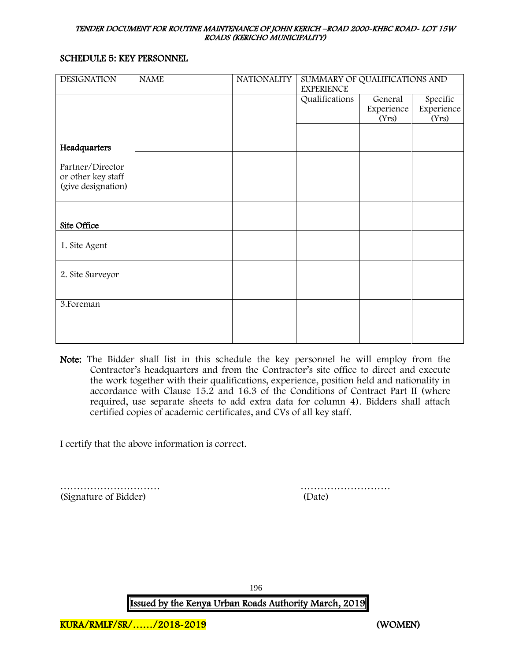#### <span id="page-141-0"></span>SCHEDULE 5: KEY PERSONNEL

| <b>DESIGNATION</b> | <b>NAME</b> | <b>NATIONALITY</b> | SUMMARY OF QUALIFICATIONS AND<br><b>EXPERIENCE</b> |            |            |  |  |  |  |  |
|--------------------|-------------|--------------------|----------------------------------------------------|------------|------------|--|--|--|--|--|
|                    |             |                    | Qualifications                                     | General    | Specific   |  |  |  |  |  |
|                    |             |                    |                                                    | Experience | Experience |  |  |  |  |  |
|                    |             |                    |                                                    | (Yrs)      | (Yrs)      |  |  |  |  |  |
|                    |             |                    |                                                    |            |            |  |  |  |  |  |
| Headquarters       |             |                    |                                                    |            |            |  |  |  |  |  |
|                    |             |                    |                                                    |            |            |  |  |  |  |  |
| Partner/Director   |             |                    |                                                    |            |            |  |  |  |  |  |
| or other key staff |             |                    |                                                    |            |            |  |  |  |  |  |
| (give designation) |             |                    |                                                    |            |            |  |  |  |  |  |
|                    |             |                    |                                                    |            |            |  |  |  |  |  |
|                    |             |                    |                                                    |            |            |  |  |  |  |  |
| Site Office        |             |                    |                                                    |            |            |  |  |  |  |  |
|                    |             |                    |                                                    |            |            |  |  |  |  |  |
| 1. Site Agent      |             |                    |                                                    |            |            |  |  |  |  |  |
|                    |             |                    |                                                    |            |            |  |  |  |  |  |
| 2. Site Surveyor   |             |                    |                                                    |            |            |  |  |  |  |  |
|                    |             |                    |                                                    |            |            |  |  |  |  |  |
|                    |             |                    |                                                    |            |            |  |  |  |  |  |
| 3. Foreman         |             |                    |                                                    |            |            |  |  |  |  |  |
|                    |             |                    |                                                    |            |            |  |  |  |  |  |
|                    |             |                    |                                                    |            |            |  |  |  |  |  |
|                    |             |                    |                                                    |            |            |  |  |  |  |  |

Note: The Bidder shall list in this schedule the key personnel he will employ from the Contractor's headquarters and from the Contractor's site office to direct and execute the work together with their qualifications, experience, position held and nationality in accordance with Clause 15.2 and 16.3 of the Conditions of Contract Part II (where required, use separate sheets to add extra data for column 4). Bidders shall attach certified copies of academic certificates, and CVs of all key staff.

I certify that the above information is correct.

………………………… ……………………… (Signature of Bidder) (Date)

196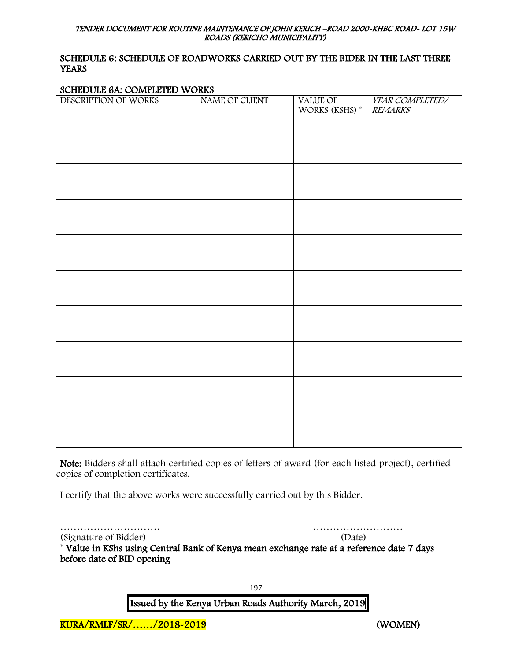#### <span id="page-142-0"></span>SCHEDULE 6: SCHEDULE OF ROADWORKS CARRIED OUT BY THE BIDER IN THE LAST THREE **YEARS**

#### SCHEDULE 6A: COMPLETED WORKS

| $S_{\text{SMB}}$ $\sigma_{\text{m}}$ $\sigma_{\text{SMB}}$ $\sigma_{\text{SMB}}$<br>DESCRIPTION OF WORKS | NAME OF CLIENT | VALUE OF<br>WORKS (KSHS) * | YEAR COMPLETED/<br><b>REMARKS</b> |
|----------------------------------------------------------------------------------------------------------|----------------|----------------------------|-----------------------------------|
|                                                                                                          |                |                            |                                   |
|                                                                                                          |                |                            |                                   |
|                                                                                                          |                |                            |                                   |
|                                                                                                          |                |                            |                                   |
|                                                                                                          |                |                            |                                   |
|                                                                                                          |                |                            |                                   |
|                                                                                                          |                |                            |                                   |
|                                                                                                          |                |                            |                                   |
|                                                                                                          |                |                            |                                   |
|                                                                                                          |                |                            |                                   |

Note: Bidders shall attach certified copies of letters of award (for each listed project), certified copies of completion certificates.

I certify that the above works were successfully carried out by this Bidder.

………………………… ………………………

(Signature of Bidder) (Date)

\* Value in KShs using Central Bank of Kenya mean exchange rate at a reference date 7 days before date of BID opening

197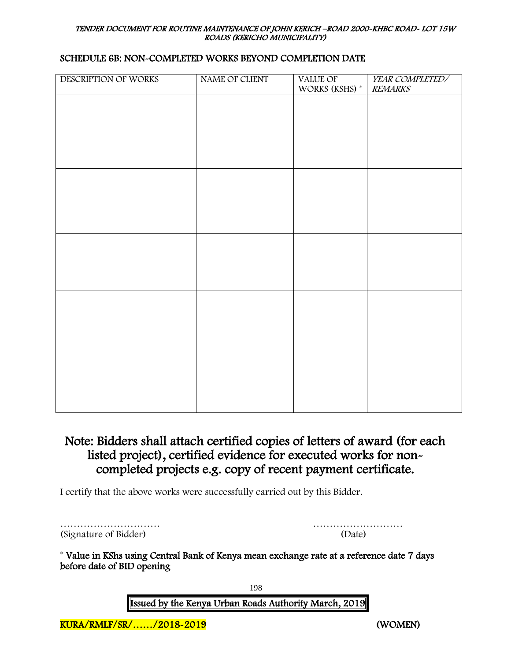#### SCHEDULE 6B: NON-COMPLETED WORKS BEYOND COMPLETION DATE

| DESCRIPTION OF WORKS | NAME OF CLIENT | VALUE OF<br>WORKS (KSHS) $^\ast$ | YEAR COMPLETED/<br><b>REMARKS</b> |
|----------------------|----------------|----------------------------------|-----------------------------------|
|                      |                |                                  |                                   |
|                      |                |                                  |                                   |
|                      |                |                                  |                                   |
|                      |                |                                  |                                   |
|                      |                |                                  |                                   |
|                      |                |                                  |                                   |
|                      |                |                                  |                                   |
|                      |                |                                  |                                   |
|                      |                |                                  |                                   |
|                      |                |                                  |                                   |
|                      |                |                                  |                                   |
|                      |                |                                  |                                   |
|                      |                |                                  |                                   |
|                      |                |                                  |                                   |
|                      |                |                                  |                                   |
|                      |                |                                  |                                   |

# Note: Bidders shall attach certified copies of letters of award (for each listed project), certified evidence for executed works for noncompleted projects e.g. copy of recent payment certificate.

I certify that the above works were successfully carried out by this Bidder.

| (Signature of Bidder) | (Date) |
|-----------------------|--------|

|  |  |  |  |  | (Date) |  |  |  |  |  |  |
|--|--|--|--|--|--------|--|--|--|--|--|--|

\* Value in KShs using Central Bank of Kenya mean exchange rate at a reference date 7 days before date of BID opening

198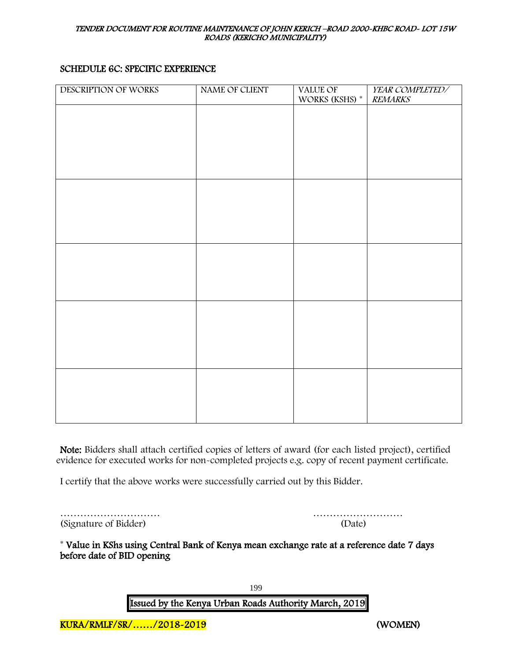## SCHEDULE 6C: SPECIFIC EXPERIENCE

| DESCRIPTION OF WORKS | NAME OF CLIENT | VALUE OF<br>WORKS (KSHS) * | YEAR COMPLETED/<br><b>REMARKS</b> |
|----------------------|----------------|----------------------------|-----------------------------------|
|                      |                |                            |                                   |
|                      |                |                            |                                   |
|                      |                |                            |                                   |
|                      |                |                            |                                   |
|                      |                |                            |                                   |
|                      |                |                            |                                   |
|                      |                |                            |                                   |
|                      |                |                            |                                   |
|                      |                |                            |                                   |
|                      |                |                            |                                   |
|                      |                |                            |                                   |
|                      |                |                            |                                   |
|                      |                |                            |                                   |
|                      |                |                            |                                   |
|                      |                |                            |                                   |
|                      |                |                            |                                   |
|                      |                |                            |                                   |

Note: Bidders shall attach certified copies of letters of award (for each listed project), certified evidence for executed works for non-completed projects e.g. copy of recent payment certificate.

I certify that the above works were successfully carried out by this Bidder.

|                       | .      |
|-----------------------|--------|
| (Signature of Bidder) | (Date) |

………………………… ………………………

\* Value in KShs using Central Bank of Kenya mean exchange rate at a reference date 7 days before date of BID opening

199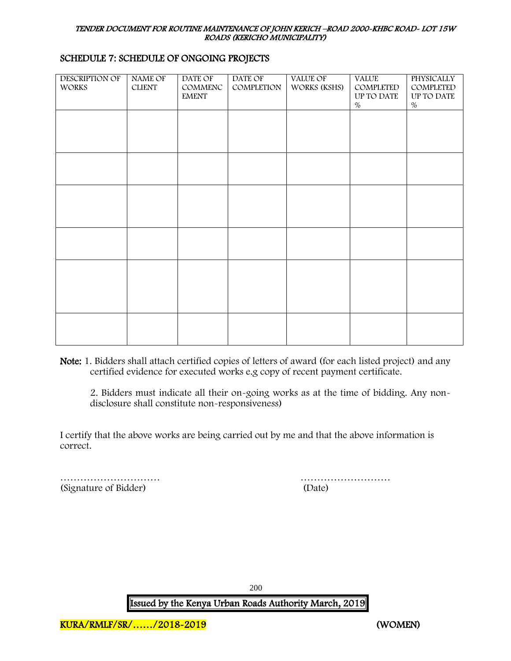| <b>DESCRIPTION OF</b><br><b>WORKS</b> | NAME OF<br><b>CLIENT</b> | DATE OF<br>COMMENC<br><b>EMENT</b> | DATE OF<br>COMPLETION | <b>VALUE OF</b><br>WORKS (KSHS) | <b>VALUE</b><br>COMPLETED<br>UP TO DATE<br>% | PHYSICALLY<br>COMPLETED<br>UP TO DATE<br>$\%$ |
|---------------------------------------|--------------------------|------------------------------------|-----------------------|---------------------------------|----------------------------------------------|-----------------------------------------------|
|                                       |                          |                                    |                       |                                 |                                              |                                               |
|                                       |                          |                                    |                       |                                 |                                              |                                               |
|                                       |                          |                                    |                       |                                 |                                              |                                               |
|                                       |                          |                                    |                       |                                 |                                              |                                               |
|                                       |                          |                                    |                       |                                 |                                              |                                               |
|                                       |                          |                                    |                       |                                 |                                              |                                               |

## SCHEDULE 7: SCHEDULE OF ONGOING PROJECTS

Note: 1. Bidders shall attach certified copies of letters of award (for each listed project) and any certified evidence for executed works e.g copy of recent payment certificate.

2. Bidders must indicate all their on-going works as at the time of bidding. Any nondisclosure shall constitute non-responsiveness)

I certify that the above works are being carried out by me and that the above information is correct.

(Signature of Bidder) (Date)

………………………… ………………………

200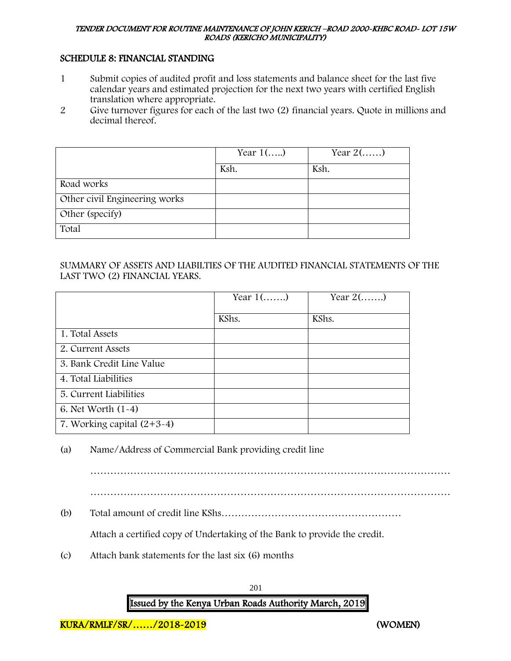## SCHEDULE 8: FINANCIAL STANDING

- 1 Submit copies of audited profit and loss statements and balance sheet for the last five calendar years and estimated projection for the next two years with certified English translation where appropriate.
- 2 Give turnover figures for each of the last two (2) financial years. Quote in millions and decimal thereof.

|                               | Year $1$ () | Year $2(\ldots)$ |
|-------------------------------|-------------|------------------|
|                               | Ksh.        | Ksh.             |
| Road works                    |             |                  |
| Other civil Engineering works |             |                  |
| Other (specify)               |             |                  |
| Total                         |             |                  |

## SUMMARY OF ASSETS AND LIABILTIES OF THE AUDITED FINANCIAL STATEMENTS OF THE LAST TWO (2) FINANCIAL YEARS.

|                              | Year $1$ () | Year $2(\ldots)$ |
|------------------------------|-------------|------------------|
|                              | KShs.       | KShs.            |
| 1. Total Assets              |             |                  |
| 2. Current Assets            |             |                  |
| 3. Bank Credit Line Value    |             |                  |
| 4. Total Liabilities         |             |                  |
| 5. Current Liabilities       |             |                  |
| 6. Net Worth $(1-4)$         |             |                  |
| 7. Working capital $(2+3-4)$ |             |                  |

(a) Name/Address of Commercial Bank providing credit line

……………………………………………………………………………………………… ………………………………………………………………………………………………

(b) Total amount of credit line KShs………………………………………………

Attach a certified copy of Undertaking of the Bank to provide the credit.

(c) Attach bank statements for the last six (6) months

201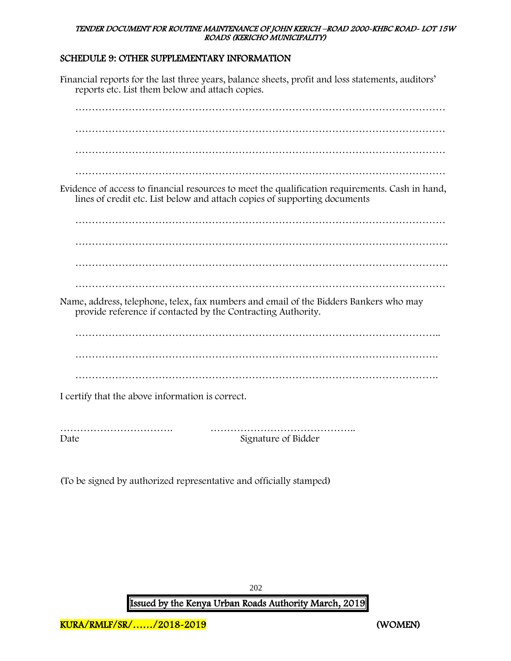## SCHEDULE 9: OTHER SUPPLEMENTARY INFORMATION

Financial reports for the last three years, balance sheets, profit and loss statements, auditors' reports etc. List them below and attach copies. ………………………………………………………………………………………………… ………………………………………………………………………………………………… ………………………………………………………………………………………………… ………………………………………………………………………………………………… Evidence of access to financial resources to meet the qualification requirements. Cash in hand, lines of credit etc. List below and attach copies of supporting documents ………………………………………………………………………………………………… …………………………………………………………………………………………………. …………………………………………………………………………………………………. ………………………………………………………………………………………………… Name, address, telephone, telex, fax numbers and email of the Bidders Bankers who may provide reference if contacted by the Contracting Authority. ………………………………………………………………………………………………. ………………………………………………………………………………………………. I certify that the above information is correct. ……………………………. …………………………………….. Date Signature of Bidder

(To be signed by authorized representative and officially stamped)

202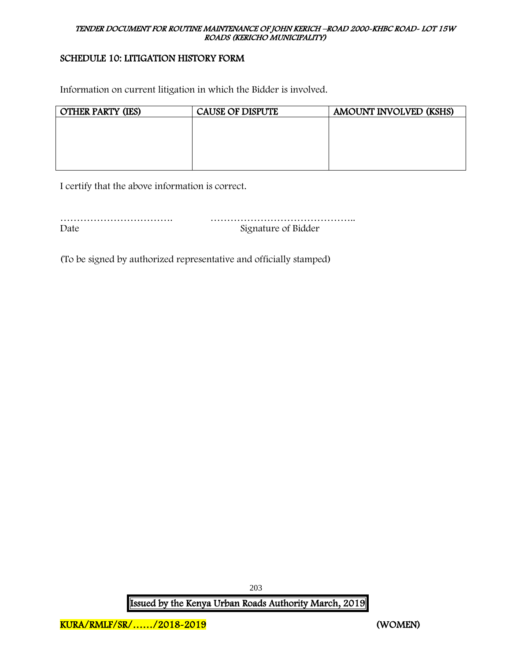## SCHEDULE 10: LITIGATION HISTORY FORM

Information on current litigation in which the Bidder is involved.

| <b>OTHER PARTY (IES)</b> | <b>CAUSE OF DISPUTE</b> | AMOUNT INVOLVED (KSHS) |
|--------------------------|-------------------------|------------------------|
|                          |                         |                        |
|                          |                         |                        |
|                          |                         |                        |
|                          |                         |                        |
|                          |                         |                        |

I certify that the above information is correct.

| Date | Signature of Bidder |
|------|---------------------|

(To be signed by authorized representative and officially stamped)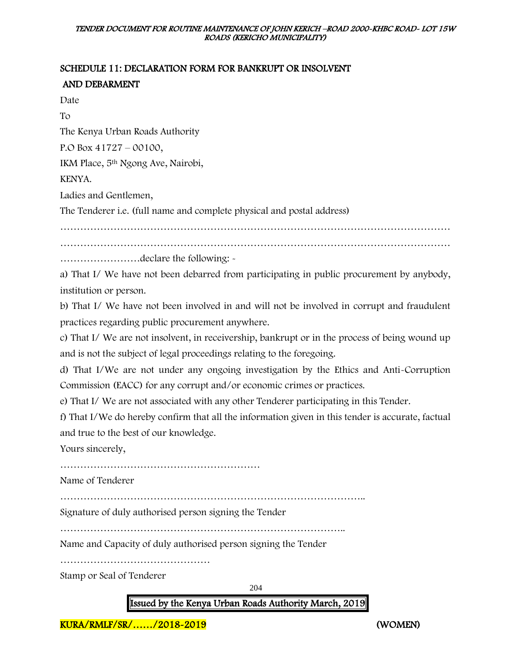# SCHEDULE 11: DECLARATION FORM FOR BANKRUPT OR INSOLVENT AND DEBARMENT

Date

To

The Kenya Urban Roads Authority

P.O Box 41727 – 00100,

IKM Place, 5th Ngong Ave, Nairobi,

KENYA.

Ladies and Gentlemen,

The Tenderer i.e. (full name and complete physical and postal address)

……………………………………………………………………………………………………… ………………………………………………………………………………………………………

……………………declare the following: -

a) That I/ We have not been debarred from participating in public procurement by anybody, institution or person.

b) That I/ We have not been involved in and will not be involved in corrupt and fraudulent practices regarding public procurement anywhere.

c) That I/ We are not insolvent, in receivership, bankrupt or in the process of being wound up and is not the subject of legal proceedings relating to the foregoing.

d) That I/We are not under any ongoing investigation by the Ethics and Anti-Corruption Commission (EACC) for any corrupt and/or economic crimes or practices.

e) That I/ We are not associated with any other Tenderer participating in this Tender.

f) That I/We do hereby confirm that all the information given in this tender is accurate, factual and true to the best of our knowledge.

Yours sincerely,

……………………………………………………

Name of Tenderer

………………………………………………………………………………..

Signature of duly authorised person signing the Tender

…………………………………………………………………………..

Name and Capacity of duly authorised person signing the Tender

………………………………………

Stamp or Seal of Tenderer

204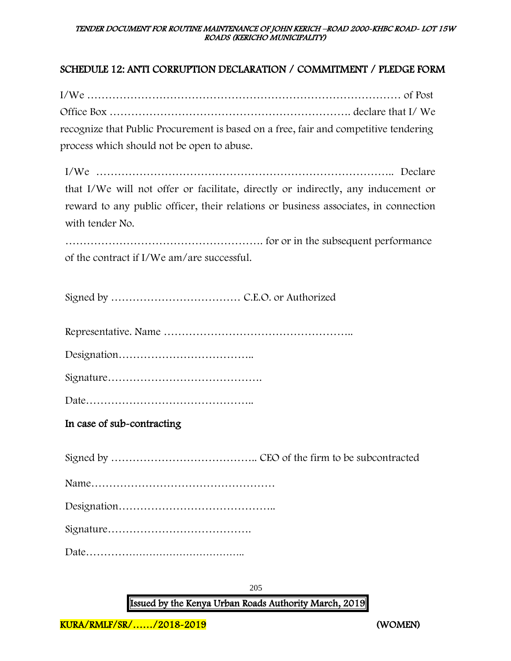# SCHEDULE 12: ANTI CORRUPTION DECLARATION / COMMITMENT / PLEDGE FORM

I/We …………………………………………………………………………… of Post Office Box …………………………………………………………. declare that I/ We recognize that Public Procurement is based on a free, fair and competitive tendering process which should not be open to abuse.

I/We ……………………………………………………………………….. Declare that I/We will not offer or facilitate, directly or indirectly, any inducement or reward to any public officer, their relations or business associates, in connection with tender No.

………………………………………………. for or in the subsequent performance of the contract if I/We am/are successful.

Signed by ……………………………… C.E.O. or Authorized

Representative. Name ……………………………………………..

Designation………………………………..

Signature…………………………………….

Date………………………………………..

In case of sub-contracting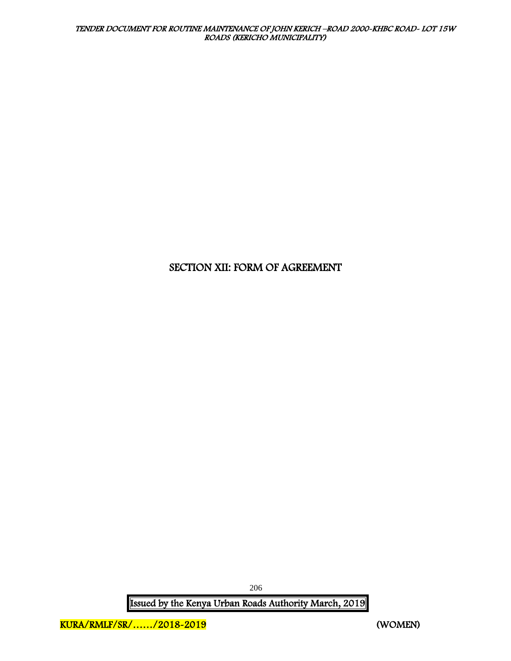# SECTION XII: FORM OF AGREEMENT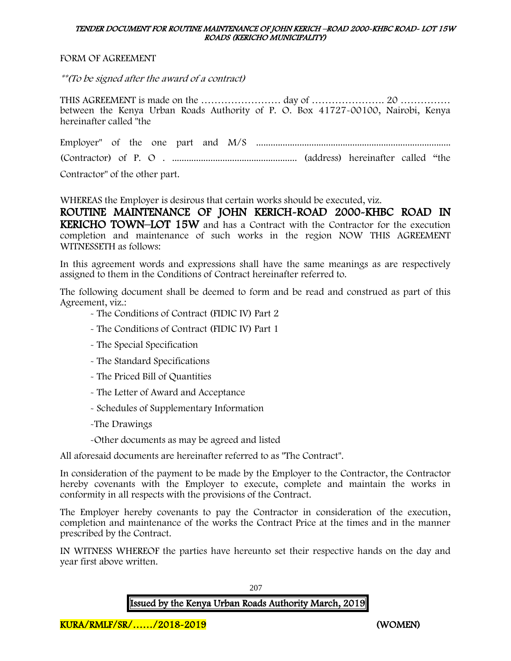FORM OF AGREEMENT

\*\*(To be signed after the award of a contract)

THIS AGREEMENT is made on the ………………………… day of ……………………………………………………………………………………… between the Kenya Urban Roads Authority of P. O. Box 41727-00100, Nairobi, Kenya hereinafter called "the

Employer" of the one part and M/S ................................................................................. (Contractor) of P. O . .................................................... (address) hereinafter called "the

Contractor" of the other part.

WHEREAS the Employer is desirous that certain works should be executed, viz.

ROUTINE MAINTENANCE OF JOHN KERICH-ROAD 2000-KHBC ROAD IN KERICHO TOWN–LOT 15W and has a Contract with the Contractor for the execution completion and maintenance of such works in the region NOW THIS AGREEMENT WITNESSETH as follows:

In this agreement words and expressions shall have the same meanings as are respectively assigned to them in the Conditions of Contract hereinafter referred to.

The following document shall be deemed to form and be read and construed as part of this Agreement, viz.:

- The Conditions of Contract (FIDIC IV) Part 2
- The Conditions of Contract (FIDIC IV) Part 1
- The Special Specification
- The Standard Specifications
- The Priced Bill of Quantities
- The Letter of Award and Acceptance
- Schedules of Supplementary Information
- -The Drawings
- -Other documents as may be agreed and listed

All aforesaid documents are hereinafter referred to as "The Contract".

In consideration of the payment to be made by the Employer to the Contractor, the Contractor hereby covenants with the Employer to execute, complete and maintain the works in conformity in all respects with the provisions of the Contract.

The Employer hereby covenants to pay the Contractor in consideration of the execution, completion and maintenance of the works the Contract Price at the times and in the manner prescribed by the Contract.

IN WITNESS WHEREOF the parties have hereunto set their respective hands on the day and year first above written.

207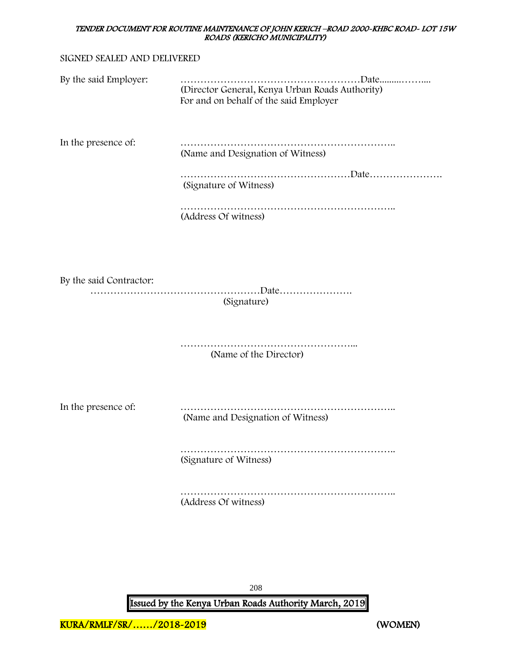| SIGNED SEALED AND DELIVERED |                                                                                           |
|-----------------------------|-------------------------------------------------------------------------------------------|
| By the said Employer:       | (Director General, Kenya Urban Roads Authority)<br>For and on behalf of the said Employer |
| In the presence of:         | (Name and Designation of Witness)                                                         |
|                             | (Signature of Witness)                                                                    |
|                             | (Address Of witness)                                                                      |
| By the said Contractor:     | (Signature)                                                                               |
|                             | (Name of the Director)                                                                    |
| In the presence of:         | (Name and Designation of Witness)                                                         |
|                             | (Signature of Witness)                                                                    |
|                             | (Address Of witness)                                                                      |
|                             |                                                                                           |

208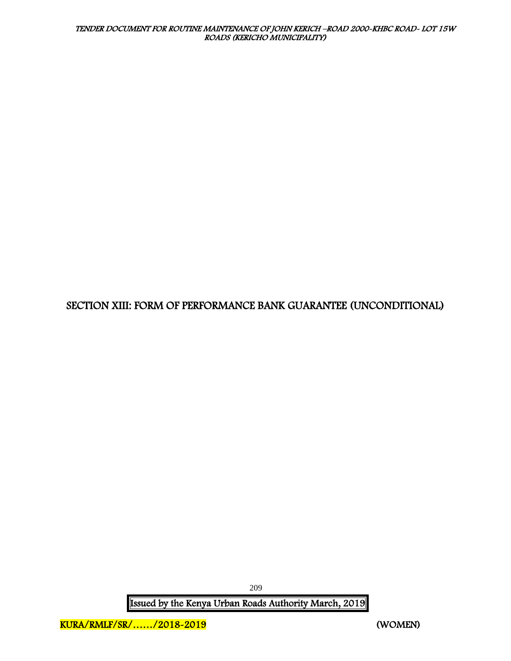SECTION XIII: FORM OF PERFORMANCE BANK GUARANTEE (UNCONDITIONAL)